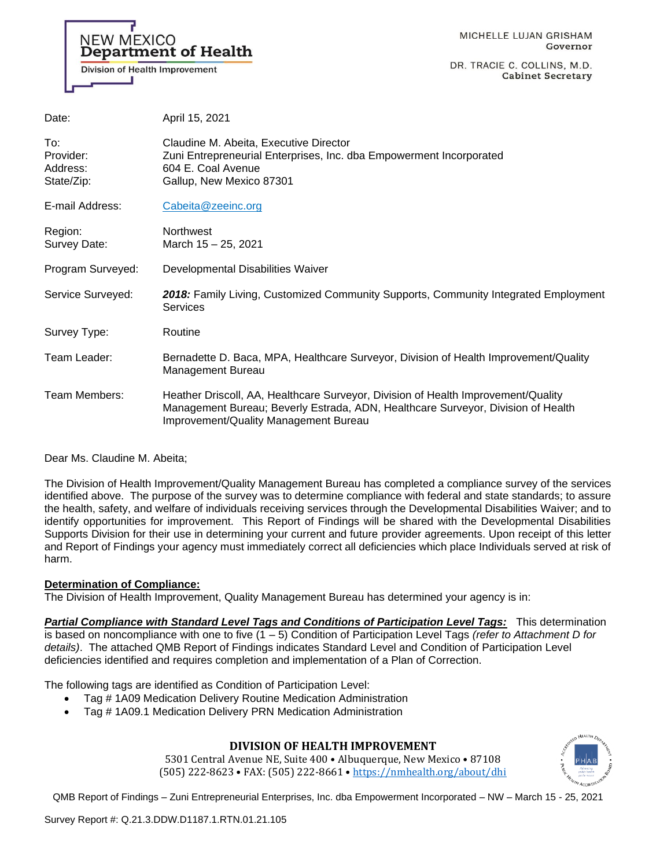

DR. TRACIE C. COLLINS, M.D. **Cabinet Secretary** 

| Date:                                      | April 15, 2021                                                                                                                                                                                                 |
|--------------------------------------------|----------------------------------------------------------------------------------------------------------------------------------------------------------------------------------------------------------------|
| To:<br>Provider:<br>Address:<br>State/Zip: | Claudine M. Abeita, Executive Director<br>Zuni Entrepreneurial Enterprises, Inc. dba Empowerment Incorporated<br>604 E. Coal Avenue<br>Gallup, New Mexico 87301                                                |
| E-mail Address:                            | Cabeita@zeeinc.org                                                                                                                                                                                             |
| Region:<br>Survey Date:                    | Northwest<br>March 15 - 25, 2021                                                                                                                                                                               |
| Program Surveyed:                          | Developmental Disabilities Waiver                                                                                                                                                                              |
| Service Surveyed:                          | 2018: Family Living, Customized Community Supports, Community Integrated Employment<br><b>Services</b>                                                                                                         |
| Survey Type:                               | Routine                                                                                                                                                                                                        |
| Team Leader:                               | Bernadette D. Baca, MPA, Healthcare Surveyor, Division of Health Improvement/Quality<br>Management Bureau                                                                                                      |
| Team Members:                              | Heather Driscoll, AA, Healthcare Surveyor, Division of Health Improvement/Quality<br>Management Bureau; Beverly Estrada, ADN, Healthcare Surveyor, Division of Health<br>Improvement/Quality Management Bureau |
|                                            |                                                                                                                                                                                                                |

Dear Ms. Claudine M. Abeita;

The Division of Health Improvement/Quality Management Bureau has completed a compliance survey of the services identified above. The purpose of the survey was to determine compliance with federal and state standards; to assure the health, safety, and welfare of individuals receiving services through the Developmental Disabilities Waiver; and to identify opportunities for improvement. This Report of Findings will be shared with the Developmental Disabilities Supports Division for their use in determining your current and future provider agreements. Upon receipt of this letter and Report of Findings your agency must immediately correct all deficiencies which place Individuals served at risk of harm.

## **Determination of Compliance:**

The Division of Health Improvement, Quality Management Bureau has determined your agency is in:

*Partial Compliance with Standard Level Tags and Conditions of Participation Level Tags:* This determination is based on noncompliance with one to five (1 – 5) Condition of Participation Level Tags *(refer to Attachment D for details)*. The attached QMB Report of Findings indicates Standard Level and Condition of Participation Level deficiencies identified and requires completion and implementation of a Plan of Correction.

The following tags are identified as Condition of Participation Level:

- Tag # 1A09 Medication Delivery Routine Medication Administration
- Tag # 1A09.1 Medication Delivery PRN Medication Administration

## **DIVISION OF HEALTH IMPROVEMENT**

5301 Central Avenue NE, Suite 400 • Albuquerque, New Mexico • 87108 (505) 222-8623 • FAX: (505) 222-8661 • <https://nmhealth.org/about/dhi>

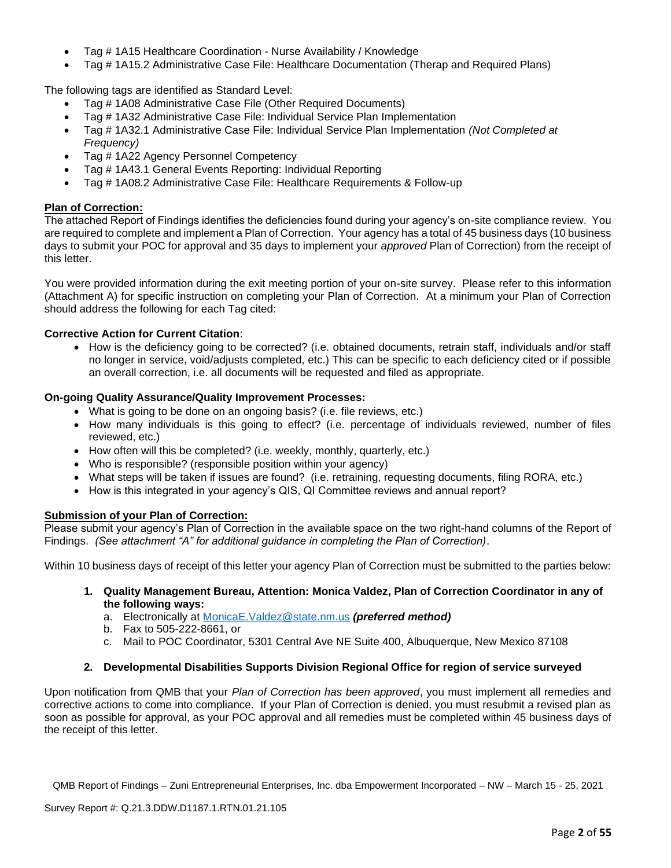- Tag # 1A15 Healthcare Coordination Nurse Availability / Knowledge
- Tag # 1A15.2 Administrative Case File: Healthcare Documentation (Therap and Required Plans)

The following tags are identified as Standard Level:

- Tag # 1A08 Administrative Case File (Other Required Documents)
- Tag # 1A32 Administrative Case File: Individual Service Plan Implementation
- Tag # 1A32.1 Administrative Case File: Individual Service Plan Implementation *(Not Completed at Frequency)*
- Tag # 1A22 Agency Personnel Competency
- Tag # 1A43.1 General Events Reporting: Individual Reporting
- Tag # 1A08.2 Administrative Case File: Healthcare Requirements & Follow-up

## **Plan of Correction:**

The attached Report of Findings identifies the deficiencies found during your agency's on-site compliance review. You are required to complete and implement a Plan of Correction. Your agency has a total of 45 business days (10 business days to submit your POC for approval and 35 days to implement your *approved* Plan of Correction) from the receipt of this letter.

You were provided information during the exit meeting portion of your on-site survey. Please refer to this information (Attachment A) for specific instruction on completing your Plan of Correction. At a minimum your Plan of Correction should address the following for each Tag cited:

## **Corrective Action for Current Citation**:

• How is the deficiency going to be corrected? (i.e. obtained documents, retrain staff, individuals and/or staff no longer in service, void/adjusts completed, etc.) This can be specific to each deficiency cited or if possible an overall correction, i.e. all documents will be requested and filed as appropriate.

## **On-going Quality Assurance/Quality Improvement Processes:**

- What is going to be done on an ongoing basis? (i.e. file reviews, etc.)
- How many individuals is this going to effect? (i.e. percentage of individuals reviewed, number of files reviewed, etc.)
- How often will this be completed? (i.e. weekly, monthly, quarterly, etc.)
- Who is responsible? (responsible position within your agency)
- What steps will be taken if issues are found? (i.e. retraining, requesting documents, filing RORA, etc.)
- How is this integrated in your agency's QIS, QI Committee reviews and annual report?

#### **Submission of your Plan of Correction:**

Please submit your agency's Plan of Correction in the available space on the two right-hand columns of the Report of Findings. *(See attachment "A" for additional guidance in completing the Plan of Correction)*.

Within 10 business days of receipt of this letter your agency Plan of Correction must be submitted to the parties below:

- **1. Quality Management Bureau, Attention: Monica Valdez, Plan of Correction Coordinator in any of the following ways:**
	- a. Electronically at [MonicaE.Valdez@state.nm.us](mailto:MonicaE.Valdez@state.nm.us) *(preferred method)*
	- b. Fax to 505-222-8661, or
	- c. Mail to POC Coordinator, 5301 Central Ave NE Suite 400, Albuquerque, New Mexico 87108

## **2. Developmental Disabilities Supports Division Regional Office for region of service surveyed**

Upon notification from QMB that your *Plan of Correction has been approved*, you must implement all remedies and corrective actions to come into compliance. If your Plan of Correction is denied, you must resubmit a revised plan as soon as possible for approval, as your POC approval and all remedies must be completed within 45 business days of the receipt of this letter.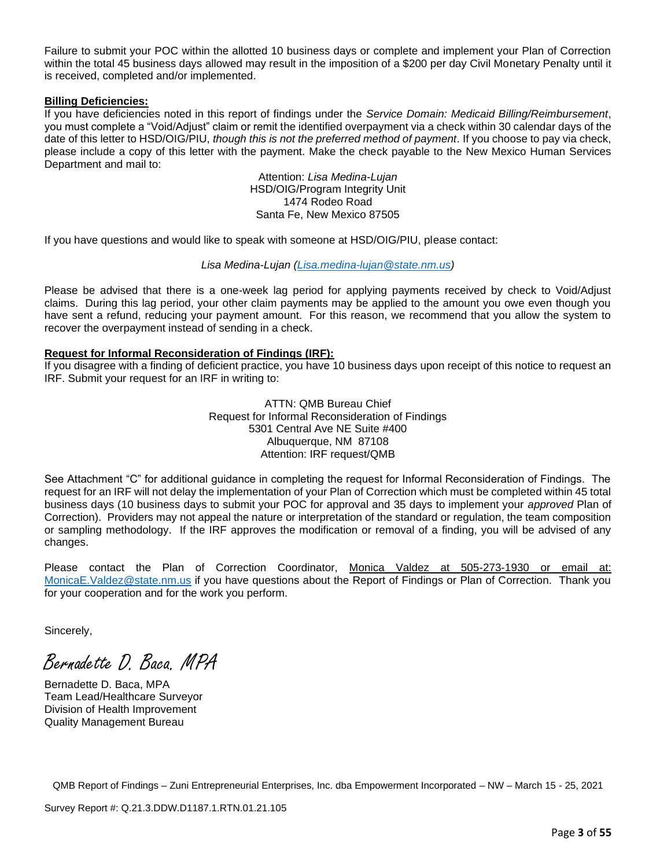Failure to submit your POC within the allotted 10 business days or complete and implement your Plan of Correction within the total 45 business days allowed may result in the imposition of a \$200 per day Civil Monetary Penalty until it is received, completed and/or implemented.

#### **Billing Deficiencies:**

If you have deficiencies noted in this report of findings under the *Service Domain: Medicaid Billing/Reimbursement*, you must complete a "Void/Adjust" claim or remit the identified overpayment via a check within 30 calendar days of the date of this letter to HSD/OIG/PIU, *though this is not the preferred method of payment*. If you choose to pay via check, please include a copy of this letter with the payment. Make the check payable to the New Mexico Human Services Department and mail to:

> Attention: *Lisa Medina-Lujan* HSD/OIG/Program Integrity Unit 1474 Rodeo Road Santa Fe, New Mexico 87505

If you have questions and would like to speak with someone at HSD/OIG/PIU, please contact:

## *Lisa Medina-Lujan [\(Lisa.medina-lujan@state.nm.us\)](mailto:Lisa.medina-lujan@state.nm.us)*

Please be advised that there is a one-week lag period for applying payments received by check to Void/Adjust claims. During this lag period, your other claim payments may be applied to the amount you owe even though you have sent a refund, reducing your payment amount. For this reason, we recommend that you allow the system to recover the overpayment instead of sending in a check.

## **Request for Informal Reconsideration of Findings (IRF):**

If you disagree with a finding of deficient practice, you have 10 business days upon receipt of this notice to request an IRF. Submit your request for an IRF in writing to:

> ATTN: QMB Bureau Chief Request for Informal Reconsideration of Findings 5301 Central Ave NE Suite #400 Albuquerque, NM 87108 Attention: IRF request/QMB

See Attachment "C" for additional guidance in completing the request for Informal Reconsideration of Findings. The request for an IRF will not delay the implementation of your Plan of Correction which must be completed within 45 total business days (10 business days to submit your POC for approval and 35 days to implement your *approved* Plan of Correction). Providers may not appeal the nature or interpretation of the standard or regulation, the team composition or sampling methodology. If the IRF approves the modification or removal of a finding, you will be advised of any changes.

Please contact the Plan of Correction Coordinator, Monica Valdez at 505-273-1930 or email at: [MonicaE.Valdez@state.nm.us](mailto:MonicaE.Valdez@state.nm.us) if you have questions about the Report of Findings or Plan of Correction. Thank you for your cooperation and for the work you perform.

Sincerely,

Bernadette D. Baca. MPA

Bernadette D. Baca, MPA Team Lead/Healthcare Surveyor Division of Health Improvement Quality Management Bureau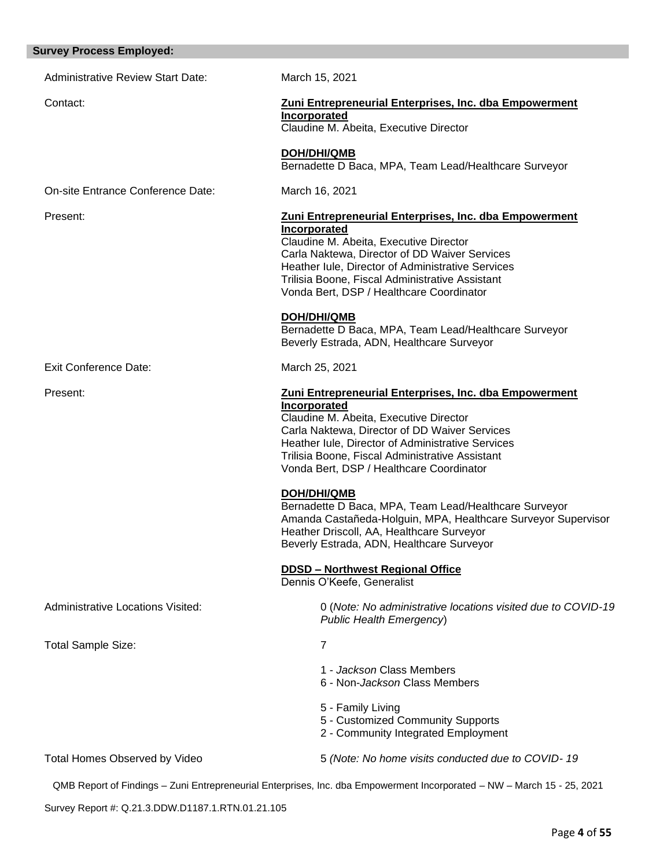#### **Survey Process Employed:**

Administrative Review Start Date: March 15, 2021 Contact: **Zuni Entrepreneurial Enterprises, Inc. dba Empowerment Incorporated** Claudine M. Abeita, Executive Director **DOH/DHI/QMB** Bernadette D Baca, MPA, Team Lead/Healthcare Surveyor On-site Entrance Conference Date: March 16, 2021 Present: **Zuni Entrepreneurial Enterprises, Inc. dba Empowerment Incorporated** Claudine M. Abeita, Executive Director Carla Naktewa, Director of DD Waiver Services Heather Iule, Director of Administrative Services Trilisia Boone, Fiscal Administrative Assistant Vonda Bert, DSP / Healthcare Coordinator **DOH/DHI/QMB** Bernadette D Baca, MPA, Team Lead/Healthcare Surveyor Beverly Estrada, ADN, Healthcare Surveyor Exit Conference Date: March 25, 2021 Present: **Zuni Entrepreneurial Enterprises, Inc. dba Empowerment Incorporated** Claudine M. Abeita, Executive Director Carla Naktewa, Director of DD Waiver Services Heather Iule, Director of Administrative Services Trilisia Boone, Fiscal Administrative Assistant Vonda Bert, DSP / Healthcare Coordinator **DOH/DHI/QMB** Bernadette D Baca, MPA, Team Lead/Healthcare Surveyor Amanda Castañeda-Holguin, MPA, Healthcare Surveyor Supervisor Heather Driscoll, AA, Healthcare Surveyor Beverly Estrada, ADN, Healthcare Surveyor **DDSD – Northwest Regional Office**  Dennis O'Keefe, Generalist Administrative Locations Visited: 0 (*Note: No administrative locations visited due to COVID-19 Public Health Emergency*) Total Sample Size: 7 1 - *Jackson* Class Members 6 - Non-*Jackson* Class Members 5 - Family Living 5 - Customized Community Supports 2 - Community Integrated Employment Total Homes Observed by Video 5 *(Note: No home visits conducted due to COVID- 19*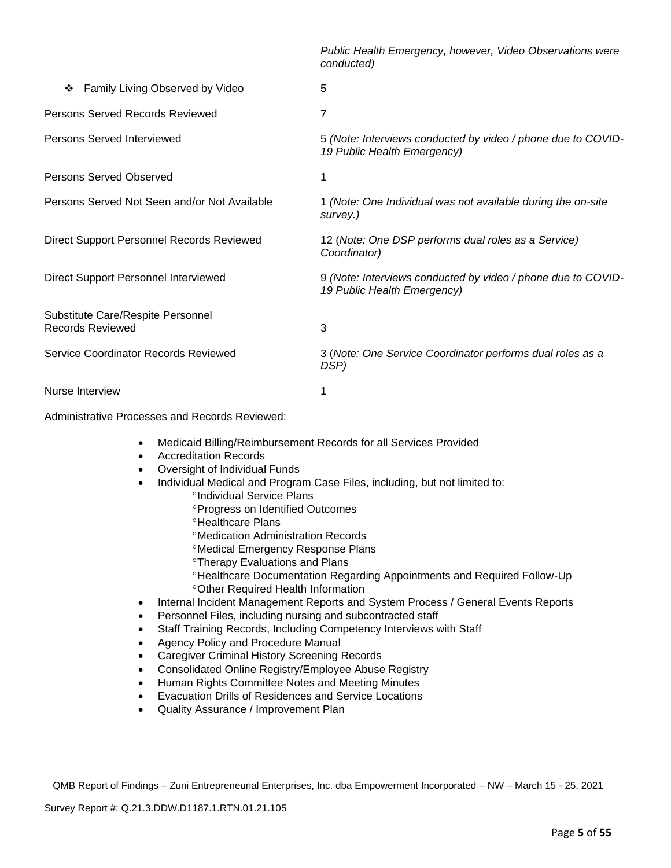*Public Health Emergency, however, Video Observations were conducted)* ❖ Family Living Observed by Video 5 Persons Served Records Reviewed 7 Persons Served Interviewed 5 *(Note: Interviews conducted by video / phone due to COVID-19 Public Health Emergency)* Persons Served Observed 1 Persons Served Not Seen and/or Not Available 1 *(Note: One Individual was not available during the on-site survey.)*  Direct Support Personnel Records Reviewed 12 (*Note: One DSP performs dual roles as a Service) Coordinator)* Direct Support Personnel Interviewed 9 *(Note: Interviews conducted by video / phone due to COVID-19 Public Health Emergency)* Substitute Care/Respite Personnel Records Reviewed 3 Service Coordinator Records Reviewed 3 (*Note: One Service Coordinator performs dual roles as a DSP)* Nurse Interview 1

Administrative Processes and Records Reviewed:

- Medicaid Billing/Reimbursement Records for all Services Provided
- Accreditation Records
- Oversight of Individual Funds
- Individual Medical and Program Case Files, including, but not limited to: *<sup>o</sup>Individual Service Plans* 
	- **Progress on Identified Outcomes**
	- **<sup>o</sup>Healthcare Plans**
	- Medication Administration Records
	- Medical Emergency Response Plans
	- Therapy Evaluations and Plans
	- Healthcare Documentation Regarding Appointments and Required Follow-Up Other Required Health Information
- Internal Incident Management Reports and System Process / General Events Reports
- Personnel Files, including nursing and subcontracted staff
- Staff Training Records, Including Competency Interviews with Staff
- Agency Policy and Procedure Manual
- Caregiver Criminal History Screening Records
- Consolidated Online Registry/Employee Abuse Registry
- Human Rights Committee Notes and Meeting Minutes
- Evacuation Drills of Residences and Service Locations
- Quality Assurance / Improvement Plan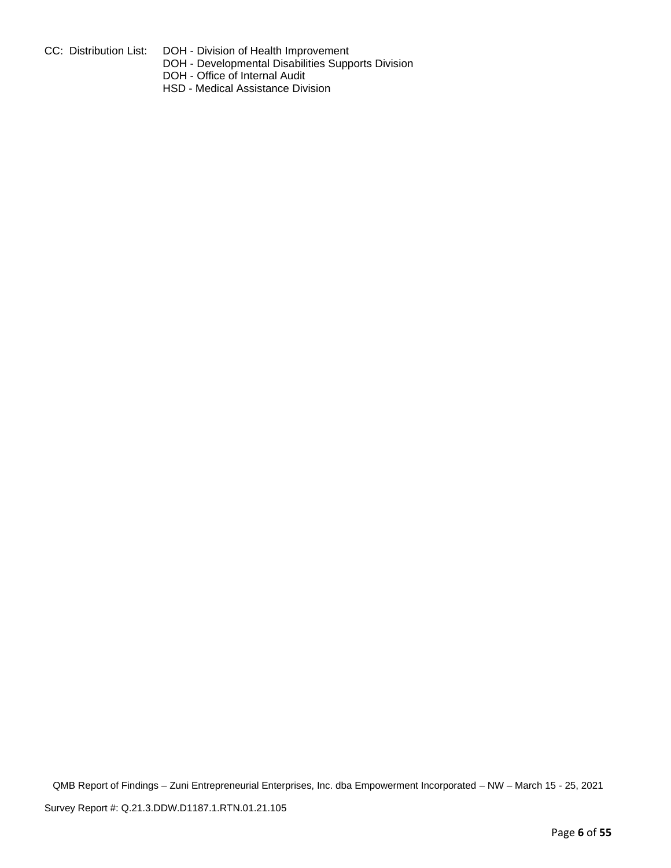- 
- CC: Distribution List: DOH Division of Health Improvement
	- DOH Developmental Disabilities Supports Division
	- DOH Office of Internal Audit
	- HSD Medical Assistance Division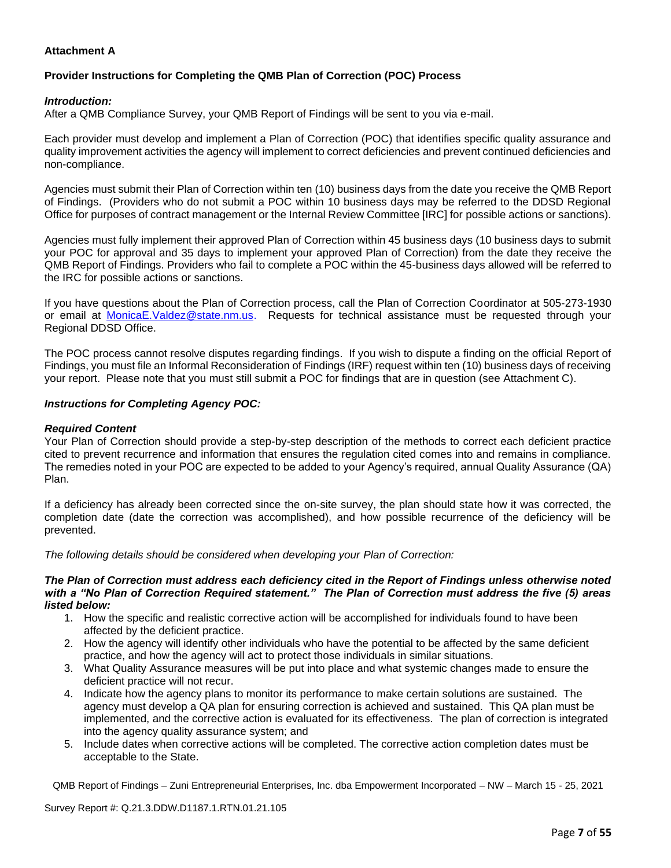## **Attachment A**

## **Provider Instructions for Completing the QMB Plan of Correction (POC) Process**

#### *Introduction:*

After a QMB Compliance Survey, your QMB Report of Findings will be sent to you via e-mail.

Each provider must develop and implement a Plan of Correction (POC) that identifies specific quality assurance and quality improvement activities the agency will implement to correct deficiencies and prevent continued deficiencies and non-compliance.

Agencies must submit their Plan of Correction within ten (10) business days from the date you receive the QMB Report of Findings. (Providers who do not submit a POC within 10 business days may be referred to the DDSD Regional Office for purposes of contract management or the Internal Review Committee [IRC] for possible actions or sanctions).

Agencies must fully implement their approved Plan of Correction within 45 business days (10 business days to submit your POC for approval and 35 days to implement your approved Plan of Correction) from the date they receive the QMB Report of Findings. Providers who fail to complete a POC within the 45-business days allowed will be referred to the IRC for possible actions or sanctions.

If you have questions about the Plan of Correction process, call the Plan of Correction Coordinator at 505-273-1930 or email at [MonicaE.Valdez@state.nm.us.](mailto:MonicaE.Valdez@state.nm.us) Requests for technical assistance must be requested through your Regional DDSD Office.

The POC process cannot resolve disputes regarding findings. If you wish to dispute a finding on the official Report of Findings, you must file an Informal Reconsideration of Findings (IRF) request within ten (10) business days of receiving your report. Please note that you must still submit a POC for findings that are in question (see Attachment C).

#### *Instructions for Completing Agency POC:*

#### *Required Content*

Your Plan of Correction should provide a step-by-step description of the methods to correct each deficient practice cited to prevent recurrence and information that ensures the regulation cited comes into and remains in compliance. The remedies noted in your POC are expected to be added to your Agency's required, annual Quality Assurance (QA) Plan.

If a deficiency has already been corrected since the on-site survey, the plan should state how it was corrected, the completion date (date the correction was accomplished), and how possible recurrence of the deficiency will be prevented.

*The following details should be considered when developing your Plan of Correction:*

#### *The Plan of Correction must address each deficiency cited in the Report of Findings unless otherwise noted with a "No Plan of Correction Required statement." The Plan of Correction must address the five (5) areas listed below:*

- 1. How the specific and realistic corrective action will be accomplished for individuals found to have been affected by the deficient practice.
- 2. How the agency will identify other individuals who have the potential to be affected by the same deficient practice, and how the agency will act to protect those individuals in similar situations.
- 3. What Quality Assurance measures will be put into place and what systemic changes made to ensure the deficient practice will not recur.
- 4. Indicate how the agency plans to monitor its performance to make certain solutions are sustained. The agency must develop a QA plan for ensuring correction is achieved and sustained. This QA plan must be implemented, and the corrective action is evaluated for its effectiveness. The plan of correction is integrated into the agency quality assurance system; and
- 5. Include dates when corrective actions will be completed. The corrective action completion dates must be acceptable to the State.

QMB Report of Findings – Zuni Entrepreneurial Enterprises, Inc. dba Empowerment Incorporated – NW – March 15 - 25, 2021

Survey Report #: Q.21.3.DDW.D1187.1.RTN.01.21.105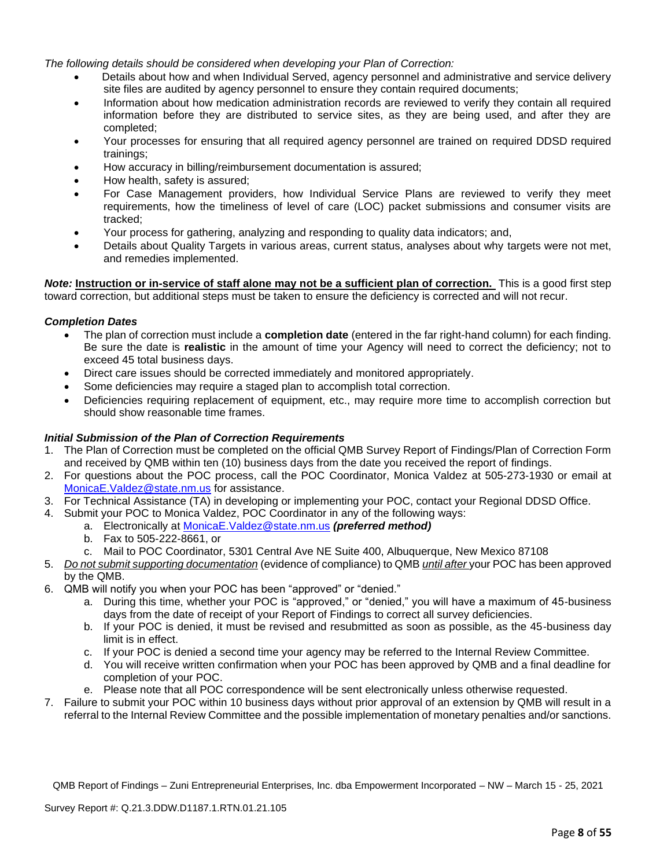*The following details should be considered when developing your Plan of Correction:*

- Details about how and when Individual Served, agency personnel and administrative and service delivery site files are audited by agency personnel to ensure they contain required documents;
- Information about how medication administration records are reviewed to verify they contain all required information before they are distributed to service sites, as they are being used, and after they are completed;
- Your processes for ensuring that all required agency personnel are trained on required DDSD required trainings;
- How accuracy in billing/reimbursement documentation is assured;
- How health, safety is assured;
- For Case Management providers, how Individual Service Plans are reviewed to verify they meet requirements, how the timeliness of level of care (LOC) packet submissions and consumer visits are tracked;
- Your process for gathering, analyzing and responding to quality data indicators; and,
- Details about Quality Targets in various areas, current status, analyses about why targets were not met, and remedies implemented.

*Note:* **Instruction or in-service of staff alone may not be a sufficient plan of correction.** This is a good first step toward correction, but additional steps must be taken to ensure the deficiency is corrected and will not recur.

#### *Completion Dates*

- The plan of correction must include a **completion date** (entered in the far right-hand column) for each finding. Be sure the date is **realistic** in the amount of time your Agency will need to correct the deficiency; not to exceed 45 total business days.
- Direct care issues should be corrected immediately and monitored appropriately.
- Some deficiencies may require a staged plan to accomplish total correction.
- Deficiencies requiring replacement of equipment, etc., may require more time to accomplish correction but should show reasonable time frames.

#### *Initial Submission of the Plan of Correction Requirements*

- 1. The Plan of Correction must be completed on the official QMB Survey Report of Findings/Plan of Correction Form and received by QMB within ten (10) business days from the date you received the report of findings.
- 2. For questions about the POC process, call the POC Coordinator, Monica Valdez at 505-273-1930 or email at [MonicaE.Valdez@state.nm.us](mailto:MonicaE.Valdez@state.nm.us) for assistance.
- 3. For Technical Assistance (TA) in developing or implementing your POC, contact your Regional DDSD Office.
- 4. Submit your POC to Monica Valdez, POC Coordinator in any of the following ways:
	- a. Electronically at [MonicaE.Valdez@state.nm.us](mailto:MonicaE.Valdez@state.nm.us) *(preferred method)*
	- b. Fax to 505-222-8661, or
	- c. Mail to POC Coordinator, 5301 Central Ave NE Suite 400, Albuquerque, New Mexico 87108
- 5. *Do not submit supporting documentation* (evidence of compliance) to QMB *until after* your POC has been approved by the QMB.
- 6. QMB will notify you when your POC has been "approved" or "denied."
	- a. During this time, whether your POC is "approved," or "denied," you will have a maximum of 45-business days from the date of receipt of your Report of Findings to correct all survey deficiencies.
	- b. If your POC is denied, it must be revised and resubmitted as soon as possible, as the 45-business day limit is in effect.
	- c. If your POC is denied a second time your agency may be referred to the Internal Review Committee.
	- d. You will receive written confirmation when your POC has been approved by QMB and a final deadline for completion of your POC.
	- e. Please note that all POC correspondence will be sent electronically unless otherwise requested.
- 7. Failure to submit your POC within 10 business days without prior approval of an extension by QMB will result in a referral to the Internal Review Committee and the possible implementation of monetary penalties and/or sanctions.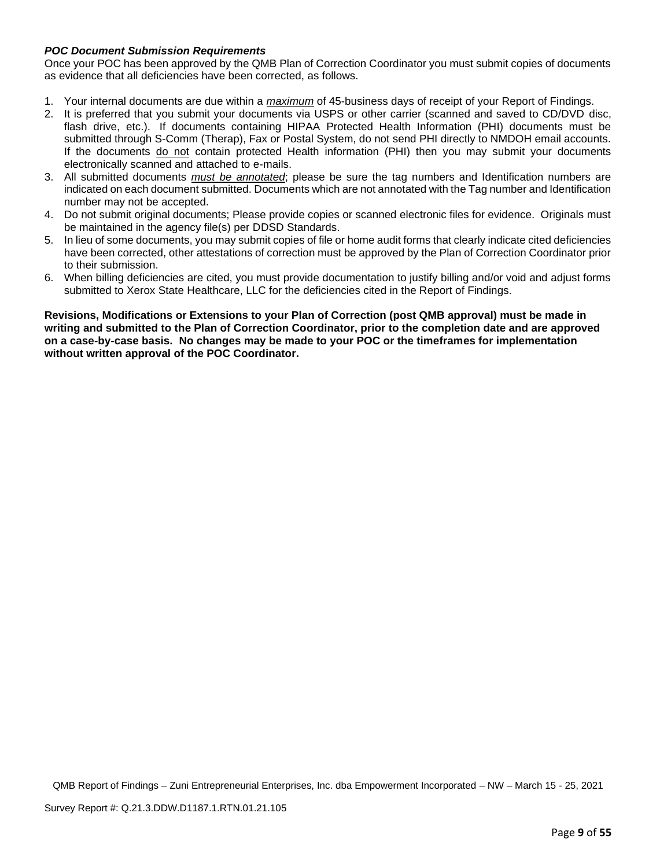## *POC Document Submission Requirements*

Once your POC has been approved by the QMB Plan of Correction Coordinator you must submit copies of documents as evidence that all deficiencies have been corrected, as follows.

- 1. Your internal documents are due within a *maximum* of 45-business days of receipt of your Report of Findings.
- 2. It is preferred that you submit your documents via USPS or other carrier (scanned and saved to CD/DVD disc, flash drive, etc.). If documents containing HIPAA Protected Health Information (PHI) documents must be submitted through S-Comm (Therap), Fax or Postal System, do not send PHI directly to NMDOH email accounts. If the documents do not contain protected Health information (PHI) then you may submit your documents electronically scanned and attached to e-mails.
- 3. All submitted documents *must be annotated*; please be sure the tag numbers and Identification numbers are indicated on each document submitted. Documents which are not annotated with the Tag number and Identification number may not be accepted.
- 4. Do not submit original documents; Please provide copies or scanned electronic files for evidence. Originals must be maintained in the agency file(s) per DDSD Standards.
- 5. In lieu of some documents, you may submit copies of file or home audit forms that clearly indicate cited deficiencies have been corrected, other attestations of correction must be approved by the Plan of Correction Coordinator prior to their submission.
- 6. When billing deficiencies are cited, you must provide documentation to justify billing and/or void and adjust forms submitted to Xerox State Healthcare, LLC for the deficiencies cited in the Report of Findings.

**Revisions, Modifications or Extensions to your Plan of Correction (post QMB approval) must be made in writing and submitted to the Plan of Correction Coordinator, prior to the completion date and are approved on a case-by-case basis. No changes may be made to your POC or the timeframes for implementation without written approval of the POC Coordinator.**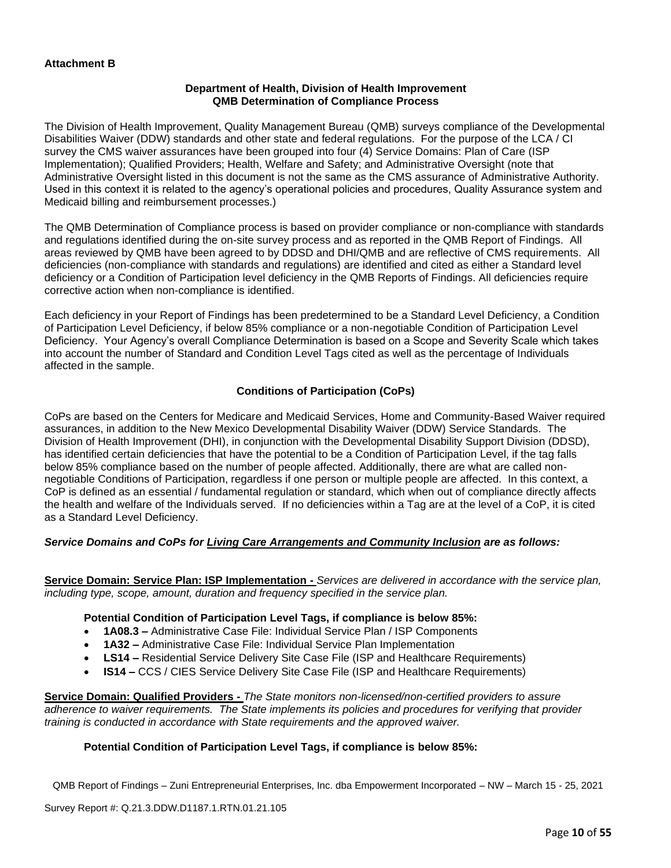#### **Department of Health, Division of Health Improvement QMB Determination of Compliance Process**

The Division of Health Improvement, Quality Management Bureau (QMB) surveys compliance of the Developmental Disabilities Waiver (DDW) standards and other state and federal regulations. For the purpose of the LCA / CI survey the CMS waiver assurances have been grouped into four (4) Service Domains: Plan of Care (ISP Implementation); Qualified Providers; Health, Welfare and Safety; and Administrative Oversight (note that Administrative Oversight listed in this document is not the same as the CMS assurance of Administrative Authority. Used in this context it is related to the agency's operational policies and procedures, Quality Assurance system and Medicaid billing and reimbursement processes.)

The QMB Determination of Compliance process is based on provider compliance or non-compliance with standards and regulations identified during the on-site survey process and as reported in the QMB Report of Findings. All areas reviewed by QMB have been agreed to by DDSD and DHI/QMB and are reflective of CMS requirements. All deficiencies (non-compliance with standards and regulations) are identified and cited as either a Standard level deficiency or a Condition of Participation level deficiency in the QMB Reports of Findings. All deficiencies require corrective action when non-compliance is identified.

Each deficiency in your Report of Findings has been predetermined to be a Standard Level Deficiency, a Condition of Participation Level Deficiency, if below 85% compliance or a non-negotiable Condition of Participation Level Deficiency. Your Agency's overall Compliance Determination is based on a Scope and Severity Scale which takes into account the number of Standard and Condition Level Tags cited as well as the percentage of Individuals affected in the sample.

## **Conditions of Participation (CoPs)**

CoPs are based on the Centers for Medicare and Medicaid Services, Home and Community-Based Waiver required assurances, in addition to the New Mexico Developmental Disability Waiver (DDW) Service Standards. The Division of Health Improvement (DHI), in conjunction with the Developmental Disability Support Division (DDSD), has identified certain deficiencies that have the potential to be a Condition of Participation Level, if the tag falls below 85% compliance based on the number of people affected. Additionally, there are what are called nonnegotiable Conditions of Participation, regardless if one person or multiple people are affected. In this context, a CoP is defined as an essential / fundamental regulation or standard, which when out of compliance directly affects the health and welfare of the Individuals served. If no deficiencies within a Tag are at the level of a CoP, it is cited as a Standard Level Deficiency.

## *Service Domains and CoPs for Living Care Arrangements and Community Inclusion are as follows:*

**Service Domain: Service Plan: ISP Implementation -** *Services are delivered in accordance with the service plan, including type, scope, amount, duration and frequency specified in the service plan.*

#### **Potential Condition of Participation Level Tags, if compliance is below 85%:**

- **1A08.3 –** Administrative Case File: Individual Service Plan / ISP Components
- **1A32 –** Administrative Case File: Individual Service Plan Implementation
- **LS14 –** Residential Service Delivery Site Case File (ISP and Healthcare Requirements)
- **IS14 –** CCS / CIES Service Delivery Site Case File (ISP and Healthcare Requirements)

**Service Domain: Qualified Providers -** *The State monitors non-licensed/non-certified providers to assure adherence to waiver requirements. The State implements its policies and procedures for verifying that provider training is conducted in accordance with State requirements and the approved waiver.*

#### **Potential Condition of Participation Level Tags, if compliance is below 85%:**

QMB Report of Findings – Zuni Entrepreneurial Enterprises, Inc. dba Empowerment Incorporated – NW – March 15 - 25, 2021

Survey Report #: Q.21.3.DDW.D1187.1.RTN.01.21.105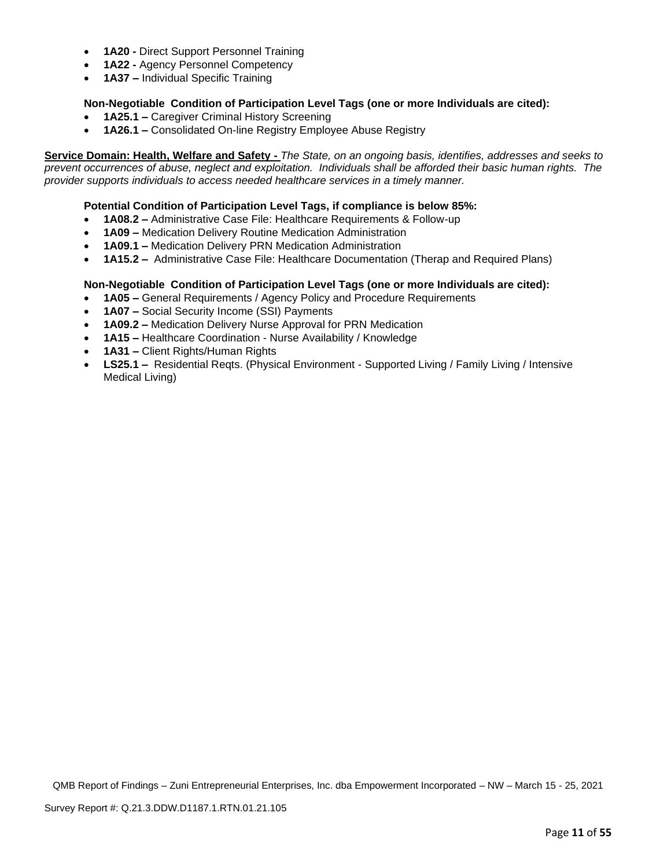- **1A20 -** Direct Support Personnel Training
- **1A22 -** Agency Personnel Competency
- **1A37 –** Individual Specific Training

## **Non-Negotiable Condition of Participation Level Tags (one or more Individuals are cited):**

- **1A25.1 –** Caregiver Criminal History Screening
- **1A26.1 –** Consolidated On-line Registry Employee Abuse Registry

**Service Domain: Health, Welfare and Safety -** *The State, on an ongoing basis, identifies, addresses and seeks to prevent occurrences of abuse, neglect and exploitation. Individuals shall be afforded their basic human rights. The provider supports individuals to access needed healthcare services in a timely manner.*

## **Potential Condition of Participation Level Tags, if compliance is below 85%:**

- **1A08.2 –** Administrative Case File: Healthcare Requirements & Follow-up
- **1A09 –** Medication Delivery Routine Medication Administration
- **1A09.1 –** Medication Delivery PRN Medication Administration
- **1A15.2 –** Administrative Case File: Healthcare Documentation (Therap and Required Plans)

## **Non-Negotiable Condition of Participation Level Tags (one or more Individuals are cited):**

- **1A05 –** General Requirements / Agency Policy and Procedure Requirements
- **1A07 –** Social Security Income (SSI) Payments
- **1A09.2 –** Medication Delivery Nurse Approval for PRN Medication
- **1A15 –** Healthcare Coordination Nurse Availability / Knowledge
- **1A31 –** Client Rights/Human Rights
- **LS25.1 –** Residential Reqts. (Physical Environment Supported Living / Family Living / Intensive Medical Living)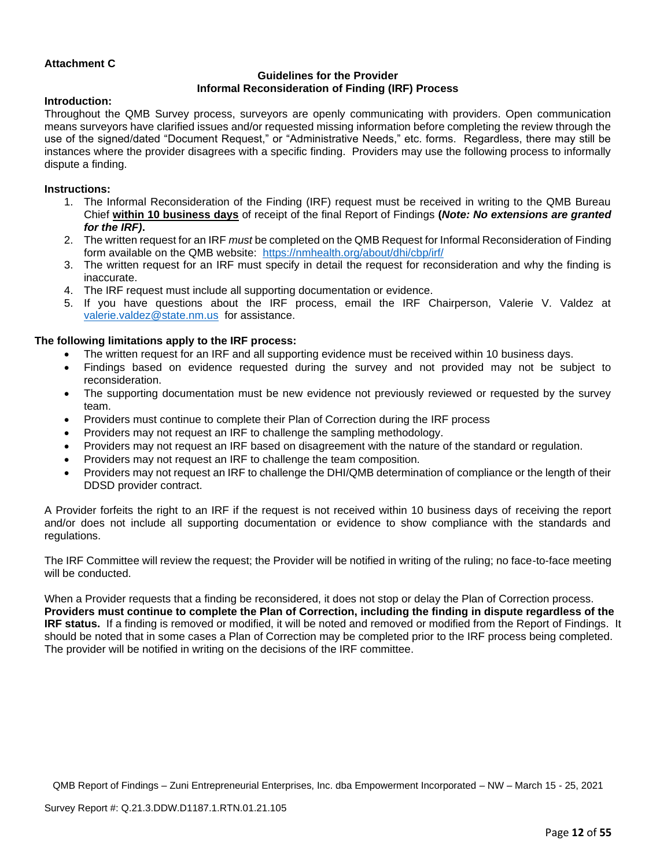## **Attachment C**

## **Guidelines for the Provider Informal Reconsideration of Finding (IRF) Process**

#### **Introduction:**

Throughout the QMB Survey process, surveyors are openly communicating with providers. Open communication means surveyors have clarified issues and/or requested missing information before completing the review through the use of the signed/dated "Document Request," or "Administrative Needs," etc. forms. Regardless, there may still be instances where the provider disagrees with a specific finding. Providers may use the following process to informally dispute a finding.

#### **Instructions:**

- 1. The Informal Reconsideration of the Finding (IRF) request must be received in writing to the QMB Bureau Chief **within 10 business days** of receipt of the final Report of Findings **(***Note: No extensions are granted for the IRF)***.**
- 2. The written request for an IRF *must* be completed on the QMB Request for Informal Reconsideration of Finding form available on the QMB website: <https://nmhealth.org/about/dhi/cbp/irf/>
- 3. The written request for an IRF must specify in detail the request for reconsideration and why the finding is inaccurate.
- 4. The IRF request must include all supporting documentation or evidence.
- 5. If you have questions about the IRF process, email the IRF Chairperson, Valerie V. Valdez at [valerie.valdez@state.nm.us](mailto:valerie.valdez@state.nm.us) for assistance.

#### **The following limitations apply to the IRF process:**

- The written request for an IRF and all supporting evidence must be received within 10 business days.
- Findings based on evidence requested during the survey and not provided may not be subject to reconsideration.
- The supporting documentation must be new evidence not previously reviewed or requested by the survey team.
- Providers must continue to complete their Plan of Correction during the IRF process
- Providers may not request an IRF to challenge the sampling methodology.
- Providers may not request an IRF based on disagreement with the nature of the standard or regulation.
- Providers may not request an IRF to challenge the team composition.
- Providers may not request an IRF to challenge the DHI/QMB determination of compliance or the length of their DDSD provider contract.

A Provider forfeits the right to an IRF if the request is not received within 10 business days of receiving the report and/or does not include all supporting documentation or evidence to show compliance with the standards and regulations.

The IRF Committee will review the request; the Provider will be notified in writing of the ruling; no face-to-face meeting will be conducted.

When a Provider requests that a finding be reconsidered, it does not stop or delay the Plan of Correction process. **Providers must continue to complete the Plan of Correction, including the finding in dispute regardless of the IRF status.** If a finding is removed or modified, it will be noted and removed or modified from the Report of Findings. It should be noted that in some cases a Plan of Correction may be completed prior to the IRF process being completed. The provider will be notified in writing on the decisions of the IRF committee.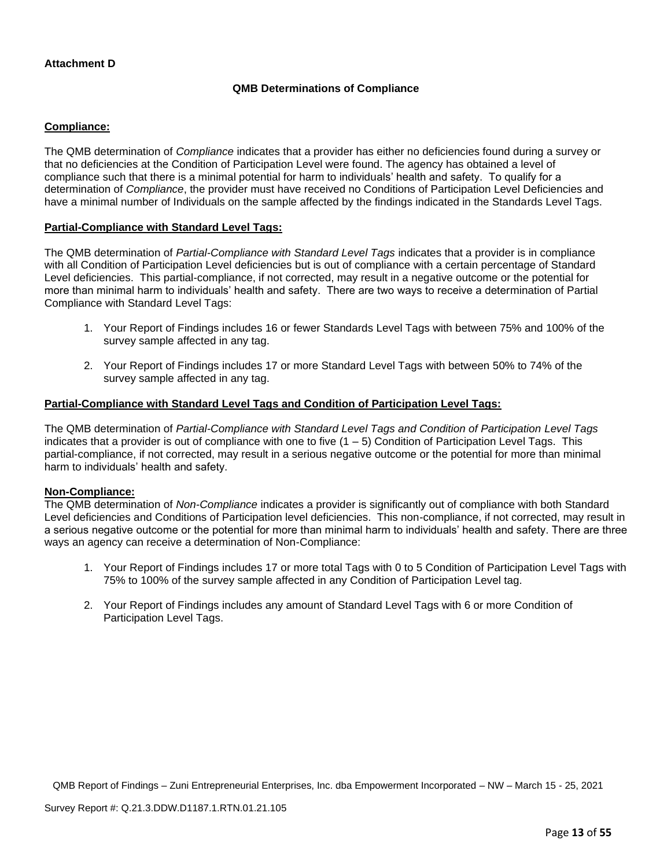## **Attachment D**

#### **QMB Determinations of Compliance**

#### **Compliance:**

The QMB determination of *Compliance* indicates that a provider has either no deficiencies found during a survey or that no deficiencies at the Condition of Participation Level were found. The agency has obtained a level of compliance such that there is a minimal potential for harm to individuals' health and safety. To qualify for a determination of *Compliance*, the provider must have received no Conditions of Participation Level Deficiencies and have a minimal number of Individuals on the sample affected by the findings indicated in the Standards Level Tags.

#### **Partial-Compliance with Standard Level Tags:**

The QMB determination of *Partial-Compliance with Standard Level Tags* indicates that a provider is in compliance with all Condition of Participation Level deficiencies but is out of compliance with a certain percentage of Standard Level deficiencies. This partial-compliance, if not corrected, may result in a negative outcome or the potential for more than minimal harm to individuals' health and safety. There are two ways to receive a determination of Partial Compliance with Standard Level Tags:

- 1. Your Report of Findings includes 16 or fewer Standards Level Tags with between 75% and 100% of the survey sample affected in any tag.
- 2. Your Report of Findings includes 17 or more Standard Level Tags with between 50% to 74% of the survey sample affected in any tag.

## **Partial-Compliance with Standard Level Tags and Condition of Participation Level Tags:**

The QMB determination of *Partial-Compliance with Standard Level Tags and Condition of Participation Level Tags*  indicates that a provider is out of compliance with one to five  $(1 - 5)$  Condition of Participation Level Tags. This partial-compliance, if not corrected, may result in a serious negative outcome or the potential for more than minimal harm to individuals' health and safety.

#### **Non-Compliance:**

The QMB determination of *Non-Compliance* indicates a provider is significantly out of compliance with both Standard Level deficiencies and Conditions of Participation level deficiencies. This non-compliance, if not corrected, may result in a serious negative outcome or the potential for more than minimal harm to individuals' health and safety. There are three ways an agency can receive a determination of Non-Compliance:

- 1. Your Report of Findings includes 17 or more total Tags with 0 to 5 Condition of Participation Level Tags with 75% to 100% of the survey sample affected in any Condition of Participation Level tag.
- 2. Your Report of Findings includes any amount of Standard Level Tags with 6 or more Condition of Participation Level Tags.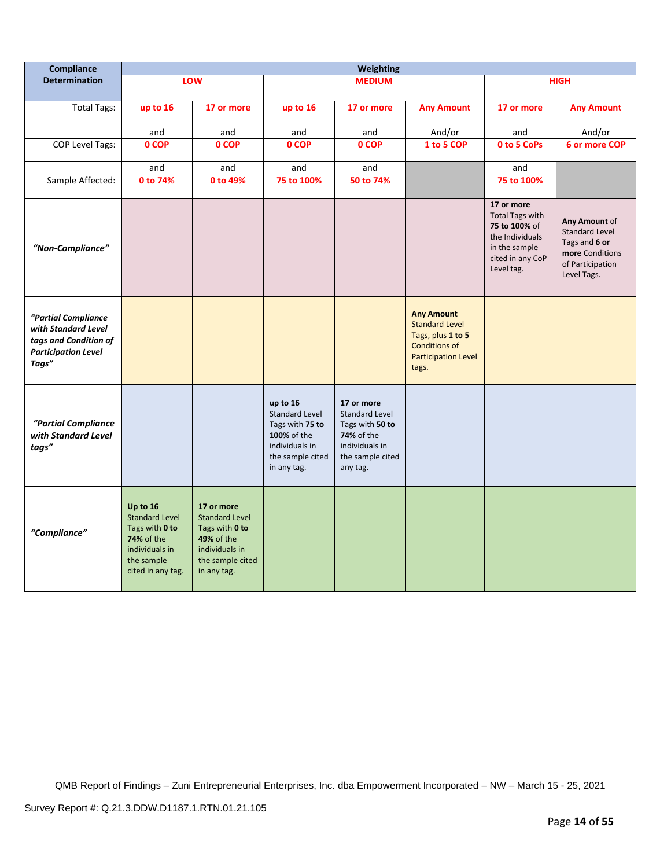| Compliance                                                                                                 |                                                                                                                               |                                                                                                                                 |                                                                                                                          | <b>Weighting</b>                                                                                                              |                                                                                                                                |                                                                                                                             |                                                                                                               |
|------------------------------------------------------------------------------------------------------------|-------------------------------------------------------------------------------------------------------------------------------|---------------------------------------------------------------------------------------------------------------------------------|--------------------------------------------------------------------------------------------------------------------------|-------------------------------------------------------------------------------------------------------------------------------|--------------------------------------------------------------------------------------------------------------------------------|-----------------------------------------------------------------------------------------------------------------------------|---------------------------------------------------------------------------------------------------------------|
| <b>Determination</b>                                                                                       |                                                                                                                               | LOW                                                                                                                             |                                                                                                                          | <b>MEDIUM</b>                                                                                                                 |                                                                                                                                |                                                                                                                             | <b>HIGH</b>                                                                                                   |
| <b>Total Tags:</b>                                                                                         | up to 16                                                                                                                      | 17 or more                                                                                                                      | up to 16                                                                                                                 | 17 or more                                                                                                                    | <b>Any Amount</b>                                                                                                              | 17 or more                                                                                                                  | <b>Any Amount</b>                                                                                             |
|                                                                                                            | and                                                                                                                           | and                                                                                                                             | and                                                                                                                      | and                                                                                                                           | And/or                                                                                                                         | and                                                                                                                         | And/or                                                                                                        |
| <b>COP Level Tags:</b>                                                                                     | 0 COP                                                                                                                         | 0 COP                                                                                                                           | 0 COP                                                                                                                    | 0 COP                                                                                                                         | 1 to 5 COP                                                                                                                     | 0 to 5 CoPs                                                                                                                 | 6 or more COP                                                                                                 |
|                                                                                                            | and                                                                                                                           | and                                                                                                                             | and                                                                                                                      | and                                                                                                                           |                                                                                                                                | and                                                                                                                         |                                                                                                               |
| Sample Affected:                                                                                           | 0 to 74%                                                                                                                      | 0 to 49%                                                                                                                        | 75 to 100%                                                                                                               | 50 to 74%                                                                                                                     |                                                                                                                                | 75 to 100%                                                                                                                  |                                                                                                               |
| "Non-Compliance"                                                                                           |                                                                                                                               |                                                                                                                                 |                                                                                                                          |                                                                                                                               |                                                                                                                                | 17 or more<br><b>Total Tags with</b><br>75 to 100% of<br>the Individuals<br>in the sample<br>cited in any CoP<br>Level tag. | Any Amount of<br><b>Standard Level</b><br>Tags and 6 or<br>more Conditions<br>of Participation<br>Level Tags. |
| "Partial Compliance<br>with Standard Level<br>tags and Condition of<br><b>Participation Level</b><br>Tags" |                                                                                                                               |                                                                                                                                 |                                                                                                                          |                                                                                                                               | <b>Any Amount</b><br><b>Standard Level</b><br>Tags, plus 1 to 5<br><b>Conditions of</b><br><b>Participation Level</b><br>tags. |                                                                                                                             |                                                                                                               |
| "Partial Compliance<br>with Standard Level<br>tags"                                                        |                                                                                                                               |                                                                                                                                 | up to 16<br><b>Standard Level</b><br>Tags with 75 to<br>100% of the<br>individuals in<br>the sample cited<br>in any tag. | 17 or more<br><b>Standard Level</b><br>Tags with 50 to<br><b>74%</b> of the<br>individuals in<br>the sample cited<br>any tag. |                                                                                                                                |                                                                                                                             |                                                                                                               |
| "Compliance"                                                                                               | Up to 16<br><b>Standard Level</b><br>Tags with 0 to<br><b>74% of the</b><br>individuals in<br>the sample<br>cited in any tag. | 17 or more<br><b>Standard Level</b><br>Tags with 0 to<br><b>49% of the</b><br>individuals in<br>the sample cited<br>in any tag. |                                                                                                                          |                                                                                                                               |                                                                                                                                |                                                                                                                             |                                                                                                               |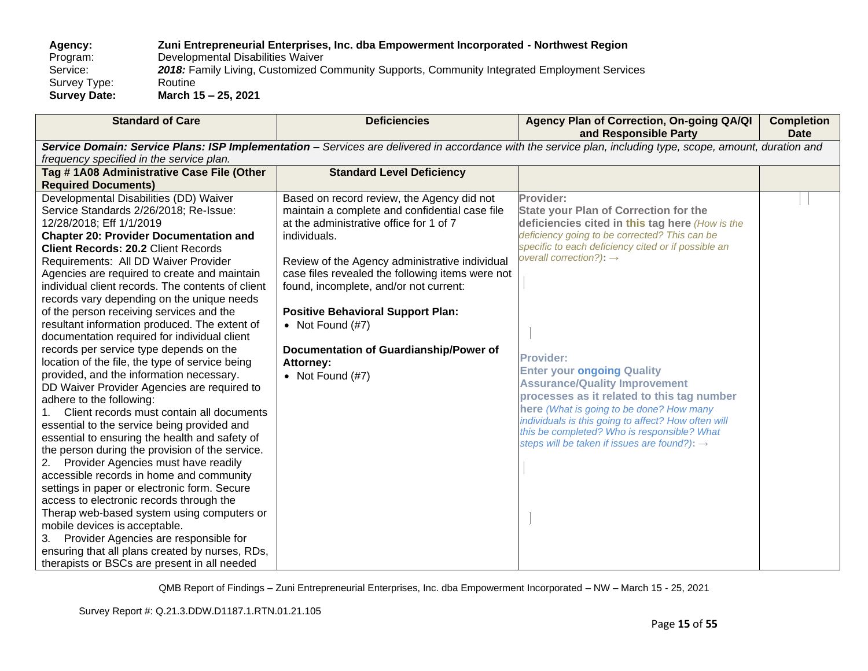## **Agency: Zuni Entrepreneurial Enterprises, Inc. dba Empowerment Incorporated - Northwest Region**

Program: Developmental Disabilities Waiver<br>Service: 2018: Family Living, Customized C

2018: Family Living, Customized Community Supports, Community Integrated Employment Services<br>Routine

Survey Type:<br>Survey Date: **Survey Date: March 15 – 25, 2021**

| <b>Standard of Care</b>                                                                                                                                     | <b>Deficiencies</b>                              | Agency Plan of Correction, On-going QA/QI<br>and Responsible Party | <b>Completion</b><br><b>Date</b> |  |  |  |
|-------------------------------------------------------------------------------------------------------------------------------------------------------------|--------------------------------------------------|--------------------------------------------------------------------|----------------------------------|--|--|--|
| Service Domain: Service Plans: ISP Implementation - Services are delivered in accordance with the service plan, including type, scope, amount, duration and |                                                  |                                                                    |                                  |  |  |  |
| frequency specified in the service plan.                                                                                                                    |                                                  |                                                                    |                                  |  |  |  |
| Tag #1A08 Administrative Case File (Other                                                                                                                   | <b>Standard Level Deficiency</b>                 |                                                                    |                                  |  |  |  |
| <b>Required Documents)</b>                                                                                                                                  |                                                  |                                                                    |                                  |  |  |  |
| Developmental Disabilities (DD) Waiver                                                                                                                      | Based on record review, the Agency did not       | Provider:                                                          |                                  |  |  |  |
| Service Standards 2/26/2018; Re-Issue:                                                                                                                      | maintain a complete and confidential case file   | <b>State your Plan of Correction for the</b>                       |                                  |  |  |  |
| 12/28/2018; Eff 1/1/2019                                                                                                                                    | at the administrative office for 1 of 7          | deficiencies cited in this tag here (How is the                    |                                  |  |  |  |
| <b>Chapter 20: Provider Documentation and</b>                                                                                                               | individuals.                                     | deficiency going to be corrected? This can be                      |                                  |  |  |  |
| <b>Client Records: 20.2 Client Records</b>                                                                                                                  |                                                  | specific to each deficiency cited or if possible an                |                                  |  |  |  |
| Requirements: All DD Waiver Provider                                                                                                                        | Review of the Agency administrative individual   | overall correction?): $\rightarrow$                                |                                  |  |  |  |
| Agencies are required to create and maintain                                                                                                                | case files revealed the following items were not |                                                                    |                                  |  |  |  |
| individual client records. The contents of client                                                                                                           | found, incomplete, and/or not current:           |                                                                    |                                  |  |  |  |
| records vary depending on the unique needs                                                                                                                  |                                                  |                                                                    |                                  |  |  |  |
| of the person receiving services and the                                                                                                                    | <b>Positive Behavioral Support Plan:</b>         |                                                                    |                                  |  |  |  |
| resultant information produced. The extent of                                                                                                               | • Not Found $(\#7)$                              |                                                                    |                                  |  |  |  |
| documentation required for individual client                                                                                                                |                                                  |                                                                    |                                  |  |  |  |
| records per service type depends on the                                                                                                                     | Documentation of Guardianship/Power of           | <b>Provider:</b>                                                   |                                  |  |  |  |
| location of the file, the type of service being                                                                                                             | Attorney:                                        | <b>Enter your ongoing Quality</b>                                  |                                  |  |  |  |
| provided, and the information necessary.                                                                                                                    | • Not Found $(H7)$                               | <b>Assurance/Quality Improvement</b>                               |                                  |  |  |  |
| DD Waiver Provider Agencies are required to                                                                                                                 |                                                  | processes as it related to this tag number                         |                                  |  |  |  |
| adhere to the following:                                                                                                                                    |                                                  | here (What is going to be done? How many                           |                                  |  |  |  |
| Client records must contain all documents                                                                                                                   |                                                  | individuals is this going to affect? How often will                |                                  |  |  |  |
| essential to the service being provided and                                                                                                                 |                                                  | this be completed? Who is responsible? What                        |                                  |  |  |  |
| essential to ensuring the health and safety of<br>the person during the provision of the service.                                                           |                                                  | steps will be taken if issues are found?): $\rightarrow$           |                                  |  |  |  |
| Provider Agencies must have readily<br>2.                                                                                                                   |                                                  |                                                                    |                                  |  |  |  |
| accessible records in home and community                                                                                                                    |                                                  |                                                                    |                                  |  |  |  |
| settings in paper or electronic form. Secure                                                                                                                |                                                  |                                                                    |                                  |  |  |  |
| access to electronic records through the                                                                                                                    |                                                  |                                                                    |                                  |  |  |  |
| Therap web-based system using computers or                                                                                                                  |                                                  |                                                                    |                                  |  |  |  |
| mobile devices is acceptable.                                                                                                                               |                                                  |                                                                    |                                  |  |  |  |
| Provider Agencies are responsible for<br>3.                                                                                                                 |                                                  |                                                                    |                                  |  |  |  |
| ensuring that all plans created by nurses, RDs,                                                                                                             |                                                  |                                                                    |                                  |  |  |  |
| therapists or BSCs are present in all needed                                                                                                                |                                                  |                                                                    |                                  |  |  |  |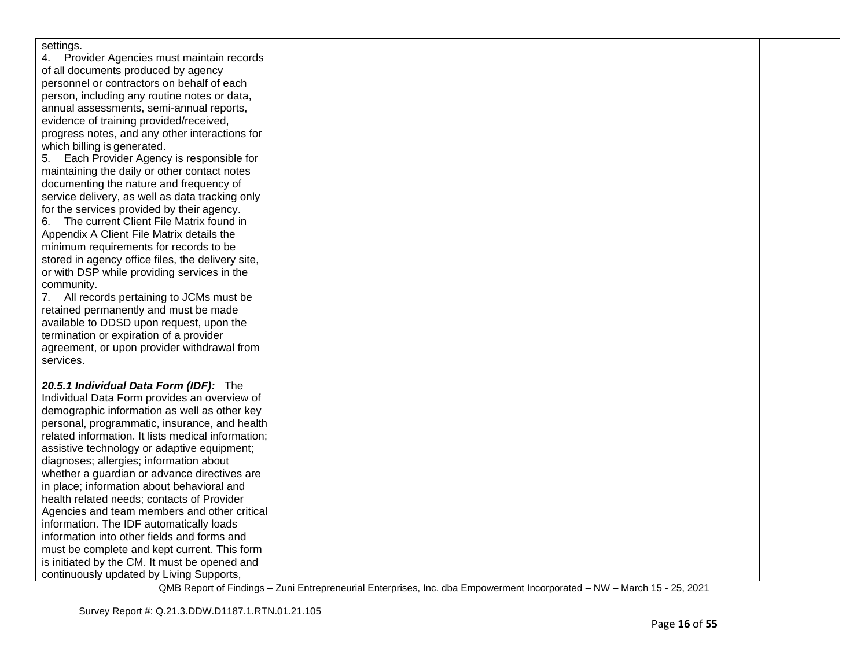| settings.                                          |  |  |
|----------------------------------------------------|--|--|
| 4. Provider Agencies must maintain records         |  |  |
| of all documents produced by agency                |  |  |
| personnel or contractors on behalf of each         |  |  |
| person, including any routine notes or data,       |  |  |
| annual assessments, semi-annual reports,           |  |  |
| evidence of training provided/received,            |  |  |
|                                                    |  |  |
| progress notes, and any other interactions for     |  |  |
| which billing is generated.                        |  |  |
| Each Provider Agency is responsible for<br>5.      |  |  |
| maintaining the daily or other contact notes       |  |  |
| documenting the nature and frequency of            |  |  |
| service delivery, as well as data tracking only    |  |  |
| for the services provided by their agency.         |  |  |
| The current Client File Matrix found in<br>6.      |  |  |
| Appendix A Client File Matrix details the          |  |  |
| minimum requirements for records to be             |  |  |
| stored in agency office files, the delivery site,  |  |  |
| or with DSP while providing services in the        |  |  |
| community.                                         |  |  |
| 7. All records pertaining to JCMs must be          |  |  |
| retained permanently and must be made              |  |  |
| available to DDSD upon request, upon the           |  |  |
| termination or expiration of a provider            |  |  |
| agreement, or upon provider withdrawal from        |  |  |
| services.                                          |  |  |
|                                                    |  |  |
| 20.5.1 Individual Data Form (IDF): The             |  |  |
| Individual Data Form provides an overview of       |  |  |
| demographic information as well as other key       |  |  |
| personal, programmatic, insurance, and health      |  |  |
| related information. It lists medical information; |  |  |
| assistive technology or adaptive equipment;        |  |  |
| diagnoses; allergies; information about            |  |  |
| whether a guardian or advance directives are       |  |  |
| in place; information about behavioral and         |  |  |
| health related needs; contacts of Provider         |  |  |
| Agencies and team members and other critical       |  |  |
| information. The IDF automatically loads           |  |  |
| information into other fields and forms and        |  |  |
| must be complete and kept current. This form       |  |  |
| is initiated by the CM. It must be opened and      |  |  |
| continuously updated by Living Supports,           |  |  |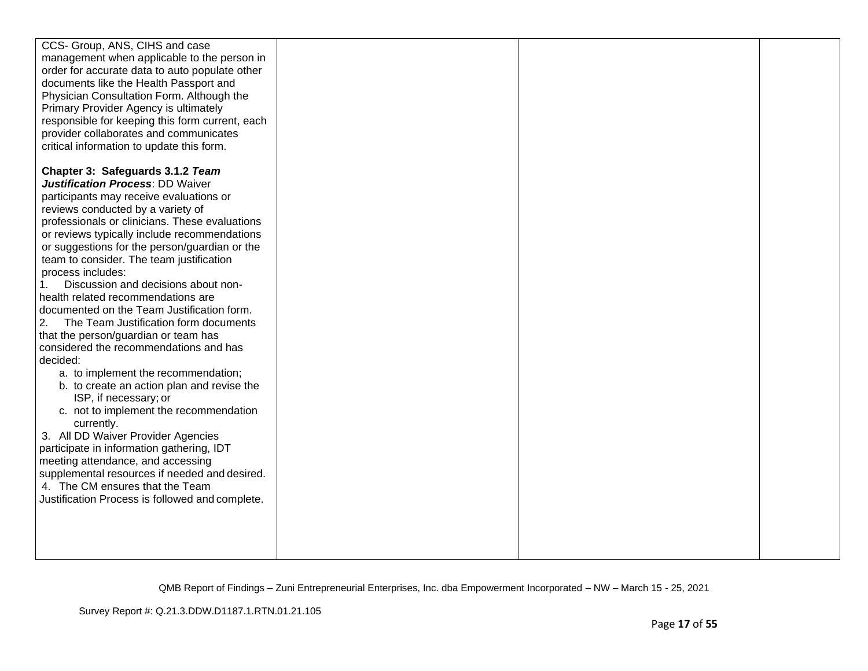| CCS- Group, ANS, CIHS and case                  |  |  |
|-------------------------------------------------|--|--|
| management when applicable to the person in     |  |  |
| order for accurate data to auto populate other  |  |  |
| documents like the Health Passport and          |  |  |
| Physician Consultation Form. Although the       |  |  |
| Primary Provider Agency is ultimately           |  |  |
| responsible for keeping this form current, each |  |  |
| provider collaborates and communicates          |  |  |
| critical information to update this form.       |  |  |
|                                                 |  |  |
| Chapter 3: Safeguards 3.1.2 Team                |  |  |
| <b>Justification Process: DD Waiver</b>         |  |  |
| participants may receive evaluations or         |  |  |
| reviews conducted by a variety of               |  |  |
| professionals or clinicians. These evaluations  |  |  |
|                                                 |  |  |
| or reviews typically include recommendations    |  |  |
| or suggestions for the person/guardian or the   |  |  |
| team to consider. The team justification        |  |  |
| process includes:                               |  |  |
| Discussion and decisions about non-<br>1.       |  |  |
| health related recommendations are              |  |  |
| documented on the Team Justification form.      |  |  |
| The Team Justification form documents<br>2.     |  |  |
| that the person/guardian or team has            |  |  |
| considered the recommendations and has          |  |  |
| decided:                                        |  |  |
| a. to implement the recommendation;             |  |  |
| b. to create an action plan and revise the      |  |  |
| ISP, if necessary; or                           |  |  |
| c. not to implement the recommendation          |  |  |
| currently.                                      |  |  |
| 3. All DD Waiver Provider Agencies              |  |  |
| participate in information gathering, IDT       |  |  |
| meeting attendance, and accessing               |  |  |
| supplemental resources if needed and desired.   |  |  |
| 4. The CM ensures that the Team                 |  |  |
| Justification Process is followed and complete. |  |  |
|                                                 |  |  |
|                                                 |  |  |
|                                                 |  |  |
|                                                 |  |  |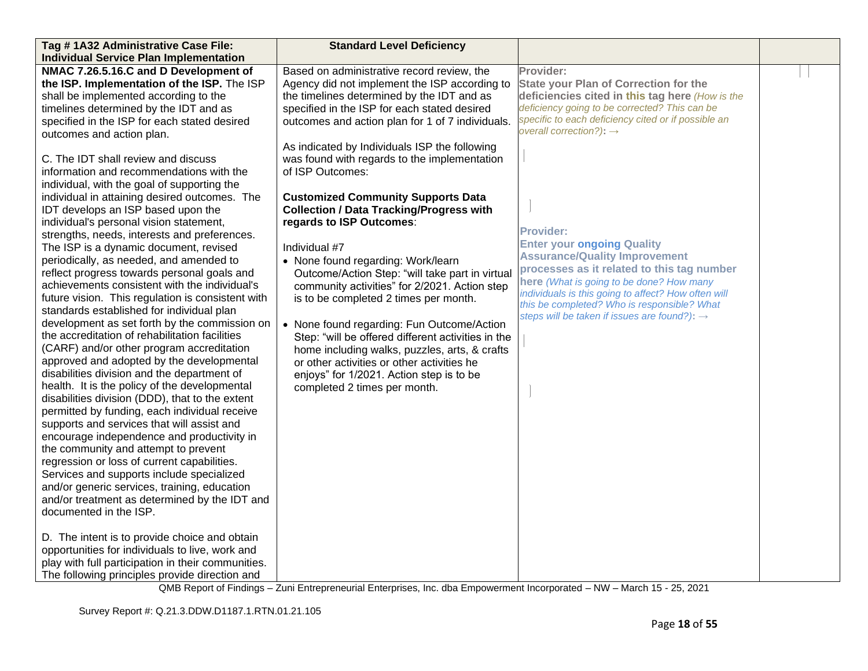| Tag #1A32 Administrative Case File:                | <b>Standard Level Deficiency</b>                   |                                                          |  |
|----------------------------------------------------|----------------------------------------------------|----------------------------------------------------------|--|
| <b>Individual Service Plan Implementation</b>      |                                                    |                                                          |  |
| NMAC 7.26.5.16.C and D Development of              | Based on administrative record review, the         | Provider:                                                |  |
| the ISP. Implementation of the ISP. The ISP        | Agency did not implement the ISP according to      | <b>State your Plan of Correction for the</b>             |  |
| shall be implemented according to the              | the timelines determined by the IDT and as         | deficiencies cited in this tag here (How is the          |  |
| timelines determined by the IDT and as             | specified in the ISP for each stated desired       | deficiency going to be corrected? This can be            |  |
| specified in the ISP for each stated desired       | outcomes and action plan for 1 of 7 individuals.   | specific to each deficiency cited or if possible an      |  |
| outcomes and action plan.                          |                                                    | overall correction?): $\rightarrow$                      |  |
|                                                    | As indicated by Individuals ISP the following      |                                                          |  |
| C. The IDT shall review and discuss                | was found with regards to the implementation       |                                                          |  |
| information and recommendations with the           | of ISP Outcomes:                                   |                                                          |  |
| individual, with the goal of supporting the        |                                                    |                                                          |  |
| individual in attaining desired outcomes. The      | <b>Customized Community Supports Data</b>          |                                                          |  |
| IDT develops an ISP based upon the                 | <b>Collection / Data Tracking/Progress with</b>    |                                                          |  |
| individual's personal vision statement,            | regards to ISP Outcomes:                           |                                                          |  |
| strengths, needs, interests and preferences.       |                                                    | <b>Provider:</b>                                         |  |
| The ISP is a dynamic document, revised             | Individual #7                                      | <b>Enter your ongoing Quality</b>                        |  |
| periodically, as needed, and amended to            | • None found regarding: Work/learn                 | <b>Assurance/Quality Improvement</b>                     |  |
| reflect progress towards personal goals and        | Outcome/Action Step: "will take part in virtual    | processes as it related to this tag number               |  |
| achievements consistent with the individual's      | community activities" for 2/2021. Action step      | here (What is going to be done? How many                 |  |
| future vision. This regulation is consistent with  | is to be completed 2 times per month.              | individuals is this going to affect? How often will      |  |
| standards established for individual plan          |                                                    | this be completed? Who is responsible? What              |  |
| development as set forth by the commission on      | • None found regarding: Fun Outcome/Action         | steps will be taken if issues are found?): $\rightarrow$ |  |
| the accreditation of rehabilitation facilities     | Step: "will be offered different activities in the |                                                          |  |
| (CARF) and/or other program accreditation          | home including walks, puzzles, arts, & crafts      |                                                          |  |
| approved and adopted by the developmental          | or other activities or other activities he         |                                                          |  |
| disabilities division and the department of        | enjoys" for 1/2021. Action step is to be           |                                                          |  |
| health. It is the policy of the developmental      | completed 2 times per month.                       |                                                          |  |
| disabilities division (DDD), that to the extent    |                                                    |                                                          |  |
| permitted by funding, each individual receive      |                                                    |                                                          |  |
| supports and services that will assist and         |                                                    |                                                          |  |
| encourage independence and productivity in         |                                                    |                                                          |  |
| the community and attempt to prevent               |                                                    |                                                          |  |
| regression or loss of current capabilities.        |                                                    |                                                          |  |
| Services and supports include specialized          |                                                    |                                                          |  |
| and/or generic services, training, education       |                                                    |                                                          |  |
| and/or treatment as determined by the IDT and      |                                                    |                                                          |  |
| documented in the ISP.                             |                                                    |                                                          |  |
|                                                    |                                                    |                                                          |  |
| D. The intent is to provide choice and obtain      |                                                    |                                                          |  |
| opportunities for individuals to live, work and    |                                                    |                                                          |  |
| play with full participation in their communities. |                                                    |                                                          |  |
| The following principles provide direction and     |                                                    |                                                          |  |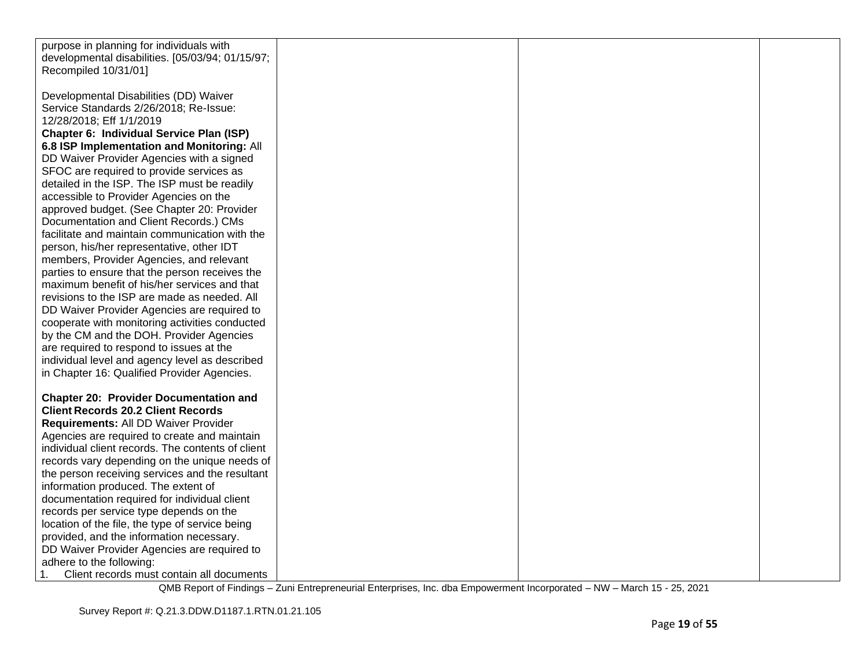| purpose in planning for individuals with          |  |  |
|---------------------------------------------------|--|--|
| developmental disabilities. [05/03/94; 01/15/97;  |  |  |
| Recompiled 10/31/01]                              |  |  |
|                                                   |  |  |
| Developmental Disabilities (DD) Waiver            |  |  |
| Service Standards 2/26/2018; Re-Issue:            |  |  |
| 12/28/2018; Eff 1/1/2019                          |  |  |
| Chapter 6: Individual Service Plan (ISP)          |  |  |
| 6.8 ISP Implementation and Monitoring: All        |  |  |
| DD Waiver Provider Agencies with a signed         |  |  |
| SFOC are required to provide services as          |  |  |
| detailed in the ISP. The ISP must be readily      |  |  |
| accessible to Provider Agencies on the            |  |  |
| approved budget. (See Chapter 20: Provider        |  |  |
| Documentation and Client Records.) CMs            |  |  |
| facilitate and maintain communication with the    |  |  |
| person, his/her representative, other IDT         |  |  |
| members, Provider Agencies, and relevant          |  |  |
| parties to ensure that the person receives the    |  |  |
| maximum benefit of his/her services and that      |  |  |
| revisions to the ISP are made as needed. All      |  |  |
| DD Waiver Provider Agencies are required to       |  |  |
| cooperate with monitoring activities conducted    |  |  |
| by the CM and the DOH. Provider Agencies          |  |  |
| are required to respond to issues at the          |  |  |
| individual level and agency level as described    |  |  |
| in Chapter 16: Qualified Provider Agencies.       |  |  |
|                                                   |  |  |
| <b>Chapter 20: Provider Documentation and</b>     |  |  |
| <b>Client Records 20.2 Client Records</b>         |  |  |
| Requirements: All DD Waiver Provider              |  |  |
| Agencies are required to create and maintain      |  |  |
| individual client records. The contents of client |  |  |
| records vary depending on the unique needs of     |  |  |
| the person receiving services and the resultant   |  |  |
| information produced. The extent of               |  |  |
| documentation required for individual client      |  |  |
| records per service type depends on the           |  |  |
| location of the file, the type of service being   |  |  |
| provided, and the information necessary.          |  |  |
| DD Waiver Provider Agencies are required to       |  |  |
| adhere to the following:                          |  |  |
| 1.<br>Client records must contain all documents   |  |  |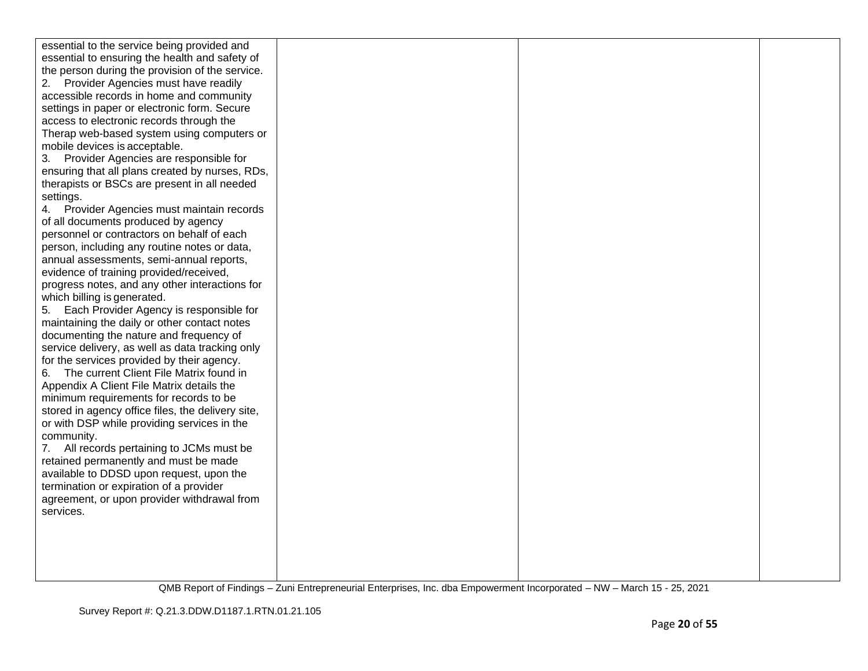| essential to the service being provided and       |  |  |
|---------------------------------------------------|--|--|
| essential to ensuring the health and safety of    |  |  |
| the person during the provision of the service.   |  |  |
| Provider Agencies must have readily<br>2.         |  |  |
| accessible records in home and community          |  |  |
| settings in paper or electronic form. Secure      |  |  |
| access to electronic records through the          |  |  |
| Therap web-based system using computers or        |  |  |
| mobile devices is acceptable.                     |  |  |
| Provider Agencies are responsible for<br>3.       |  |  |
| ensuring that all plans created by nurses, RDs,   |  |  |
| therapists or BSCs are present in all needed      |  |  |
| settings.                                         |  |  |
| Provider Agencies must maintain records<br>4.     |  |  |
| of all documents produced by agency               |  |  |
| personnel or contractors on behalf of each        |  |  |
| person, including any routine notes or data,      |  |  |
| annual assessments, semi-annual reports,          |  |  |
| evidence of training provided/received,           |  |  |
| progress notes, and any other interactions for    |  |  |
| which billing is generated.                       |  |  |
| Each Provider Agency is responsible for<br>5.     |  |  |
| maintaining the daily or other contact notes      |  |  |
| documenting the nature and frequency of           |  |  |
| service delivery, as well as data tracking only   |  |  |
| for the services provided by their agency.        |  |  |
| The current Client File Matrix found in<br>6.     |  |  |
| Appendix A Client File Matrix details the         |  |  |
| minimum requirements for records to be            |  |  |
| stored in agency office files, the delivery site, |  |  |
| or with DSP while providing services in the       |  |  |
| community.                                        |  |  |
| All records pertaining to JCMs must be<br>7.      |  |  |
| retained permanently and must be made             |  |  |
| available to DDSD upon request, upon the          |  |  |
| termination or expiration of a provider           |  |  |
| agreement, or upon provider withdrawal from       |  |  |
| services.                                         |  |  |
|                                                   |  |  |
|                                                   |  |  |
|                                                   |  |  |
|                                                   |  |  |
|                                                   |  |  |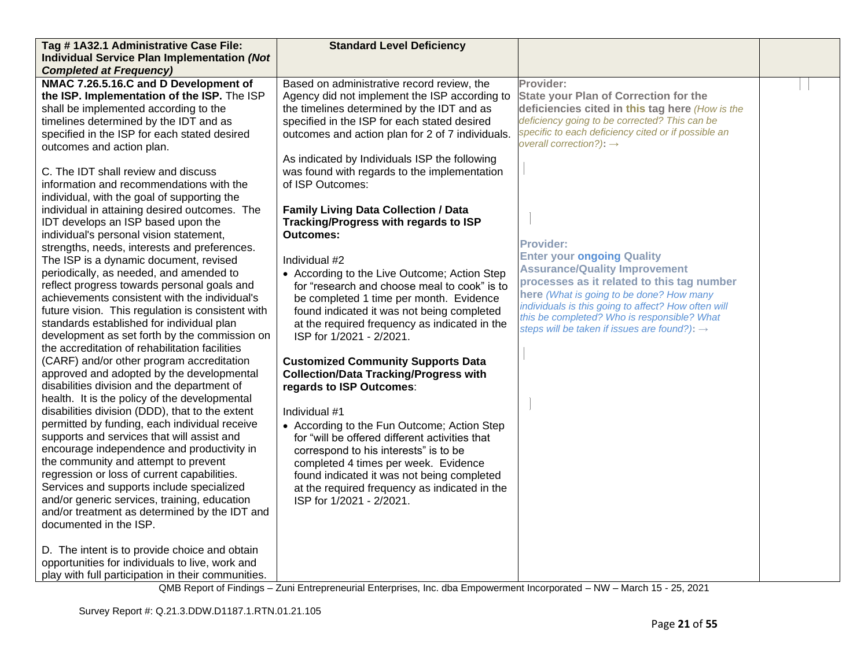| Tag #1A32.1 Administrative Case File:              | <b>Standard Level Deficiency</b>                 |                                                          |  |
|----------------------------------------------------|--------------------------------------------------|----------------------------------------------------------|--|
| <b>Individual Service Plan Implementation (Not</b> |                                                  |                                                          |  |
| <b>Completed at Frequency)</b>                     |                                                  |                                                          |  |
| NMAC 7.26.5.16.C and D Development of              | Based on administrative record review, the       | Provider:                                                |  |
| the ISP. Implementation of the ISP. The ISP        | Agency did not implement the ISP according to    | <b>State your Plan of Correction for the</b>             |  |
| shall be implemented according to the              | the timelines determined by the IDT and as       | deficiencies cited in this tag here (How is the          |  |
| timelines determined by the IDT and as             | specified in the ISP for each stated desired     | deficiency going to be corrected? This can be            |  |
| specified in the ISP for each stated desired       | outcomes and action plan for 2 of 7 individuals. | specific to each deficiency cited or if possible an      |  |
| outcomes and action plan.                          |                                                  | overall correction?): $\rightarrow$                      |  |
|                                                    | As indicated by Individuals ISP the following    |                                                          |  |
| C. The IDT shall review and discuss                | was found with regards to the implementation     |                                                          |  |
| information and recommendations with the           | of ISP Outcomes:                                 |                                                          |  |
| individual, with the goal of supporting the        |                                                  |                                                          |  |
| individual in attaining desired outcomes. The      | <b>Family Living Data Collection / Data</b>      |                                                          |  |
| IDT develops an ISP based upon the                 | Tracking/Progress with regards to ISP            |                                                          |  |
| individual's personal vision statement,            | <b>Outcomes:</b>                                 |                                                          |  |
| strengths, needs, interests and preferences.       |                                                  | <b>Provider:</b>                                         |  |
| The ISP is a dynamic document, revised             | Individual #2                                    | <b>Enter your ongoing Quality</b>                        |  |
| periodically, as needed, and amended to            | • According to the Live Outcome; Action Step     | <b>Assurance/Quality Improvement</b>                     |  |
| reflect progress towards personal goals and        | for "research and choose meal to cook" is to     | processes as it related to this tag number               |  |
| achievements consistent with the individual's      | be completed 1 time per month. Evidence          | here (What is going to be done? How many                 |  |
| future vision. This regulation is consistent with  | found indicated it was not being completed       | individuals is this going to affect? How often will      |  |
| standards established for individual plan          | at the required frequency as indicated in the    | this be completed? Who is responsible? What              |  |
| development as set forth by the commission on      | ISP for 1/2021 - 2/2021.                         | steps will be taken if issues are found?): $\rightarrow$ |  |
| the accreditation of rehabilitation facilities     |                                                  |                                                          |  |
| (CARF) and/or other program accreditation          | <b>Customized Community Supports Data</b>        |                                                          |  |
| approved and adopted by the developmental          | <b>Collection/Data Tracking/Progress with</b>    |                                                          |  |
| disabilities division and the department of        | regards to ISP Outcomes:                         |                                                          |  |
| health. It is the policy of the developmental      |                                                  |                                                          |  |
| disabilities division (DDD), that to the extent    | Individual #1                                    |                                                          |  |
| permitted by funding, each individual receive      | • According to the Fun Outcome; Action Step      |                                                          |  |
| supports and services that will assist and         | for "will be offered different activities that   |                                                          |  |
| encourage independence and productivity in         | correspond to his interests" is to be            |                                                          |  |
| the community and attempt to prevent               | completed 4 times per week. Evidence             |                                                          |  |
| regression or loss of current capabilities.        | found indicated it was not being completed       |                                                          |  |
| Services and supports include specialized          | at the required frequency as indicated in the    |                                                          |  |
| and/or generic services, training, education       | ISP for 1/2021 - 2/2021.                         |                                                          |  |
| and/or treatment as determined by the IDT and      |                                                  |                                                          |  |
| documented in the ISP.                             |                                                  |                                                          |  |
|                                                    |                                                  |                                                          |  |
| D. The intent is to provide choice and obtain      |                                                  |                                                          |  |
| opportunities for individuals to live, work and    |                                                  |                                                          |  |
| play with full participation in their communities. |                                                  |                                                          |  |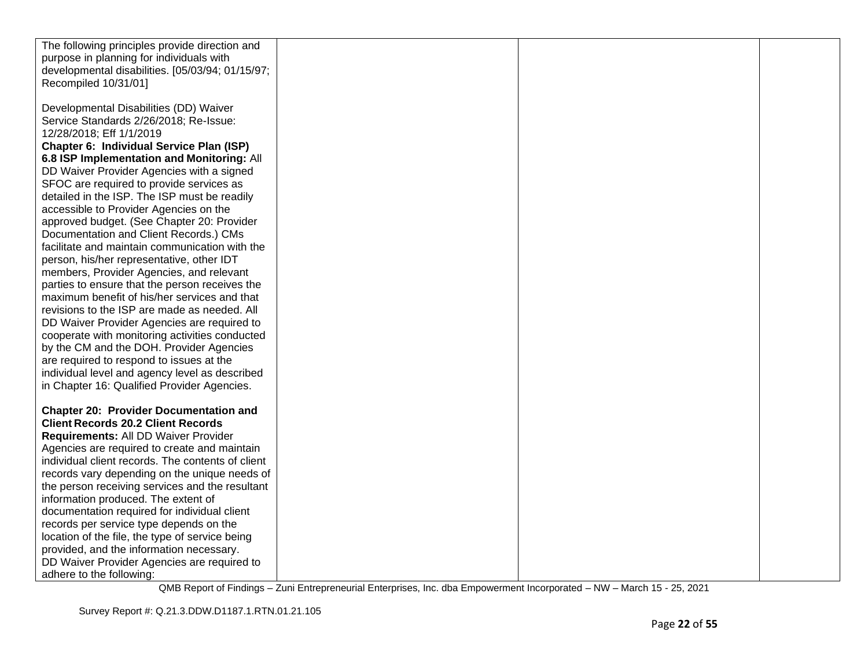| The following principles provide direction and    |  |  |
|---------------------------------------------------|--|--|
| purpose in planning for individuals with          |  |  |
| developmental disabilities. [05/03/94; 01/15/97;  |  |  |
| Recompiled 10/31/01]                              |  |  |
|                                                   |  |  |
| Developmental Disabilities (DD) Waiver            |  |  |
| Service Standards 2/26/2018; Re-Issue:            |  |  |
| 12/28/2018; Eff 1/1/2019                          |  |  |
|                                                   |  |  |
| Chapter 6: Individual Service Plan (ISP)          |  |  |
| 6.8 ISP Implementation and Monitoring: All        |  |  |
| DD Waiver Provider Agencies with a signed         |  |  |
| SFOC are required to provide services as          |  |  |
| detailed in the ISP. The ISP must be readily      |  |  |
| accessible to Provider Agencies on the            |  |  |
| approved budget. (See Chapter 20: Provider        |  |  |
| Documentation and Client Records.) CMs            |  |  |
| facilitate and maintain communication with the    |  |  |
| person, his/her representative, other IDT         |  |  |
| members, Provider Agencies, and relevant          |  |  |
| parties to ensure that the person receives the    |  |  |
| maximum benefit of his/her services and that      |  |  |
| revisions to the ISP are made as needed. All      |  |  |
| DD Waiver Provider Agencies are required to       |  |  |
| cooperate with monitoring activities conducted    |  |  |
| by the CM and the DOH. Provider Agencies          |  |  |
| are required to respond to issues at the          |  |  |
| individual level and agency level as described    |  |  |
| in Chapter 16: Qualified Provider Agencies.       |  |  |
|                                                   |  |  |
| <b>Chapter 20: Provider Documentation and</b>     |  |  |
| <b>Client Records 20.2 Client Records</b>         |  |  |
| Requirements: All DD Waiver Provider              |  |  |
| Agencies are required to create and maintain      |  |  |
| individual client records. The contents of client |  |  |
| records vary depending on the unique needs of     |  |  |
| the person receiving services and the resultant   |  |  |
| information produced. The extent of               |  |  |
| documentation required for individual client      |  |  |
| records per service type depends on the           |  |  |
| location of the file, the type of service being   |  |  |
| provided, and the information necessary.          |  |  |
| DD Waiver Provider Agencies are required to       |  |  |
| adhere to the following:                          |  |  |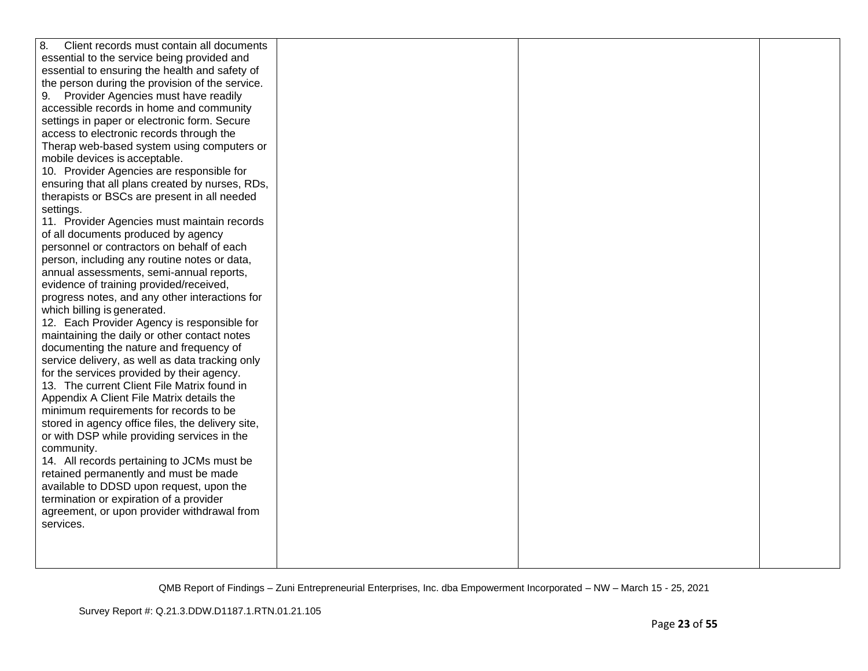| 8.<br>Client records must contain all documents   |  |  |
|---------------------------------------------------|--|--|
| essential to the service being provided and       |  |  |
| essential to ensuring the health and safety of    |  |  |
| the person during the provision of the service.   |  |  |
| 9. Provider Agencies must have readily            |  |  |
| accessible records in home and community          |  |  |
| settings in paper or electronic form. Secure      |  |  |
| access to electronic records through the          |  |  |
| Therap web-based system using computers or        |  |  |
| mobile devices is acceptable.                     |  |  |
| 10. Provider Agencies are responsible for         |  |  |
| ensuring that all plans created by nurses, RDs,   |  |  |
| therapists or BSCs are present in all needed      |  |  |
| settings.                                         |  |  |
| 11. Provider Agencies must maintain records       |  |  |
| of all documents produced by agency               |  |  |
| personnel or contractors on behalf of each        |  |  |
| person, including any routine notes or data,      |  |  |
| annual assessments, semi-annual reports,          |  |  |
| evidence of training provided/received,           |  |  |
| progress notes, and any other interactions for    |  |  |
| which billing is generated.                       |  |  |
| 12. Each Provider Agency is responsible for       |  |  |
| maintaining the daily or other contact notes      |  |  |
| documenting the nature and frequency of           |  |  |
| service delivery, as well as data tracking only   |  |  |
| for the services provided by their agency.        |  |  |
| 13. The current Client File Matrix found in       |  |  |
| Appendix A Client File Matrix details the         |  |  |
| minimum requirements for records to be            |  |  |
| stored in agency office files, the delivery site, |  |  |
| or with DSP while providing services in the       |  |  |
| community.                                        |  |  |
| 14. All records pertaining to JCMs must be        |  |  |
| retained permanently and must be made             |  |  |
| available to DDSD upon request, upon the          |  |  |
| termination or expiration of a provider           |  |  |
| agreement, or upon provider withdrawal from       |  |  |
| services.                                         |  |  |
|                                                   |  |  |
|                                                   |  |  |
|                                                   |  |  |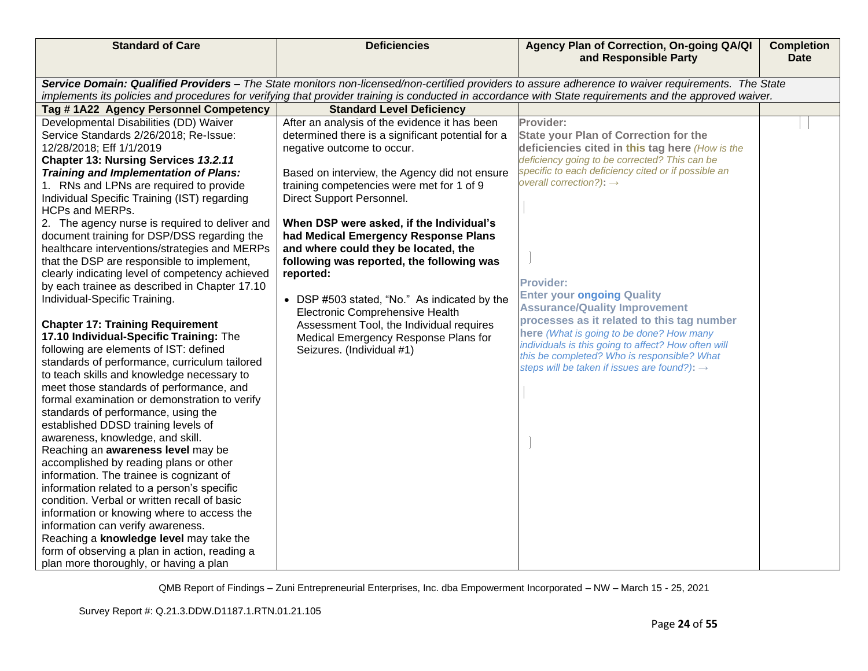| <b>Standard of Care</b>                                                                                                                                                                                                                                                                                                                                                                                                                                                                                                                                                                                                                                                                                                                                                                                                                                                                                                                                                                                                                                                                                                                                                                                                                                                                                                                                                                                                                                                                                                                                  | <b>Deficiencies</b>                                                                                                                                                                                                                                                                                                                                                                                                                                                                                                                                                                                                                                   | Agency Plan of Correction, On-going QA/QI<br>and Responsible Party                                                                                                                                                                                                                                                                                                                                                                                                                                                                                                                                                       | <b>Completion</b><br><b>Date</b> |  |
|----------------------------------------------------------------------------------------------------------------------------------------------------------------------------------------------------------------------------------------------------------------------------------------------------------------------------------------------------------------------------------------------------------------------------------------------------------------------------------------------------------------------------------------------------------------------------------------------------------------------------------------------------------------------------------------------------------------------------------------------------------------------------------------------------------------------------------------------------------------------------------------------------------------------------------------------------------------------------------------------------------------------------------------------------------------------------------------------------------------------------------------------------------------------------------------------------------------------------------------------------------------------------------------------------------------------------------------------------------------------------------------------------------------------------------------------------------------------------------------------------------------------------------------------------------|-------------------------------------------------------------------------------------------------------------------------------------------------------------------------------------------------------------------------------------------------------------------------------------------------------------------------------------------------------------------------------------------------------------------------------------------------------------------------------------------------------------------------------------------------------------------------------------------------------------------------------------------------------|--------------------------------------------------------------------------------------------------------------------------------------------------------------------------------------------------------------------------------------------------------------------------------------------------------------------------------------------------------------------------------------------------------------------------------------------------------------------------------------------------------------------------------------------------------------------------------------------------------------------------|----------------------------------|--|
|                                                                                                                                                                                                                                                                                                                                                                                                                                                                                                                                                                                                                                                                                                                                                                                                                                                                                                                                                                                                                                                                                                                                                                                                                                                                                                                                                                                                                                                                                                                                                          |                                                                                                                                                                                                                                                                                                                                                                                                                                                                                                                                                                                                                                                       |                                                                                                                                                                                                                                                                                                                                                                                                                                                                                                                                                                                                                          |                                  |  |
| Service Domain: Qualified Providers - The State monitors non-licensed/non-certified providers to assure adherence to waiver requirements. The State<br>implements its policies and procedures for verifying that provider training is conducted in accordance with State requirements and the approved waiver.                                                                                                                                                                                                                                                                                                                                                                                                                                                                                                                                                                                                                                                                                                                                                                                                                                                                                                                                                                                                                                                                                                                                                                                                                                           |                                                                                                                                                                                                                                                                                                                                                                                                                                                                                                                                                                                                                                                       |                                                                                                                                                                                                                                                                                                                                                                                                                                                                                                                                                                                                                          |                                  |  |
| Tag #1A22 Agency Personnel Competency                                                                                                                                                                                                                                                                                                                                                                                                                                                                                                                                                                                                                                                                                                                                                                                                                                                                                                                                                                                                                                                                                                                                                                                                                                                                                                                                                                                                                                                                                                                    | <b>Standard Level Deficiency</b>                                                                                                                                                                                                                                                                                                                                                                                                                                                                                                                                                                                                                      |                                                                                                                                                                                                                                                                                                                                                                                                                                                                                                                                                                                                                          |                                  |  |
| Developmental Disabilities (DD) Waiver<br>Service Standards 2/26/2018; Re-Issue:<br>12/28/2018; Eff 1/1/2019<br>Chapter 13: Nursing Services 13.2.11<br>Training and Implementation of Plans:<br>1. RNs and LPNs are required to provide<br>Individual Specific Training (IST) regarding<br><b>HCPs and MERPs.</b><br>2. The agency nurse is required to deliver and<br>document training for DSP/DSS regarding the<br>healthcare interventions/strategies and MERPs<br>that the DSP are responsible to implement,<br>clearly indicating level of competency achieved<br>by each trainee as described in Chapter 17.10<br>Individual-Specific Training.<br><b>Chapter 17: Training Requirement</b><br>17.10 Individual-Specific Training: The<br>following are elements of IST: defined<br>standards of performance, curriculum tailored<br>to teach skills and knowledge necessary to<br>meet those standards of performance, and<br>formal examination or demonstration to verify<br>standards of performance, using the<br>established DDSD training levels of<br>awareness, knowledge, and skill.<br>Reaching an awareness level may be<br>accomplished by reading plans or other<br>information. The trainee is cognizant of<br>information related to a person's specific<br>condition. Verbal or written recall of basic<br>information or knowing where to access the<br>information can verify awareness.<br>Reaching a knowledge level may take the<br>form of observing a plan in action, reading a<br>plan more thoroughly, or having a plan | After an analysis of the evidence it has been<br>determined there is a significant potential for a<br>negative outcome to occur.<br>Based on interview, the Agency did not ensure<br>training competencies were met for 1 of 9<br>Direct Support Personnel.<br>When DSP were asked, if the Individual's<br>had Medical Emergency Response Plans<br>and where could they be located, the<br>following was reported, the following was<br>reported:<br>• DSP #503 stated, "No." As indicated by the<br>Electronic Comprehensive Health<br>Assessment Tool, the Individual requires<br>Medical Emergency Response Plans for<br>Seizures. (Individual #1) | Provider:<br><b>State your Plan of Correction for the</b><br>deficiencies cited in this tag here (How is the<br>deficiency going to be corrected? This can be<br>specific to each deficiency cited or if possible an<br>overall correction?): $\rightarrow$<br><b>Provider:</b><br><b>Enter your ongoing Quality</b><br><b>Assurance/Quality Improvement</b><br>processes as it related to this tag number<br>here (What is going to be done? How many<br>individuals is this going to affect? How often will<br>this be completed? Who is responsible? What<br>steps will be taken if issues are found?): $\rightarrow$ |                                  |  |
|                                                                                                                                                                                                                                                                                                                                                                                                                                                                                                                                                                                                                                                                                                                                                                                                                                                                                                                                                                                                                                                                                                                                                                                                                                                                                                                                                                                                                                                                                                                                                          |                                                                                                                                                                                                                                                                                                                                                                                                                                                                                                                                                                                                                                                       |                                                                                                                                                                                                                                                                                                                                                                                                                                                                                                                                                                                                                          |                                  |  |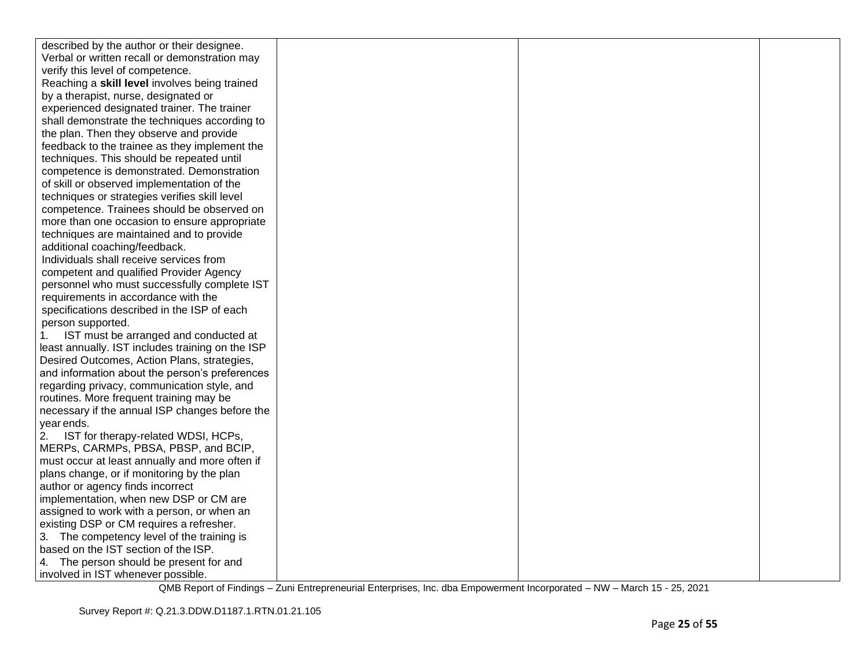| described by the author or their designee.       |  |  |
|--------------------------------------------------|--|--|
| Verbal or written recall or demonstration may    |  |  |
| verify this level of competence.                 |  |  |
| Reaching a skill level involves being trained    |  |  |
| by a therapist, nurse, designated or             |  |  |
| experienced designated trainer. The trainer      |  |  |
| shall demonstrate the techniques according to    |  |  |
| the plan. Then they observe and provide          |  |  |
| feedback to the trainee as they implement the    |  |  |
| techniques. This should be repeated until        |  |  |
| competence is demonstrated. Demonstration        |  |  |
| of skill or observed implementation of the       |  |  |
| techniques or strategies verifies skill level    |  |  |
| competence. Trainees should be observed on       |  |  |
| more than one occasion to ensure appropriate     |  |  |
| techniques are maintained and to provide         |  |  |
| additional coaching/feedback.                    |  |  |
| Individuals shall receive services from          |  |  |
| competent and qualified Provider Agency          |  |  |
| personnel who must successfully complete IST     |  |  |
| requirements in accordance with the              |  |  |
| specifications described in the ISP of each      |  |  |
| person supported.                                |  |  |
| IST must be arranged and conducted at<br>1.      |  |  |
| least annually. IST includes training on the ISP |  |  |
| Desired Outcomes, Action Plans, strategies,      |  |  |
| and information about the person's preferences   |  |  |
| regarding privacy, communication style, and      |  |  |
| routines. More frequent training may be          |  |  |
| necessary if the annual ISP changes before the   |  |  |
| year ends.                                       |  |  |
| IST for therapy-related WDSI, HCPs,<br>2.        |  |  |
| MERPs, CARMPs, PBSA, PBSP, and BCIP,             |  |  |
| must occur at least annually and more often if   |  |  |
| plans change, or if monitoring by the plan       |  |  |
| author or agency finds incorrect                 |  |  |
| implementation, when new DSP or CM are           |  |  |
| assigned to work with a person, or when an       |  |  |
| existing DSP or CM requires a refresher.         |  |  |
| 3. The competency level of the training is       |  |  |
| based on the IST section of the ISP.             |  |  |
| 4. The person should be present for and          |  |  |
| involved in IST whenever possible.               |  |  |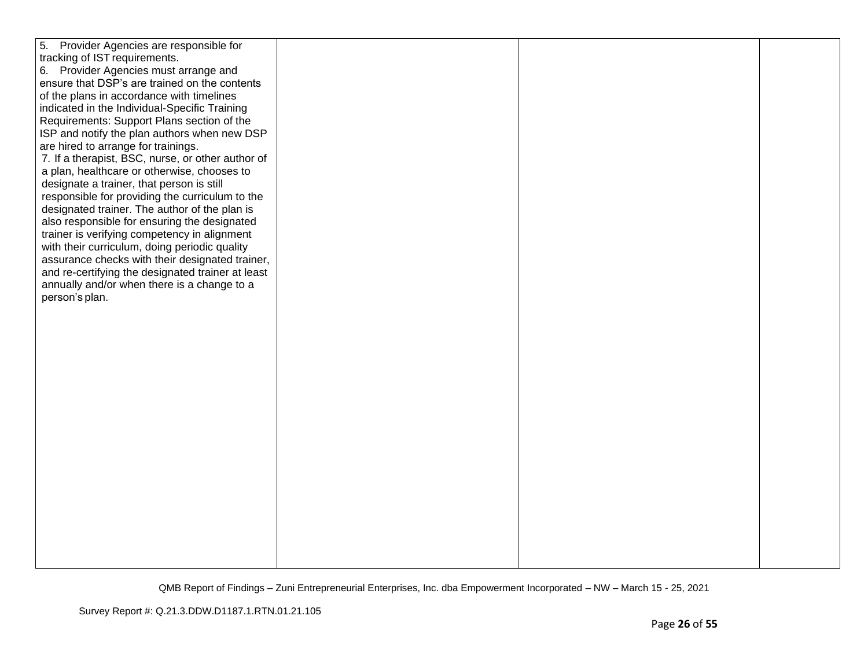| 5. Provider Agencies are responsible for<br>tracking of IST requirements.<br>6. Provider Agencies must arrange and<br>ensure that DSP's are trained on the contents<br>of the plans in accordance with timelines<br>indicated in the Individual-Specific Training<br>Requirements: Support Plans section of the<br>ISP and notify the plan authors when new DSP<br>are hired to arrange for trainings.<br>7. If a therapist, BSC, nurse, or other author of<br>a plan, healthcare or otherwise, chooses to<br>designate a trainer, that person is still<br>responsible for providing the curriculum to the<br>designated trainer. The author of the plan is<br>also responsible for ensuring the designated<br>trainer is verifying competency in alignment<br>with their curriculum, doing periodic quality<br>assurance checks with their designated trainer, |  |  |
|-----------------------------------------------------------------------------------------------------------------------------------------------------------------------------------------------------------------------------------------------------------------------------------------------------------------------------------------------------------------------------------------------------------------------------------------------------------------------------------------------------------------------------------------------------------------------------------------------------------------------------------------------------------------------------------------------------------------------------------------------------------------------------------------------------------------------------------------------------------------|--|--|
| and re-certifying the designated trainer at least<br>annually and/or when there is a change to a<br>person's plan.                                                                                                                                                                                                                                                                                                                                                                                                                                                                                                                                                                                                                                                                                                                                              |  |  |
|                                                                                                                                                                                                                                                                                                                                                                                                                                                                                                                                                                                                                                                                                                                                                                                                                                                                 |  |  |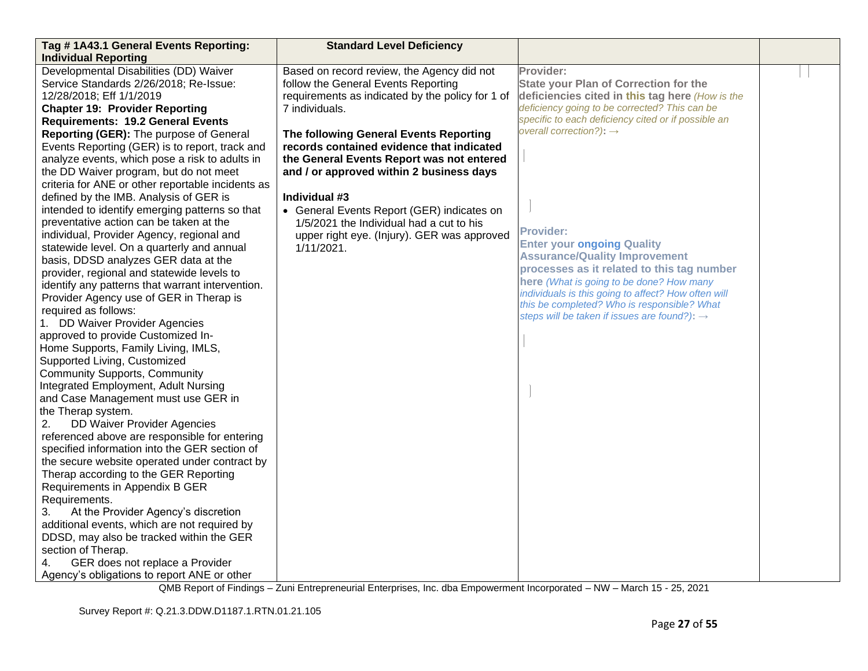| Tag # 1A43.1 General Events Reporting:                                                                                                                                                                                                                                                                                                                                                                                                                                                                                                                                                                                                                                                                                                                                                                                                                                                                                                                                                                                                                                                                                                                                                                                                                                                                                                                                            | <b>Standard Level Deficiency</b>                                                                                                                                                                                                                                                            |                                                                                                                                                                                                                                                                                                                                                           |  |
|-----------------------------------------------------------------------------------------------------------------------------------------------------------------------------------------------------------------------------------------------------------------------------------------------------------------------------------------------------------------------------------------------------------------------------------------------------------------------------------------------------------------------------------------------------------------------------------------------------------------------------------------------------------------------------------------------------------------------------------------------------------------------------------------------------------------------------------------------------------------------------------------------------------------------------------------------------------------------------------------------------------------------------------------------------------------------------------------------------------------------------------------------------------------------------------------------------------------------------------------------------------------------------------------------------------------------------------------------------------------------------------|---------------------------------------------------------------------------------------------------------------------------------------------------------------------------------------------------------------------------------------------------------------------------------------------|-----------------------------------------------------------------------------------------------------------------------------------------------------------------------------------------------------------------------------------------------------------------------------------------------------------------------------------------------------------|--|
| <b>Individual Reporting</b>                                                                                                                                                                                                                                                                                                                                                                                                                                                                                                                                                                                                                                                                                                                                                                                                                                                                                                                                                                                                                                                                                                                                                                                                                                                                                                                                                       |                                                                                                                                                                                                                                                                                             |                                                                                                                                                                                                                                                                                                                                                           |  |
| Developmental Disabilities (DD) Waiver<br>Service Standards 2/26/2018; Re-Issue:<br>12/28/2018; Eff 1/1/2019<br><b>Chapter 19: Provider Reporting</b><br><b>Requirements: 19.2 General Events</b><br>Reporting (GER): The purpose of General<br>Events Reporting (GER) is to report, track and<br>analyze events, which pose a risk to adults in                                                                                                                                                                                                                                                                                                                                                                                                                                                                                                                                                                                                                                                                                                                                                                                                                                                                                                                                                                                                                                  | Based on record review, the Agency did not<br>follow the General Events Reporting<br>requirements as indicated by the policy for 1 of<br>7 individuals.<br>The following General Events Reporting<br>records contained evidence that indicated<br>the General Events Report was not entered | Provider:<br><b>State your Plan of Correction for the</b><br>deficiencies cited in this tag here (How is the<br>deficiency going to be corrected? This can be<br>specific to each deficiency cited or if possible an<br>overall correction?): $\rightarrow$                                                                                               |  |
| the DD Waiver program, but do not meet<br>criteria for ANE or other reportable incidents as<br>defined by the IMB. Analysis of GER is<br>intended to identify emerging patterns so that<br>preventative action can be taken at the<br>individual, Provider Agency, regional and<br>statewide level. On a quarterly and annual<br>basis, DDSD analyzes GER data at the<br>provider, regional and statewide levels to<br>identify any patterns that warrant intervention.<br>Provider Agency use of GER in Therap is<br>required as follows:<br>1. DD Waiver Provider Agencies<br>approved to provide Customized In-<br>Home Supports, Family Living, IMLS,<br>Supported Living, Customized<br><b>Community Supports, Community</b><br>Integrated Employment, Adult Nursing<br>and Case Management must use GER in<br>the Therap system.<br>DD Waiver Provider Agencies<br>2.<br>referenced above are responsible for entering<br>specified information into the GER section of<br>the secure website operated under contract by<br>Therap according to the GER Reporting<br>Requirements in Appendix B GER<br>Requirements.<br>At the Provider Agency's discretion<br>3.<br>additional events, which are not required by<br>DDSD, may also be tracked within the GER<br>section of Therap.<br>GER does not replace a Provider<br>4.<br>Agency's obligations to report ANE or other | and / or approved within 2 business days<br>Individual #3<br>• General Events Report (GER) indicates on<br>1/5/2021 the Individual had a cut to his<br>upper right eye. (Injury). GER was approved<br>1/11/2021.                                                                            | <b>Provider:</b><br><b>Enter your ongoing Quality</b><br><b>Assurance/Quality Improvement</b><br>processes as it related to this tag number<br>here (What is going to be done? How many<br>individuals is this going to affect? How often will<br>this be completed? Who is responsible? What<br>steps will be taken if issues are found?): $\rightarrow$ |  |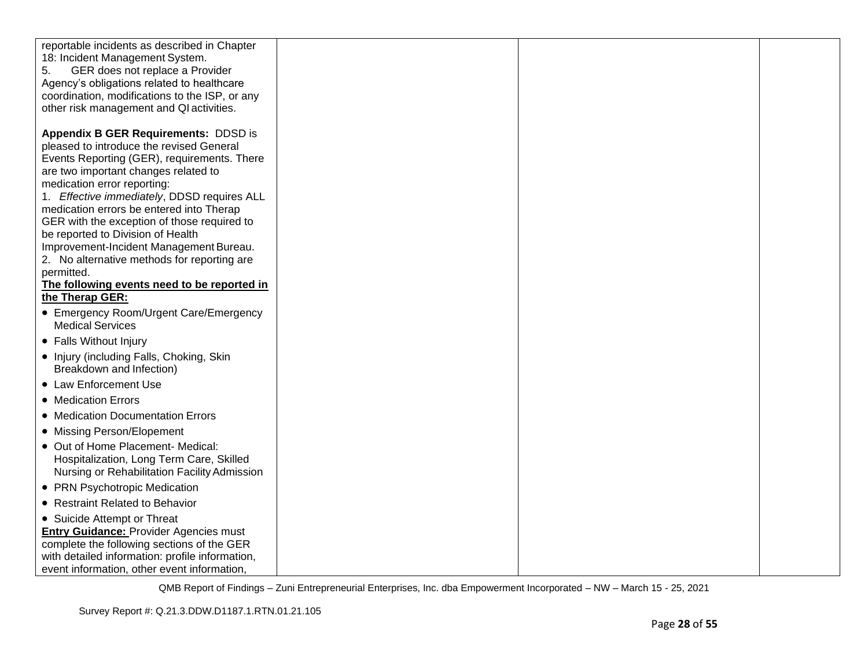| reportable incidents as described in Chapter<br>18: Incident Management System.<br>5.<br>GER does not replace a Provider<br>Agency's obligations related to healthcare         |  |  |
|--------------------------------------------------------------------------------------------------------------------------------------------------------------------------------|--|--|
| coordination, modifications to the ISP, or any<br>other risk management and QI activities.                                                                                     |  |  |
| <b>Appendix B GER Requirements: DDSD is</b><br>pleased to introduce the revised General<br>Events Reporting (GER), requirements. There<br>are two important changes related to |  |  |
| medication error reporting:<br>1. Effective immediately, DDSD requires ALL                                                                                                     |  |  |
| medication errors be entered into Therap<br>GER with the exception of those required to<br>be reported to Division of Health                                                   |  |  |
| Improvement-Incident Management Bureau.<br>2. No alternative methods for reporting are                                                                                         |  |  |
| permitted.<br>The following events need to be reported in<br>the Therap GER:                                                                                                   |  |  |
| • Emergency Room/Urgent Care/Emergency<br><b>Medical Services</b>                                                                                                              |  |  |
| • Falls Without Injury                                                                                                                                                         |  |  |
| • Injury (including Falls, Choking, Skin<br>Breakdown and Infection)                                                                                                           |  |  |
| • Law Enforcement Use                                                                                                                                                          |  |  |
| • Medication Errors                                                                                                                                                            |  |  |
| • Medication Documentation Errors                                                                                                                                              |  |  |
| • Missing Person/Elopement                                                                                                                                                     |  |  |
| • Out of Home Placement- Medical:<br>Hospitalization, Long Term Care, Skilled<br>Nursing or Rehabilitation Facility Admission                                                  |  |  |
| • PRN Psychotropic Medication                                                                                                                                                  |  |  |
| • Restraint Related to Behavior                                                                                                                                                |  |  |
| • Suicide Attempt or Threat                                                                                                                                                    |  |  |
| <b>Entry Guidance: Provider Agencies must</b>                                                                                                                                  |  |  |
| complete the following sections of the GER                                                                                                                                     |  |  |
| with detailed information: profile information,<br>event information, other event information,                                                                                 |  |  |
|                                                                                                                                                                                |  |  |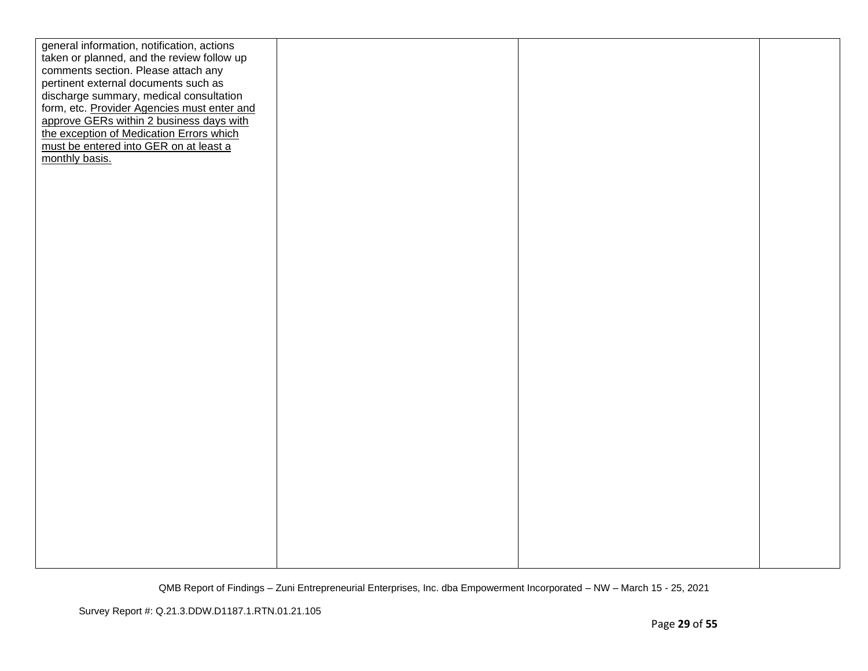| general information, notification, actions  |  |  |
|---------------------------------------------|--|--|
| taken or planned, and the review follow up  |  |  |
| comments section. Please attach any         |  |  |
| pertinent external documents such as        |  |  |
| discharge summary, medical consultation     |  |  |
| form, etc. Provider Agencies must enter and |  |  |
| approve GERs within 2 business days with    |  |  |
| the exception of Medication Errors which    |  |  |
|                                             |  |  |
| must be entered into GER on at least a      |  |  |
| monthly basis.                              |  |  |
|                                             |  |  |
|                                             |  |  |
|                                             |  |  |
|                                             |  |  |
|                                             |  |  |
|                                             |  |  |
|                                             |  |  |
|                                             |  |  |
|                                             |  |  |
|                                             |  |  |
|                                             |  |  |
|                                             |  |  |
|                                             |  |  |
|                                             |  |  |
|                                             |  |  |
|                                             |  |  |
|                                             |  |  |
|                                             |  |  |
|                                             |  |  |
|                                             |  |  |
|                                             |  |  |
|                                             |  |  |
|                                             |  |  |
|                                             |  |  |
|                                             |  |  |
|                                             |  |  |
|                                             |  |  |
|                                             |  |  |
|                                             |  |  |
|                                             |  |  |
|                                             |  |  |
|                                             |  |  |
|                                             |  |  |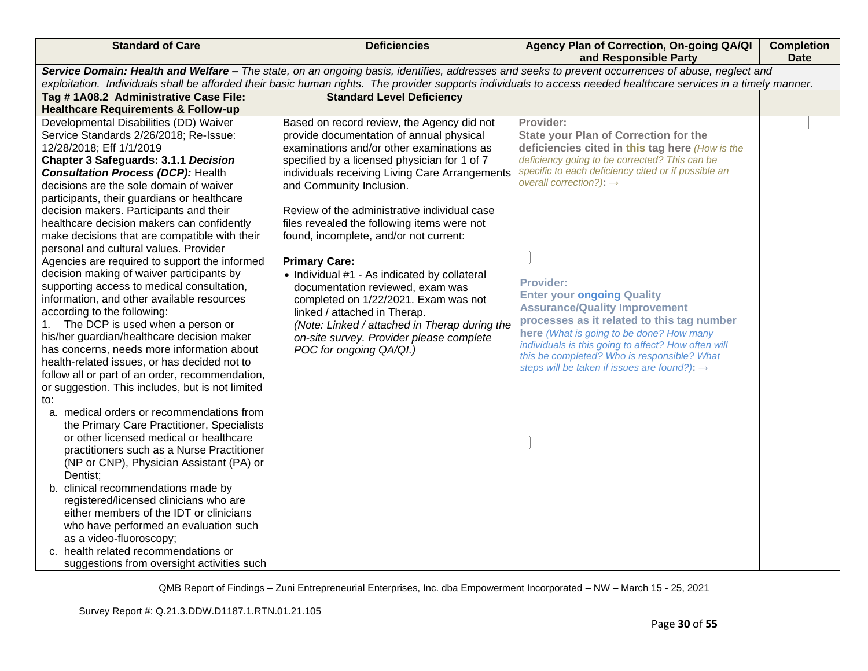| <b>Standard of Care</b>                                                                                                                                                                                                                                                                                                                                                                                                                                                                                                                                                                                                                                                                                                                                                                                                                                                                                                                                                                                                                                                                                                                                                                                                                                                                                                                                                                                                                                                                                                   | <b>Deficiencies</b>                                                                                                                                                                                                                                                                                                                                                                                                                                                                                                                                                                                                                                                                                                                                        | Agency Plan of Correction, On-going QA/QI<br>and Responsible Party                                                                                                                                                                                                                                                                                                                                                                                                                                                                                                                                                       | <b>Completion</b><br><b>Date</b> |  |
|---------------------------------------------------------------------------------------------------------------------------------------------------------------------------------------------------------------------------------------------------------------------------------------------------------------------------------------------------------------------------------------------------------------------------------------------------------------------------------------------------------------------------------------------------------------------------------------------------------------------------------------------------------------------------------------------------------------------------------------------------------------------------------------------------------------------------------------------------------------------------------------------------------------------------------------------------------------------------------------------------------------------------------------------------------------------------------------------------------------------------------------------------------------------------------------------------------------------------------------------------------------------------------------------------------------------------------------------------------------------------------------------------------------------------------------------------------------------------------------------------------------------------|------------------------------------------------------------------------------------------------------------------------------------------------------------------------------------------------------------------------------------------------------------------------------------------------------------------------------------------------------------------------------------------------------------------------------------------------------------------------------------------------------------------------------------------------------------------------------------------------------------------------------------------------------------------------------------------------------------------------------------------------------------|--------------------------------------------------------------------------------------------------------------------------------------------------------------------------------------------------------------------------------------------------------------------------------------------------------------------------------------------------------------------------------------------------------------------------------------------------------------------------------------------------------------------------------------------------------------------------------------------------------------------------|----------------------------------|--|
|                                                                                                                                                                                                                                                                                                                                                                                                                                                                                                                                                                                                                                                                                                                                                                                                                                                                                                                                                                                                                                                                                                                                                                                                                                                                                                                                                                                                                                                                                                                           | Service Domain: Health and Welfare - The state, on an ongoing basis, identifies, addresses and seeks to prevent occurrences of abuse, neglect and<br>exploitation. Individuals shall be afforded their basic human rights. The provider supports individuals to access needed healthcare services in a timely manner.                                                                                                                                                                                                                                                                                                                                                                                                                                      |                                                                                                                                                                                                                                                                                                                                                                                                                                                                                                                                                                                                                          |                                  |  |
|                                                                                                                                                                                                                                                                                                                                                                                                                                                                                                                                                                                                                                                                                                                                                                                                                                                                                                                                                                                                                                                                                                                                                                                                                                                                                                                                                                                                                                                                                                                           |                                                                                                                                                                                                                                                                                                                                                                                                                                                                                                                                                                                                                                                                                                                                                            |                                                                                                                                                                                                                                                                                                                                                                                                                                                                                                                                                                                                                          |                                  |  |
|                                                                                                                                                                                                                                                                                                                                                                                                                                                                                                                                                                                                                                                                                                                                                                                                                                                                                                                                                                                                                                                                                                                                                                                                                                                                                                                                                                                                                                                                                                                           |                                                                                                                                                                                                                                                                                                                                                                                                                                                                                                                                                                                                                                                                                                                                                            |                                                                                                                                                                                                                                                                                                                                                                                                                                                                                                                                                                                                                          |                                  |  |
| Tag #1A08.2 Administrative Case File:<br><b>Healthcare Requirements &amp; Follow-up</b><br>Developmental Disabilities (DD) Waiver<br>Service Standards 2/26/2018; Re-Issue:<br>12/28/2018; Eff 1/1/2019<br><b>Chapter 3 Safeguards: 3.1.1 Decision</b><br><b>Consultation Process (DCP): Health</b><br>decisions are the sole domain of waiver<br>participants, their guardians or healthcare<br>decision makers. Participants and their<br>healthcare decision makers can confidently<br>make decisions that are compatible with their<br>personal and cultural values. Provider<br>Agencies are required to support the informed<br>decision making of waiver participants by<br>supporting access to medical consultation,<br>information, and other available resources<br>according to the following:<br>The DCP is used when a person or<br>his/her guardian/healthcare decision maker<br>has concerns, needs more information about<br>health-related issues, or has decided not to<br>follow all or part of an order, recommendation,<br>or suggestion. This includes, but is not limited<br>to:<br>a. medical orders or recommendations from<br>the Primary Care Practitioner, Specialists<br>or other licensed medical or healthcare<br>practitioners such as a Nurse Practitioner<br>(NP or CNP), Physician Assistant (PA) or<br>Dentist;<br>b. clinical recommendations made by<br>registered/licensed clinicians who are<br>either members of the IDT or clinicians<br>who have performed an evaluation such | <b>Standard Level Deficiency</b><br>Based on record review, the Agency did not<br>provide documentation of annual physical<br>examinations and/or other examinations as<br>specified by a licensed physician for 1 of 7<br>individuals receiving Living Care Arrangements<br>and Community Inclusion.<br>Review of the administrative individual case<br>files revealed the following items were not<br>found, incomplete, and/or not current:<br><b>Primary Care:</b><br>• Individual #1 - As indicated by collateral<br>documentation reviewed, exam was<br>completed on 1/22/2021. Exam was not<br>linked / attached in Therap.<br>(Note: Linked / attached in Therap during the<br>on-site survey. Provider please complete<br>POC for ongoing QA/QI.) | Provider:<br><b>State your Plan of Correction for the</b><br>deficiencies cited in this tag here (How is the<br>deficiency going to be corrected? This can be<br>specific to each deficiency cited or if possible an<br>overall correction?): $\rightarrow$<br><b>Provider:</b><br><b>Enter your ongoing Quality</b><br><b>Assurance/Quality Improvement</b><br>processes as it related to this tag number<br>here (What is going to be done? How many<br>individuals is this going to affect? How often will<br>this be completed? Who is responsible? What<br>steps will be taken if issues are found?): $\rightarrow$ |                                  |  |
| as a video-fluoroscopy;<br>health related recommendations or<br>C.                                                                                                                                                                                                                                                                                                                                                                                                                                                                                                                                                                                                                                                                                                                                                                                                                                                                                                                                                                                                                                                                                                                                                                                                                                                                                                                                                                                                                                                        |                                                                                                                                                                                                                                                                                                                                                                                                                                                                                                                                                                                                                                                                                                                                                            |                                                                                                                                                                                                                                                                                                                                                                                                                                                                                                                                                                                                                          |                                  |  |
| suggestions from oversight activities such                                                                                                                                                                                                                                                                                                                                                                                                                                                                                                                                                                                                                                                                                                                                                                                                                                                                                                                                                                                                                                                                                                                                                                                                                                                                                                                                                                                                                                                                                |                                                                                                                                                                                                                                                                                                                                                                                                                                                                                                                                                                                                                                                                                                                                                            |                                                                                                                                                                                                                                                                                                                                                                                                                                                                                                                                                                                                                          |                                  |  |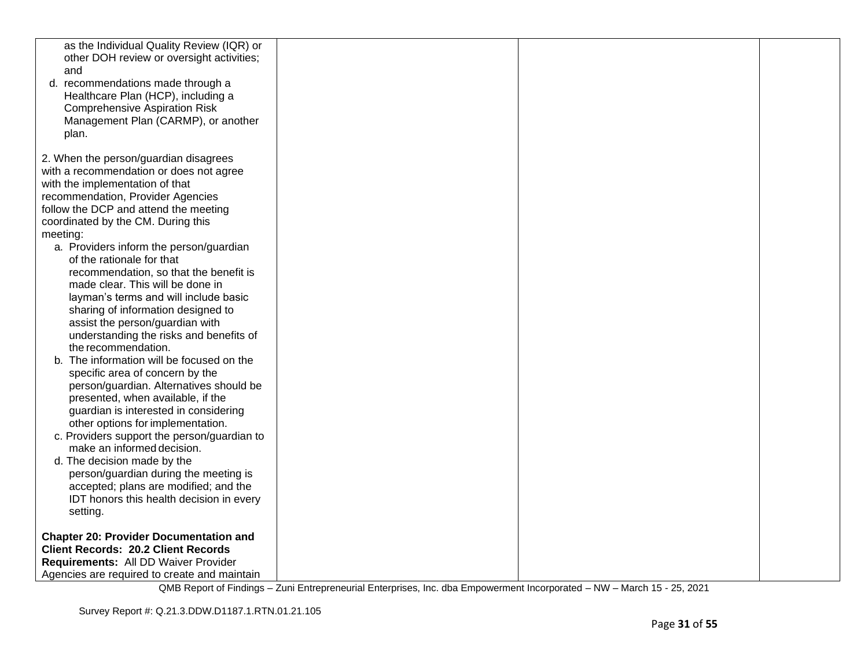| as the Individual Quality Review (IQR) or<br>other DOH review or oversight activities;<br>and<br>d. recommendations made through a<br>Healthcare Plan (HCP), including a<br><b>Comprehensive Aspiration Risk</b><br>Management Plan (CARMP), or another<br>plan.                                                                                                                                                                                                                                                                                                                                                                                                                                                                                                                                                                                                                                                                                                                                                                                                                                  |  |  |
|---------------------------------------------------------------------------------------------------------------------------------------------------------------------------------------------------------------------------------------------------------------------------------------------------------------------------------------------------------------------------------------------------------------------------------------------------------------------------------------------------------------------------------------------------------------------------------------------------------------------------------------------------------------------------------------------------------------------------------------------------------------------------------------------------------------------------------------------------------------------------------------------------------------------------------------------------------------------------------------------------------------------------------------------------------------------------------------------------|--|--|
| 2. When the person/guardian disagrees<br>with a recommendation or does not agree<br>with the implementation of that<br>recommendation, Provider Agencies<br>follow the DCP and attend the meeting<br>coordinated by the CM. During this<br>meeting:<br>a. Providers inform the person/guardian<br>of the rationale for that<br>recommendation, so that the benefit is<br>made clear. This will be done in<br>layman's terms and will include basic<br>sharing of information designed to<br>assist the person/guardian with<br>understanding the risks and benefits of<br>the recommendation.<br>b. The information will be focused on the<br>specific area of concern by the<br>person/guardian. Alternatives should be<br>presented, when available, if the<br>guardian is interested in considering<br>other options for implementation.<br>c. Providers support the person/guardian to<br>make an informed decision.<br>d. The decision made by the<br>person/guardian during the meeting is<br>accepted; plans are modified; and the<br>IDT honors this health decision in every<br>setting. |  |  |
| <b>Chapter 20: Provider Documentation and</b><br><b>Client Records: 20.2 Client Records</b><br>Requirements: All DD Waiver Provider<br>Agencies are required to create and maintain                                                                                                                                                                                                                                                                                                                                                                                                                                                                                                                                                                                                                                                                                                                                                                                                                                                                                                               |  |  |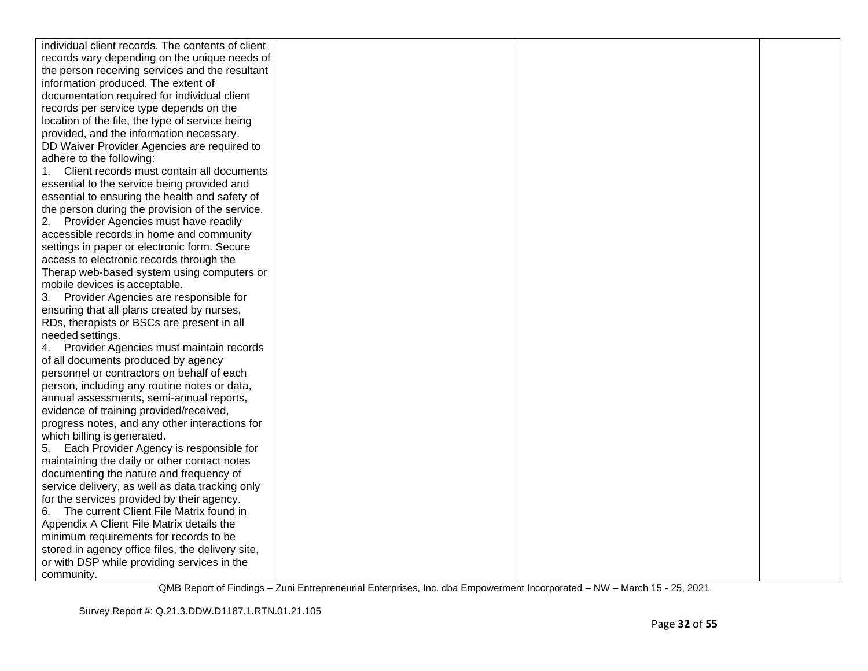| individual client records. The contents of client |  |  |
|---------------------------------------------------|--|--|
| records vary depending on the unique needs of     |  |  |
| the person receiving services and the resultant   |  |  |
| information produced. The extent of               |  |  |
| documentation required for individual client      |  |  |
| records per service type depends on the           |  |  |
| location of the file, the type of service being   |  |  |
| provided, and the information necessary.          |  |  |
| DD Waiver Provider Agencies are required to       |  |  |
| adhere to the following:                          |  |  |
| Client records must contain all documents         |  |  |
| essential to the service being provided and       |  |  |
| essential to ensuring the health and safety of    |  |  |
| the person during the provision of the service.   |  |  |
| 2. Provider Agencies must have readily            |  |  |
| accessible records in home and community          |  |  |
| settings in paper or electronic form. Secure      |  |  |
| access to electronic records through the          |  |  |
| Therap web-based system using computers or        |  |  |
| mobile devices is acceptable.                     |  |  |
| 3. Provider Agencies are responsible for          |  |  |
| ensuring that all plans created by nurses,        |  |  |
| RDs, therapists or BSCs are present in all        |  |  |
| needed settings.                                  |  |  |
| Provider Agencies must maintain records           |  |  |
| of all documents produced by agency               |  |  |
| personnel or contractors on behalf of each        |  |  |
| person, including any routine notes or data,      |  |  |
| annual assessments, semi-annual reports,          |  |  |
| evidence of training provided/received,           |  |  |
| progress notes, and any other interactions for    |  |  |
| which billing is generated.                       |  |  |
| Each Provider Agency is responsible for<br>5.     |  |  |
| maintaining the daily or other contact notes      |  |  |
| documenting the nature and frequency of           |  |  |
| service delivery, as well as data tracking only   |  |  |
| for the services provided by their agency.        |  |  |
| The current Client File Matrix found in<br>6.     |  |  |
| Appendix A Client File Matrix details the         |  |  |
| minimum requirements for records to be            |  |  |
| stored in agency office files, the delivery site, |  |  |
| or with DSP while providing services in the       |  |  |
| community.                                        |  |  |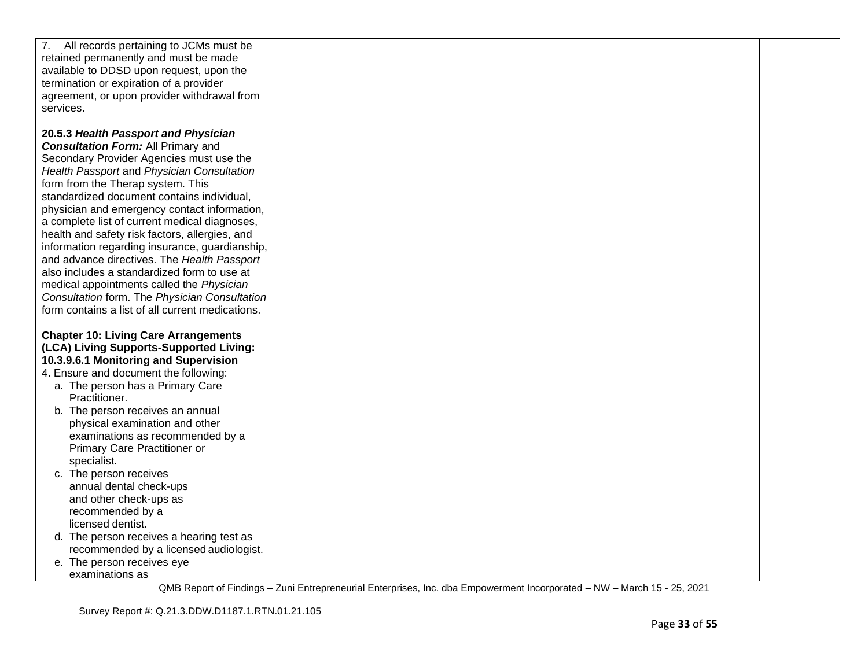| 7. All records pertaining to JCMs must be        |  |  |
|--------------------------------------------------|--|--|
| retained permanently and must be made            |  |  |
| available to DDSD upon request, upon the         |  |  |
| termination or expiration of a provider          |  |  |
| agreement, or upon provider withdrawal from      |  |  |
|                                                  |  |  |
| services.                                        |  |  |
|                                                  |  |  |
| 20.5.3 Health Passport and Physician             |  |  |
| <b>Consultation Form: All Primary and</b>        |  |  |
| Secondary Provider Agencies must use the         |  |  |
|                                                  |  |  |
| Health Passport and Physician Consultation       |  |  |
| form from the Therap system. This                |  |  |
| standardized document contains individual,       |  |  |
| physician and emergency contact information,     |  |  |
| a complete list of current medical diagnoses,    |  |  |
|                                                  |  |  |
| health and safety risk factors, allergies, and   |  |  |
| information regarding insurance, guardianship,   |  |  |
| and advance directives. The Health Passport      |  |  |
| also includes a standardized form to use at      |  |  |
| medical appointments called the Physician        |  |  |
| Consultation form. The Physician Consultation    |  |  |
| form contains a list of all current medications. |  |  |
|                                                  |  |  |
|                                                  |  |  |
| <b>Chapter 10: Living Care Arrangements</b>      |  |  |
| (LCA) Living Supports-Supported Living:          |  |  |
| 10.3.9.6.1 Monitoring and Supervision            |  |  |
| 4. Ensure and document the following:            |  |  |
| a. The person has a Primary Care                 |  |  |
| Practitioner.                                    |  |  |
| b. The person receives an annual                 |  |  |
|                                                  |  |  |
| physical examination and other                   |  |  |
| examinations as recommended by a                 |  |  |
| Primary Care Practitioner or                     |  |  |
| specialist.                                      |  |  |
| c. The person receives                           |  |  |
| annual dental check-ups                          |  |  |
| and other check-ups as                           |  |  |
| recommended by a                                 |  |  |
|                                                  |  |  |
| licensed dentist.                                |  |  |
| d. The person receives a hearing test as         |  |  |
| recommended by a licensed audiologist.           |  |  |
| e. The person receives eye                       |  |  |
| examinations as                                  |  |  |
|                                                  |  |  |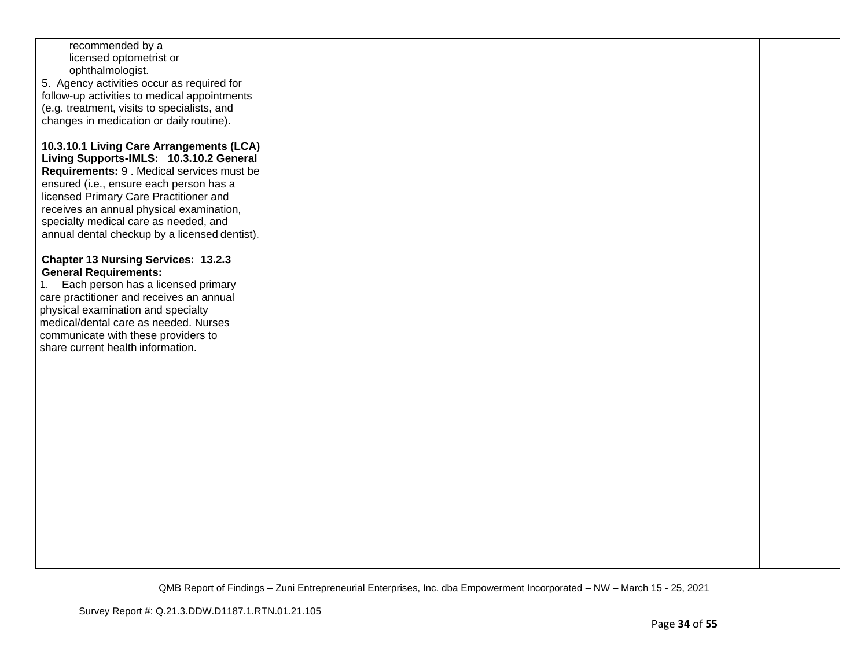| recommended by a                              |  |  |
|-----------------------------------------------|--|--|
|                                               |  |  |
| licensed optometrist or                       |  |  |
| ophthalmologist.                              |  |  |
|                                               |  |  |
| 5. Agency activities occur as required for    |  |  |
| follow-up activities to medical appointments  |  |  |
|                                               |  |  |
| (e.g. treatment, visits to specialists, and   |  |  |
| changes in medication or daily routine).      |  |  |
|                                               |  |  |
|                                               |  |  |
|                                               |  |  |
| 10.3.10.1 Living Care Arrangements (LCA)      |  |  |
| Living Supports-IMLS: 10.3.10.2 General       |  |  |
|                                               |  |  |
| Requirements: 9 . Medical services must be    |  |  |
| ensured (i.e., ensure each person has a       |  |  |
|                                               |  |  |
| licensed Primary Care Practitioner and        |  |  |
| receives an annual physical examination,      |  |  |
|                                               |  |  |
| specialty medical care as needed, and         |  |  |
| annual dental checkup by a licensed dentist). |  |  |
|                                               |  |  |
|                                               |  |  |
| <b>Chapter 13 Nursing Services: 13.2.3</b>    |  |  |
|                                               |  |  |
| <b>General Requirements:</b>                  |  |  |
| Each person has a licensed primary<br>1.      |  |  |
|                                               |  |  |
| care practitioner and receives an annual      |  |  |
| physical examination and specialty            |  |  |
|                                               |  |  |
| medical/dental care as needed. Nurses         |  |  |
| communicate with these providers to           |  |  |
|                                               |  |  |
| share current health information.             |  |  |
|                                               |  |  |
|                                               |  |  |
|                                               |  |  |
|                                               |  |  |
|                                               |  |  |
|                                               |  |  |
|                                               |  |  |
|                                               |  |  |
|                                               |  |  |
|                                               |  |  |
|                                               |  |  |
|                                               |  |  |
|                                               |  |  |
|                                               |  |  |
|                                               |  |  |
|                                               |  |  |
|                                               |  |  |
|                                               |  |  |
|                                               |  |  |
|                                               |  |  |
|                                               |  |  |
|                                               |  |  |
|                                               |  |  |
|                                               |  |  |
|                                               |  |  |
|                                               |  |  |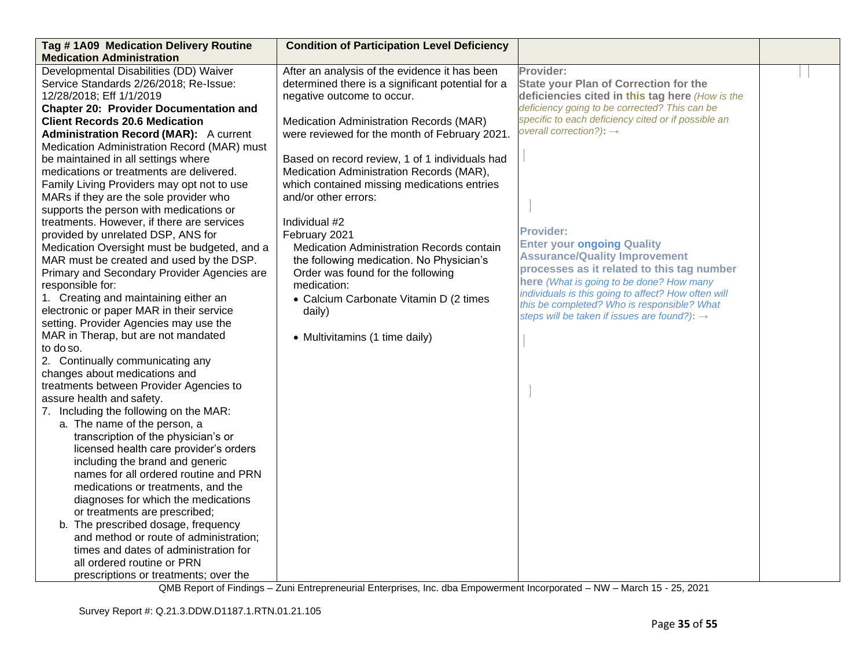| Tag #1A09 Medication Delivery Routine         | <b>Condition of Participation Level Deficiency</b> |                                                                                                 |  |
|-----------------------------------------------|----------------------------------------------------|-------------------------------------------------------------------------------------------------|--|
| <b>Medication Administration</b>              |                                                    |                                                                                                 |  |
| Developmental Disabilities (DD) Waiver        | After an analysis of the evidence it has been      | Provider:                                                                                       |  |
| Service Standards 2/26/2018; Re-Issue:        | determined there is a significant potential for a  | <b>State your Plan of Correction for the</b>                                                    |  |
| 12/28/2018; Eff 1/1/2019                      | negative outcome to occur.                         | deficiencies cited in this tag here (How is the                                                 |  |
| <b>Chapter 20: Provider Documentation and</b> |                                                    | deficiency going to be corrected? This can be                                                   |  |
| <b>Client Records 20.6 Medication</b>         | Medication Administration Records (MAR)            | specific to each deficiency cited or if possible an                                             |  |
| <b>Administration Record (MAR):</b> A current | were reviewed for the month of February 2021.      | overall correction?): $\rightarrow$                                                             |  |
| Medication Administration Record (MAR) must   |                                                    |                                                                                                 |  |
| be maintained in all settings where           | Based on record review, 1 of 1 individuals had     |                                                                                                 |  |
| medications or treatments are delivered.      | Medication Administration Records (MAR),           |                                                                                                 |  |
| Family Living Providers may opt not to use    | which contained missing medications entries        |                                                                                                 |  |
| MARs if they are the sole provider who        | and/or other errors:                               |                                                                                                 |  |
| supports the person with medications or       |                                                    |                                                                                                 |  |
| treatments. However, if there are services    | Individual #2                                      |                                                                                                 |  |
| provided by unrelated DSP, ANS for            | February 2021                                      | <b>Provider:</b>                                                                                |  |
| Medication Oversight must be budgeted, and a  | Medication Administration Records contain          | <b>Enter your ongoing Quality</b>                                                               |  |
| MAR must be created and used by the DSP.      | the following medication. No Physician's           | <b>Assurance/Quality Improvement</b>                                                            |  |
| Primary and Secondary Provider Agencies are   | Order was found for the following                  | processes as it related to this tag number                                                      |  |
| responsible for:                              | medication:                                        | here (What is going to be done? How many<br>individuals is this going to affect? How often will |  |
| 1. Creating and maintaining either an         | • Calcium Carbonate Vitamin D (2 times             | this be completed? Who is responsible? What                                                     |  |
| electronic or paper MAR in their service      | daily)                                             | steps will be taken if issues are found?): $\rightarrow$                                        |  |
| setting. Provider Agencies may use the        |                                                    |                                                                                                 |  |
| MAR in Therap, but are not mandated           | • Multivitamins (1 time daily)                     |                                                                                                 |  |
| to do so.                                     |                                                    |                                                                                                 |  |
| 2. Continually communicating any              |                                                    |                                                                                                 |  |
| changes about medications and                 |                                                    |                                                                                                 |  |
| treatments between Provider Agencies to       |                                                    |                                                                                                 |  |
| assure health and safety.                     |                                                    |                                                                                                 |  |
| 7. Including the following on the MAR:        |                                                    |                                                                                                 |  |
| a. The name of the person, a                  |                                                    |                                                                                                 |  |
| transcription of the physician's or           |                                                    |                                                                                                 |  |
| licensed health care provider's orders        |                                                    |                                                                                                 |  |
| including the brand and generic               |                                                    |                                                                                                 |  |
| names for all ordered routine and PRN         |                                                    |                                                                                                 |  |
| medications or treatments, and the            |                                                    |                                                                                                 |  |
| diagnoses for which the medications           |                                                    |                                                                                                 |  |
| or treatments are prescribed;                 |                                                    |                                                                                                 |  |
| b. The prescribed dosage, frequency           |                                                    |                                                                                                 |  |
| and method or route of administration;        |                                                    |                                                                                                 |  |
| times and dates of administration for         |                                                    |                                                                                                 |  |
| all ordered routine or PRN                    |                                                    |                                                                                                 |  |
| prescriptions or treatments; over the         |                                                    |                                                                                                 |  |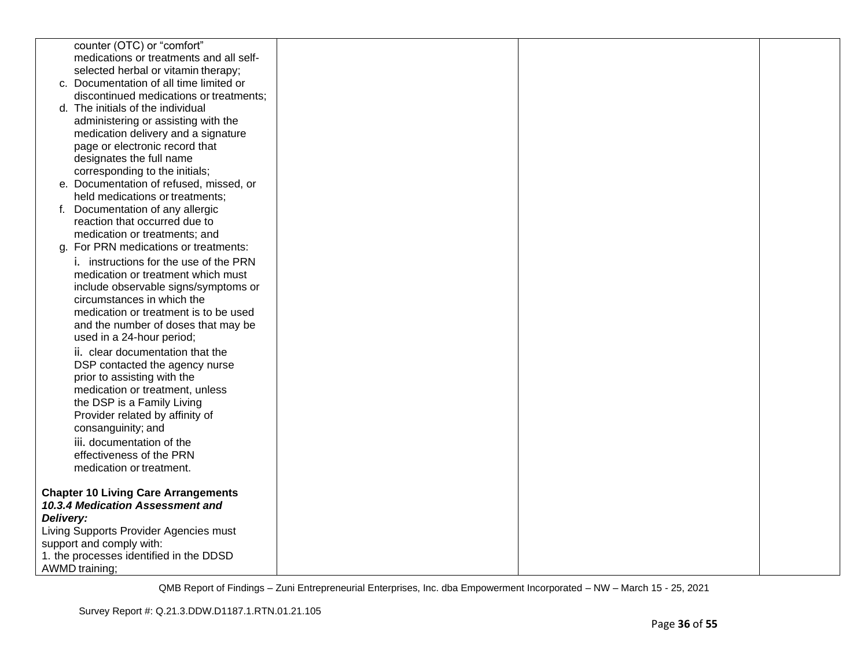|           | counter (OTC) or "comfort"                 |  |  |
|-----------|--------------------------------------------|--|--|
|           | medications or treatments and all self-    |  |  |
|           | selected herbal or vitamin therapy;        |  |  |
|           | c. Documentation of all time limited or    |  |  |
|           | discontinued medications or treatments;    |  |  |
|           | d. The initials of the individual          |  |  |
|           | administering or assisting with the        |  |  |
|           | medication delivery and a signature        |  |  |
|           | page or electronic record that             |  |  |
|           | designates the full name                   |  |  |
|           | corresponding to the initials;             |  |  |
|           | e. Documentation of refused, missed, or    |  |  |
|           | held medications or treatments;            |  |  |
|           | f. Documentation of any allergic           |  |  |
|           | reaction that occurred due to              |  |  |
|           | medication or treatments; and              |  |  |
|           | g. For PRN medications or treatments:      |  |  |
|           | i. instructions for the use of the PRN     |  |  |
|           | medication or treatment which must         |  |  |
|           | include observable signs/symptoms or       |  |  |
|           | circumstances in which the                 |  |  |
|           | medication or treatment is to be used      |  |  |
|           | and the number of doses that may be        |  |  |
|           | used in a 24-hour period;                  |  |  |
|           | ii. clear documentation that the           |  |  |
|           | DSP contacted the agency nurse             |  |  |
|           | prior to assisting with the                |  |  |
|           | medication or treatment, unless            |  |  |
|           | the DSP is a Family Living                 |  |  |
|           | Provider related by affinity of            |  |  |
|           | consanguinity; and                         |  |  |
|           | iii. documentation of the                  |  |  |
|           | effectiveness of the PRN                   |  |  |
|           | medication or treatment.                   |  |  |
|           | <b>Chapter 10 Living Care Arrangements</b> |  |  |
|           | 10.3.4 Medication Assessment and           |  |  |
| Delivery: |                                            |  |  |
|           | Living Supports Provider Agencies must     |  |  |
|           | support and comply with:                   |  |  |
|           | 1. the processes identified in the DDSD    |  |  |
|           | <b>AWMD</b> training;                      |  |  |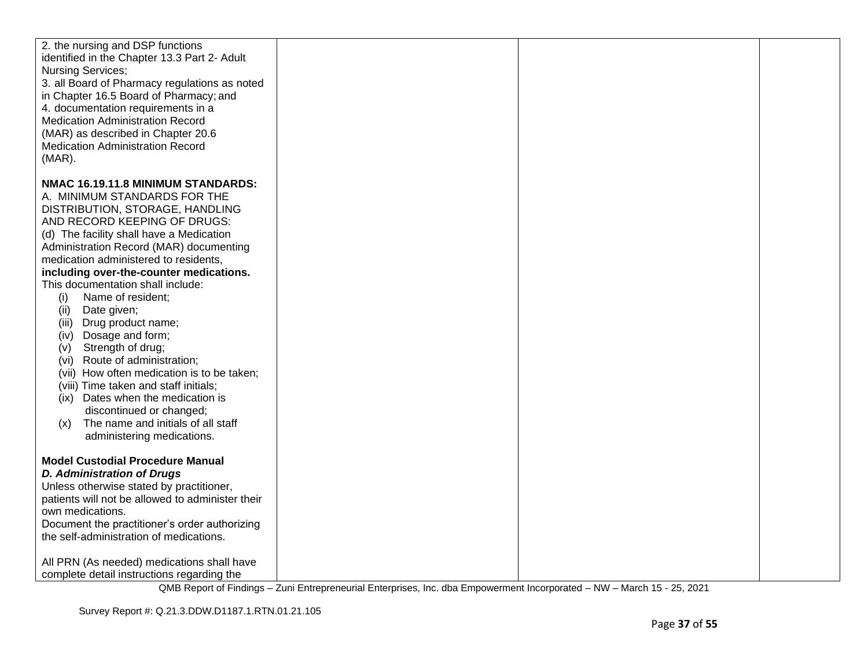| 2. the nursing and DSP functions<br>identified in the Chapter 13.3 Part 2- Adult<br><b>Nursing Services;</b><br>3. all Board of Pharmacy regulations as noted<br>in Chapter 16.5 Board of Pharmacy; and<br>4. documentation requirements in a<br><b>Medication Administration Record</b><br>(MAR) as described in Chapter 20.6<br><b>Medication Administration Record</b><br>$(MAR)$ .                                                                                                                                                                                                                                                                                                                                                                           |  |  |
|------------------------------------------------------------------------------------------------------------------------------------------------------------------------------------------------------------------------------------------------------------------------------------------------------------------------------------------------------------------------------------------------------------------------------------------------------------------------------------------------------------------------------------------------------------------------------------------------------------------------------------------------------------------------------------------------------------------------------------------------------------------|--|--|
| NMAC 16.19.11.8 MINIMUM STANDARDS:<br>A. MINIMUM STANDARDS FOR THE<br>DISTRIBUTION, STORAGE, HANDLING<br>AND RECORD KEEPING OF DRUGS:<br>(d) The facility shall have a Medication<br>Administration Record (MAR) documenting<br>medication administered to residents,<br>including over-the-counter medications.<br>This documentation shall include:<br>Name of resident;<br>(i)<br>Date given;<br>(ii)<br>(iii) Drug product name;<br>Dosage and form;<br>(iv)<br>Strength of drug;<br>(V)<br>(vi) Route of administration;<br>(vii) How often medication is to be taken;<br>(viii) Time taken and staff initials;<br>(ix) Dates when the medication is<br>discontinued or changed;<br>The name and initials of all staff<br>(x)<br>administering medications. |  |  |
| <b>Model Custodial Procedure Manual</b><br><b>D. Administration of Drugs</b><br>Unless otherwise stated by practitioner,<br>patients will not be allowed to administer their<br>own medications.<br>Document the practitioner's order authorizing<br>the self-administration of medications.<br>All PRN (As needed) medications shall have<br>complete detail instructions regarding the                                                                                                                                                                                                                                                                                                                                                                         |  |  |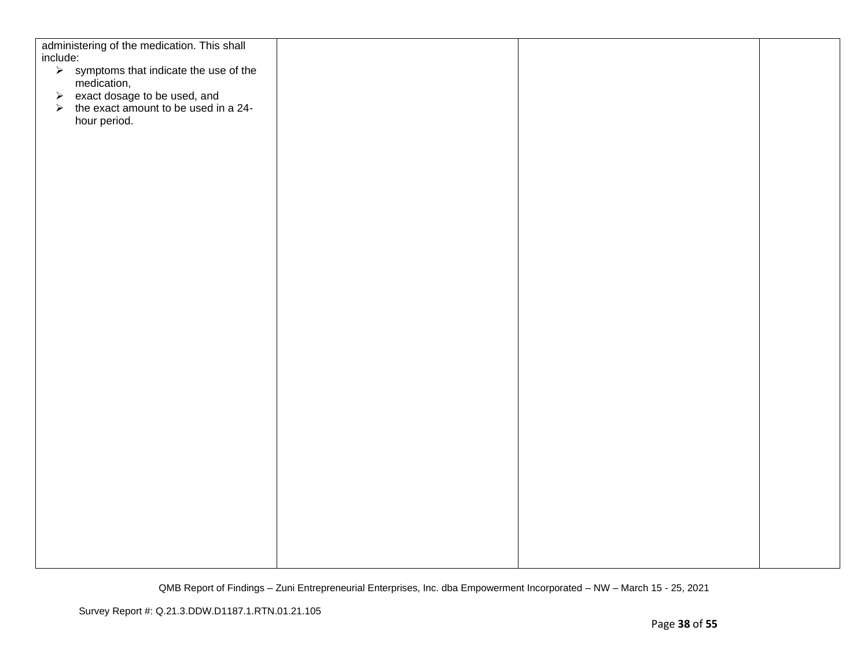| administering of the medication. This shall                              |  |  |
|--------------------------------------------------------------------------|--|--|
| include:                                                                 |  |  |
| $\triangleright$ symptoms that indicate the use of the                   |  |  |
| medication,                                                              |  |  |
| → exact dosage to be used, and<br>→ the exact amount to be used in a 24- |  |  |
|                                                                          |  |  |
| hour period.                                                             |  |  |
|                                                                          |  |  |
|                                                                          |  |  |
|                                                                          |  |  |
|                                                                          |  |  |
|                                                                          |  |  |
|                                                                          |  |  |
|                                                                          |  |  |
|                                                                          |  |  |
|                                                                          |  |  |
|                                                                          |  |  |
|                                                                          |  |  |
|                                                                          |  |  |
|                                                                          |  |  |
|                                                                          |  |  |
|                                                                          |  |  |
|                                                                          |  |  |
|                                                                          |  |  |
|                                                                          |  |  |
|                                                                          |  |  |
|                                                                          |  |  |
|                                                                          |  |  |
|                                                                          |  |  |
|                                                                          |  |  |
|                                                                          |  |  |
|                                                                          |  |  |
|                                                                          |  |  |
|                                                                          |  |  |
|                                                                          |  |  |
|                                                                          |  |  |
|                                                                          |  |  |
|                                                                          |  |  |
|                                                                          |  |  |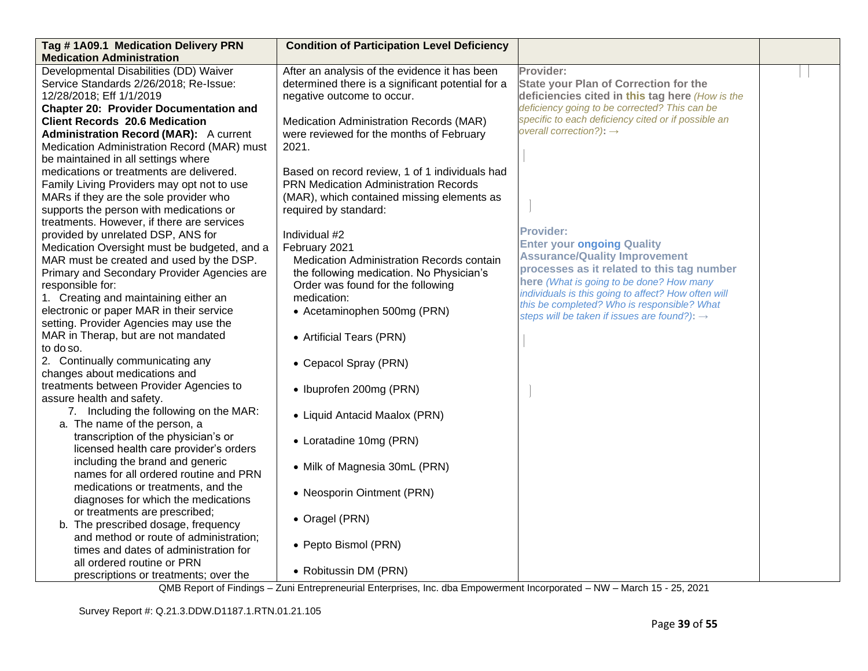| Tag #1A09.1 Medication Delivery PRN                                      | <b>Condition of Participation Level Deficiency</b> |                                                                           |  |
|--------------------------------------------------------------------------|----------------------------------------------------|---------------------------------------------------------------------------|--|
| <b>Medication Administration</b>                                         |                                                    |                                                                           |  |
| Developmental Disabilities (DD) Waiver                                   | After an analysis of the evidence it has been      | Provider:                                                                 |  |
| Service Standards 2/26/2018; Re-Issue:                                   | determined there is a significant potential for a  | <b>State your Plan of Correction for the</b>                              |  |
| 12/28/2018; Eff 1/1/2019                                                 | negative outcome to occur.                         | deficiencies cited in this tag here (How is the                           |  |
| <b>Chapter 20: Provider Documentation and</b>                            |                                                    | deficiency going to be corrected? This can be                             |  |
| <b>Client Records 20.6 Medication</b>                                    | Medication Administration Records (MAR)            | specific to each deficiency cited or if possible an                       |  |
| <b>Administration Record (MAR):</b> A current                            | were reviewed for the months of February           | overall correction?): $\rightarrow$                                       |  |
| Medication Administration Record (MAR) must                              | 2021.                                              |                                                                           |  |
| be maintained in all settings where                                      |                                                    |                                                                           |  |
| medications or treatments are delivered.                                 | Based on record review, 1 of 1 individuals had     |                                                                           |  |
| Family Living Providers may opt not to use                               | <b>PRN Medication Administration Records</b>       |                                                                           |  |
| MARs if they are the sole provider who                                   | (MAR), which contained missing elements as         |                                                                           |  |
| supports the person with medications or                                  | required by standard:                              |                                                                           |  |
| treatments. However, if there are services                               |                                                    | <b>Provider:</b>                                                          |  |
| provided by unrelated DSP, ANS for                                       | Individual #2                                      |                                                                           |  |
| Medication Oversight must be budgeted, and a                             | February 2021                                      | <b>Enter your ongoing Quality</b><br><b>Assurance/Quality Improvement</b> |  |
| MAR must be created and used by the DSP.                                 | Medication Administration Records contain          | processes as it related to this tag number                                |  |
| Primary and Secondary Provider Agencies are                              | the following medication. No Physician's           | here (What is going to be done? How many                                  |  |
| responsible for:                                                         | Order was found for the following                  | individuals is this going to affect? How often will                       |  |
| 1. Creating and maintaining either an                                    | medication:                                        | this be completed? Who is responsible? What                               |  |
| electronic or paper MAR in their service                                 | • Acetaminophen 500mg (PRN)                        | steps will be taken if issues are found?): $\rightarrow$                  |  |
| setting. Provider Agencies may use the                                   |                                                    |                                                                           |  |
| MAR in Therap, but are not mandated                                      | • Artificial Tears (PRN)                           |                                                                           |  |
| to do so.                                                                |                                                    |                                                                           |  |
| 2. Continually communicating any                                         | • Cepacol Spray (PRN)                              |                                                                           |  |
| changes about medications and<br>treatments between Provider Agencies to |                                                    |                                                                           |  |
| assure health and safety.                                                | • Ibuprofen 200mg (PRN)                            |                                                                           |  |
| 7. Including the following on the MAR:                                   |                                                    |                                                                           |  |
| a. The name of the person, a                                             | • Liquid Antacid Maalox (PRN)                      |                                                                           |  |
| transcription of the physician's or                                      |                                                    |                                                                           |  |
| licensed health care provider's orders                                   | • Loratadine 10mg (PRN)                            |                                                                           |  |
| including the brand and generic                                          |                                                    |                                                                           |  |
| names for all ordered routine and PRN                                    | • Milk of Magnesia 30mL (PRN)                      |                                                                           |  |
| medications or treatments, and the                                       |                                                    |                                                                           |  |
| diagnoses for which the medications                                      | • Neosporin Ointment (PRN)                         |                                                                           |  |
| or treatments are prescribed;                                            |                                                    |                                                                           |  |
| b. The prescribed dosage, frequency                                      | • Oragel (PRN)                                     |                                                                           |  |
| and method or route of administration;                                   |                                                    |                                                                           |  |
| times and dates of administration for                                    | • Pepto Bismol (PRN)                               |                                                                           |  |
| all ordered routine or PRN                                               |                                                    |                                                                           |  |
| prescriptions or treatments; over the                                    | • Robitussin DM (PRN)                              |                                                                           |  |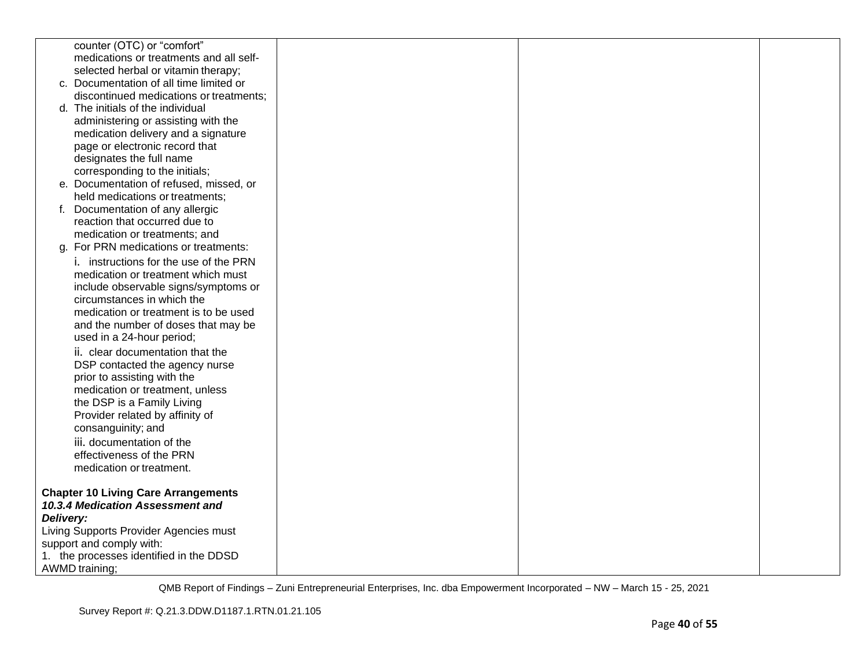|           | counter (OTC) or "comfort"                 |  |  |
|-----------|--------------------------------------------|--|--|
|           | medications or treatments and all self-    |  |  |
|           | selected herbal or vitamin therapy;        |  |  |
|           | c. Documentation of all time limited or    |  |  |
|           | discontinued medications or treatments;    |  |  |
|           | d. The initials of the individual          |  |  |
|           | administering or assisting with the        |  |  |
|           | medication delivery and a signature        |  |  |
|           | page or electronic record that             |  |  |
|           | designates the full name                   |  |  |
|           | corresponding to the initials;             |  |  |
|           | e. Documentation of refused, missed, or    |  |  |
|           | held medications or treatments;            |  |  |
|           | f. Documentation of any allergic           |  |  |
|           | reaction that occurred due to              |  |  |
|           | medication or treatments; and              |  |  |
|           | g. For PRN medications or treatments:      |  |  |
|           | i. instructions for the use of the PRN     |  |  |
|           | medication or treatment which must         |  |  |
|           | include observable signs/symptoms or       |  |  |
|           | circumstances in which the                 |  |  |
|           | medication or treatment is to be used      |  |  |
|           | and the number of doses that may be        |  |  |
|           | used in a 24-hour period;                  |  |  |
|           | ii. clear documentation that the           |  |  |
|           | DSP contacted the agency nurse             |  |  |
|           | prior to assisting with the                |  |  |
|           | medication or treatment, unless            |  |  |
|           | the DSP is a Family Living                 |  |  |
|           | Provider related by affinity of            |  |  |
|           | consanguinity; and                         |  |  |
|           | iii. documentation of the                  |  |  |
|           | effectiveness of the PRN                   |  |  |
|           | medication or treatment.                   |  |  |
|           |                                            |  |  |
|           | <b>Chapter 10 Living Care Arrangements</b> |  |  |
|           | 10.3.4 Medication Assessment and           |  |  |
| Delivery: |                                            |  |  |
|           | Living Supports Provider Agencies must     |  |  |
|           | support and comply with:                   |  |  |
|           | 1. the processes identified in the DDSD    |  |  |
|           | <b>AWMD</b> training;                      |  |  |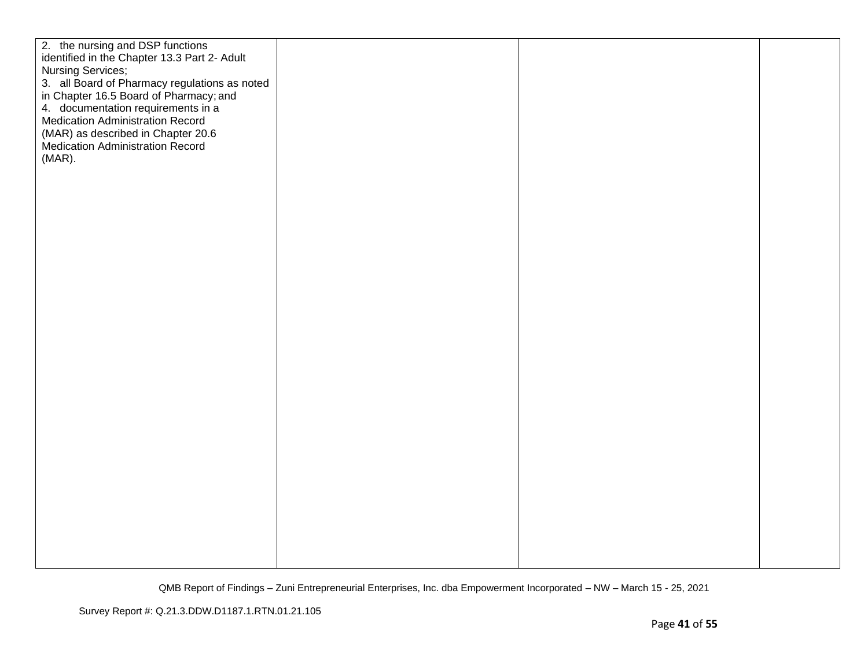| 2. the nursing and DSP functions<br>identified in the Chapter 13.3 Part 2- Adult<br><b>Nursing Services;</b><br>3. all Board of Pharmacy regulations as noted                              |  |  |
|--------------------------------------------------------------------------------------------------------------------------------------------------------------------------------------------|--|--|
| in Chapter 16.5 Board of Pharmacy; and<br>4. documentation requirements in a<br>Medication Administration Record<br>(MAR) as described in Chapter 20.6<br>Medication Administration Record |  |  |
| $(MAR)$ .                                                                                                                                                                                  |  |  |
|                                                                                                                                                                                            |  |  |
|                                                                                                                                                                                            |  |  |
|                                                                                                                                                                                            |  |  |
|                                                                                                                                                                                            |  |  |
|                                                                                                                                                                                            |  |  |
|                                                                                                                                                                                            |  |  |
|                                                                                                                                                                                            |  |  |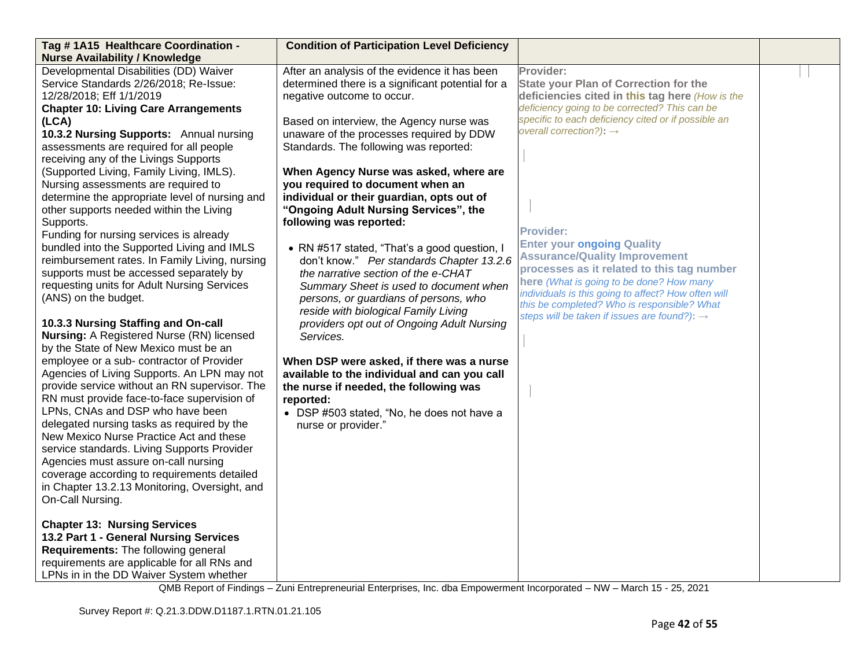| Tag #1A15 Healthcare Coordination -<br><b>Nurse Availability / Knowledge</b>                                                                                                                                                                                                                                                                                                                                                                                                                                                                                                                                                                                                                                                                                                                                                                                                                                                                                                                                                                                                                                                                                                                                                                                                                                                                                                                                                          | <b>Condition of Participation Level Deficiency</b>                                                                                                                                                                                                                                                                                                                                                                                                                                                                                                                                                                                                                                                                                                                                                                                                                                                                                                                                                                   |                                                                                                                                                                                                                                                                                                                                                                                                                                                                                                                                                                                                                          |  |
|---------------------------------------------------------------------------------------------------------------------------------------------------------------------------------------------------------------------------------------------------------------------------------------------------------------------------------------------------------------------------------------------------------------------------------------------------------------------------------------------------------------------------------------------------------------------------------------------------------------------------------------------------------------------------------------------------------------------------------------------------------------------------------------------------------------------------------------------------------------------------------------------------------------------------------------------------------------------------------------------------------------------------------------------------------------------------------------------------------------------------------------------------------------------------------------------------------------------------------------------------------------------------------------------------------------------------------------------------------------------------------------------------------------------------------------|----------------------------------------------------------------------------------------------------------------------------------------------------------------------------------------------------------------------------------------------------------------------------------------------------------------------------------------------------------------------------------------------------------------------------------------------------------------------------------------------------------------------------------------------------------------------------------------------------------------------------------------------------------------------------------------------------------------------------------------------------------------------------------------------------------------------------------------------------------------------------------------------------------------------------------------------------------------------------------------------------------------------|--------------------------------------------------------------------------------------------------------------------------------------------------------------------------------------------------------------------------------------------------------------------------------------------------------------------------------------------------------------------------------------------------------------------------------------------------------------------------------------------------------------------------------------------------------------------------------------------------------------------------|--|
| Developmental Disabilities (DD) Waiver<br>Service Standards 2/26/2018; Re-Issue:<br>12/28/2018; Eff 1/1/2019<br><b>Chapter 10: Living Care Arrangements</b><br>(LCA)<br>10.3.2 Nursing Supports: Annual nursing<br>assessments are required for all people<br>receiving any of the Livings Supports<br>(Supported Living, Family Living, IMLS).<br>Nursing assessments are required to<br>determine the appropriate level of nursing and<br>other supports needed within the Living<br>Supports.<br>Funding for nursing services is already<br>bundled into the Supported Living and IMLS<br>reimbursement rates. In Family Living, nursing<br>supports must be accessed separately by<br>requesting units for Adult Nursing Services<br>(ANS) on the budget.<br>10.3.3 Nursing Staffing and On-call<br><b>Nursing: A Registered Nurse (RN) licensed</b><br>by the State of New Mexico must be an<br>employee or a sub- contractor of Provider<br>Agencies of Living Supports. An LPN may not<br>provide service without an RN supervisor. The<br>RN must provide face-to-face supervision of<br>LPNs, CNAs and DSP who have been<br>delegated nursing tasks as required by the<br>New Mexico Nurse Practice Act and these<br>service standards. Living Supports Provider<br>Agencies must assure on-call nursing<br>coverage according to requirements detailed<br>in Chapter 13.2.13 Monitoring, Oversight, and<br>On-Call Nursing. | After an analysis of the evidence it has been<br>determined there is a significant potential for a<br>negative outcome to occur.<br>Based on interview, the Agency nurse was<br>unaware of the processes required by DDW<br>Standards. The following was reported:<br>When Agency Nurse was asked, where are<br>you required to document when an<br>individual or their guardian, opts out of<br>"Ongoing Adult Nursing Services", the<br>following was reported:<br>• RN #517 stated, "That's a good question, I<br>don't know." Per standards Chapter 13.2.6<br>the narrative section of the e-CHAT<br>Summary Sheet is used to document when<br>persons, or guardians of persons, who<br>reside with biological Family Living<br>providers opt out of Ongoing Adult Nursing<br>Services.<br>When DSP were asked, if there was a nurse<br>available to the individual and can you call<br>the nurse if needed, the following was<br>reported:<br>• DSP #503 stated, "No, he does not have a<br>nurse or provider." | Provider:<br><b>State your Plan of Correction for the</b><br>deficiencies cited in this tag here (How is the<br>deficiency going to be corrected? This can be<br>specific to each deficiency cited or if possible an<br>overall correction?): $\rightarrow$<br><b>Provider:</b><br><b>Enter your ongoing Quality</b><br><b>Assurance/Quality Improvement</b><br>processes as it related to this tag number<br>here (What is going to be done? How many<br>individuals is this going to affect? How often will<br>this be completed? Who is responsible? What<br>steps will be taken if issues are found?): $\rightarrow$ |  |
| <b>Chapter 13: Nursing Services</b><br>13.2 Part 1 - General Nursing Services<br>Requirements: The following general<br>requirements are applicable for all RNs and<br>LPNs in in the DD Waiver System whether                                                                                                                                                                                                                                                                                                                                                                                                                                                                                                                                                                                                                                                                                                                                                                                                                                                                                                                                                                                                                                                                                                                                                                                                                        |                                                                                                                                                                                                                                                                                                                                                                                                                                                                                                                                                                                                                                                                                                                                                                                                                                                                                                                                                                                                                      |                                                                                                                                                                                                                                                                                                                                                                                                                                                                                                                                                                                                                          |  |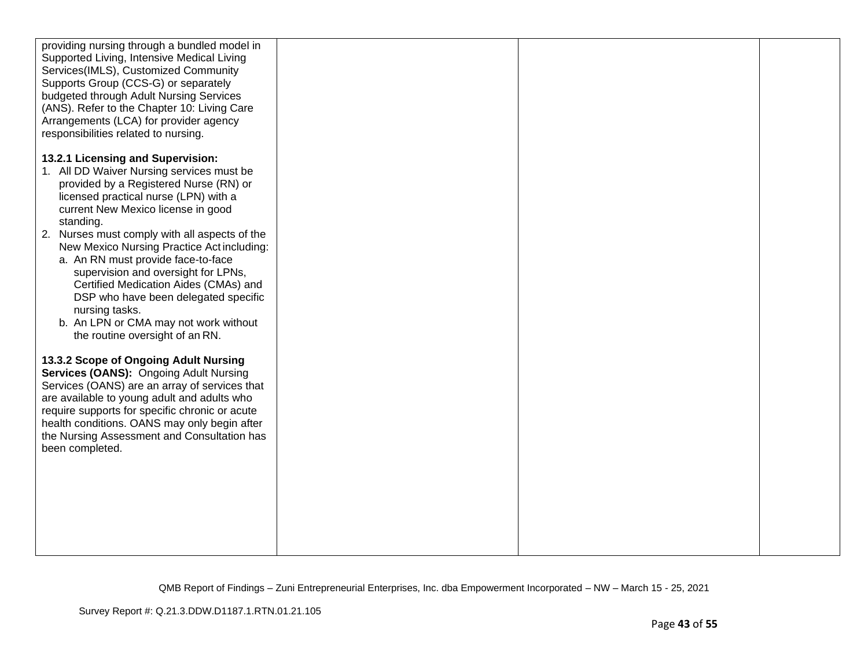| providing nursing through a bundled model in<br>Supported Living, Intensive Medical Living<br>Services(IMLS), Customized Community<br>Supports Group (CCS-G) or separately<br>budgeted through Adult Nursing Services<br>(ANS). Refer to the Chapter 10: Living Care<br>Arrangements (LCA) for provider agency<br>responsibilities related to nursing.                                                                                                                                                                                                                                                                                                                                                                                                                                                                                                                                                                                 |  |  |
|----------------------------------------------------------------------------------------------------------------------------------------------------------------------------------------------------------------------------------------------------------------------------------------------------------------------------------------------------------------------------------------------------------------------------------------------------------------------------------------------------------------------------------------------------------------------------------------------------------------------------------------------------------------------------------------------------------------------------------------------------------------------------------------------------------------------------------------------------------------------------------------------------------------------------------------|--|--|
| 13.2.1 Licensing and Supervision:<br>1. All DD Waiver Nursing services must be<br>provided by a Registered Nurse (RN) or<br>licensed practical nurse (LPN) with a<br>current New Mexico license in good<br>standing.<br>2. Nurses must comply with all aspects of the<br>New Mexico Nursing Practice Act including:<br>a. An RN must provide face-to-face<br>supervision and oversight for LPNs,<br>Certified Medication Aides (CMAs) and<br>DSP who have been delegated specific<br>nursing tasks.<br>b. An LPN or CMA may not work without<br>the routine oversight of an RN.<br>13.3.2 Scope of Ongoing Adult Nursing<br>Services (OANS): Ongoing Adult Nursing<br>Services (OANS) are an array of services that<br>are available to young adult and adults who<br>require supports for specific chronic or acute<br>health conditions. OANS may only begin after<br>the Nursing Assessment and Consultation has<br>been completed. |  |  |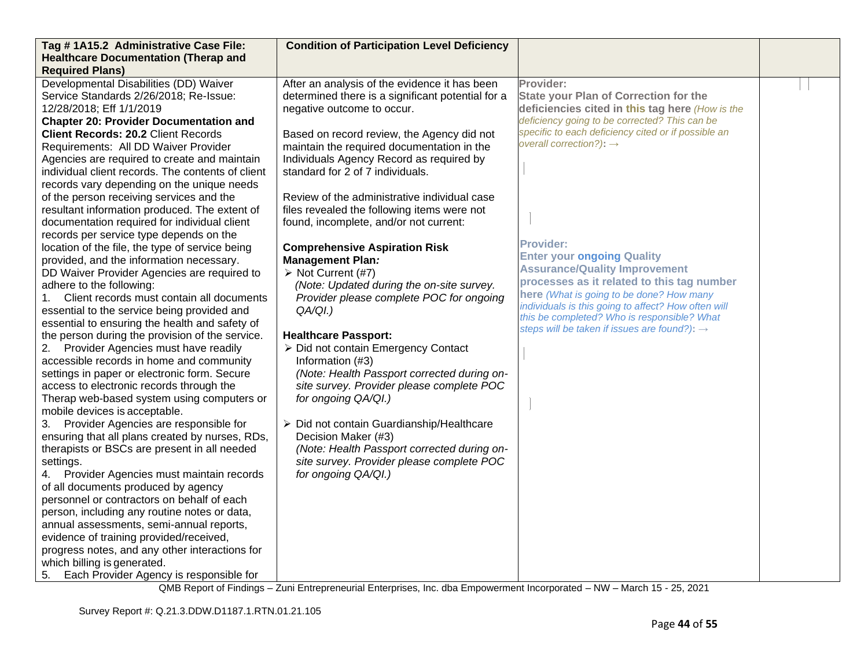| Tag #1A15.2 Administrative Case File:                                              | <b>Condition of Participation Level Deficiency</b>      |                                                          |  |
|------------------------------------------------------------------------------------|---------------------------------------------------------|----------------------------------------------------------|--|
| <b>Healthcare Documentation (Therap and</b>                                        |                                                         |                                                          |  |
| <b>Required Plans)</b>                                                             |                                                         |                                                          |  |
| Developmental Disabilities (DD) Waiver                                             | After an analysis of the evidence it has been           | Provider:                                                |  |
| Service Standards 2/26/2018; Re-Issue:                                             | determined there is a significant potential for a       | <b>State your Plan of Correction for the</b>             |  |
| 12/28/2018; Eff 1/1/2019                                                           | negative outcome to occur.                              | deficiencies cited in this tag here (How is the          |  |
| <b>Chapter 20: Provider Documentation and</b>                                      |                                                         | deficiency going to be corrected? This can be            |  |
| <b>Client Records: 20.2 Client Records</b>                                         | Based on record review, the Agency did not              | specific to each deficiency cited or if possible an      |  |
| Requirements: All DD Waiver Provider                                               | maintain the required documentation in the              | overall correction?): $\rightarrow$                      |  |
| Agencies are required to create and maintain                                       | Individuals Agency Record as required by                |                                                          |  |
| individual client records. The contents of client                                  | standard for 2 of 7 individuals.                        |                                                          |  |
| records vary depending on the unique needs                                         |                                                         |                                                          |  |
| of the person receiving services and the                                           | Review of the administrative individual case            |                                                          |  |
| resultant information produced. The extent of                                      | files revealed the following items were not             |                                                          |  |
| documentation required for individual client                                       | found, incomplete, and/or not current:                  |                                                          |  |
| records per service type depends on the                                            |                                                         | <b>Provider:</b>                                         |  |
| location of the file, the type of service being                                    | <b>Comprehensive Aspiration Risk</b>                    | <b>Enter your ongoing Quality</b>                        |  |
| provided, and the information necessary.                                           | <b>Management Plan:</b>                                 | <b>Assurance/Quality Improvement</b>                     |  |
| DD Waiver Provider Agencies are required to                                        | $\triangleright$ Not Current (#7)                       | processes as it related to this tag number               |  |
| adhere to the following:                                                           | (Note: Updated during the on-site survey.               | here (What is going to be done? How many                 |  |
| Client records must contain all documents                                          | Provider please complete POC for ongoing                | individuals is this going to affect? How often will      |  |
| essential to the service being provided and                                        | QA/QI.)                                                 | this be completed? Who is responsible? What              |  |
| essential to ensuring the health and safety of                                     |                                                         | steps will be taken if issues are found?): $\rightarrow$ |  |
| the person during the provision of the service.                                    | <b>Healthcare Passport:</b>                             |                                                          |  |
| 2. Provider Agencies must have readily<br>accessible records in home and community | > Did not contain Emergency Contact<br>Information (#3) |                                                          |  |
| settings in paper or electronic form. Secure                                       | (Note: Health Passport corrected during on-             |                                                          |  |
| access to electronic records through the                                           | site survey. Provider please complete POC               |                                                          |  |
| Therap web-based system using computers or                                         | for ongoing QA/QI.)                                     |                                                          |  |
| mobile devices is acceptable.                                                      |                                                         |                                                          |  |
| 3. Provider Agencies are responsible for                                           | > Did not contain Guardianship/Healthcare               |                                                          |  |
| ensuring that all plans created by nurses, RDs,                                    | Decision Maker (#3)                                     |                                                          |  |
| therapists or BSCs are present in all needed                                       | (Note: Health Passport corrected during on-             |                                                          |  |
| settings.                                                                          | site survey. Provider please complete POC               |                                                          |  |
| Provider Agencies must maintain records<br>4.                                      | for ongoing QA/QI.)                                     |                                                          |  |
| of all documents produced by agency                                                |                                                         |                                                          |  |
| personnel or contractors on behalf of each                                         |                                                         |                                                          |  |
| person, including any routine notes or data,                                       |                                                         |                                                          |  |
| annual assessments, semi-annual reports,                                           |                                                         |                                                          |  |
| evidence of training provided/received,                                            |                                                         |                                                          |  |
| progress notes, and any other interactions for                                     |                                                         |                                                          |  |
| which billing is generated.                                                        |                                                         |                                                          |  |
| Each Provider Agency is responsible for<br>5.                                      |                                                         |                                                          |  |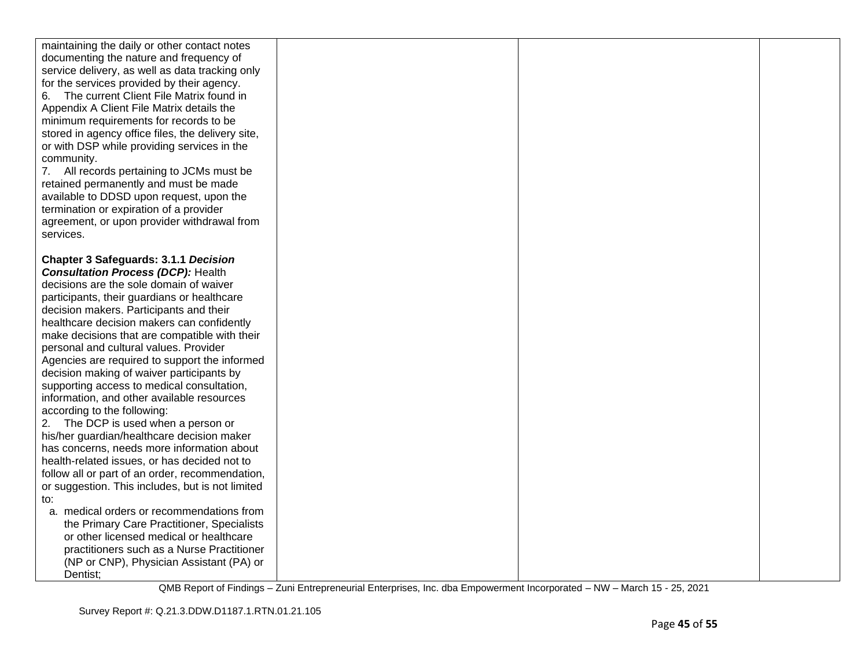| maintaining the daily or other contact notes<br>documenting the nature and frequency of<br>service delivery, as well as data tracking only<br>for the services provided by their agency.<br>The current Client File Matrix found in<br>6.<br>Appendix A Client File Matrix details the<br>minimum requirements for records to be<br>stored in agency office files, the delivery site,<br>or with DSP while providing services in the<br>community.<br>7. All records pertaining to JCMs must be<br>retained permanently and must be made<br>available to DDSD upon request, upon the<br>termination or expiration of a provider<br>agreement, or upon provider withdrawal from<br>services.<br><b>Chapter 3 Safeguards: 3.1.1 Decision</b><br><b>Consultation Process (DCP): Health</b><br>decisions are the sole domain of waiver<br>participants, their guardians or healthcare<br>decision makers. Participants and their<br>healthcare decision makers can confidently<br>make decisions that are compatible with their<br>personal and cultural values. Provider<br>Agencies are required to support the informed<br>decision making of waiver participants by<br>supporting access to medical consultation,<br>information, and other available resources<br>according to the following:<br>2. The DCP is used when a person or<br>his/her guardian/healthcare decision maker<br>has concerns, needs more information about<br>health-related issues, or has decided not to<br>follow all or part of an order, recommendation,<br>or suggestion. This includes, but is not limited<br>to:<br>a. medical orders or recommendations from<br>the Primary Care Practitioner, Specialists<br>or other licensed medical or healthcare<br>practitioners such as a Nurse Practitioner<br>(NP or CNP), Physician Assistant (PA) or |          |  |  |
|---------------------------------------------------------------------------------------------------------------------------------------------------------------------------------------------------------------------------------------------------------------------------------------------------------------------------------------------------------------------------------------------------------------------------------------------------------------------------------------------------------------------------------------------------------------------------------------------------------------------------------------------------------------------------------------------------------------------------------------------------------------------------------------------------------------------------------------------------------------------------------------------------------------------------------------------------------------------------------------------------------------------------------------------------------------------------------------------------------------------------------------------------------------------------------------------------------------------------------------------------------------------------------------------------------------------------------------------------------------------------------------------------------------------------------------------------------------------------------------------------------------------------------------------------------------------------------------------------------------------------------------------------------------------------------------------------------------------------------------------------------------------------------------------------------------------------------|----------|--|--|
|                                                                                                                                                                                                                                                                                                                                                                                                                                                                                                                                                                                                                                                                                                                                                                                                                                                                                                                                                                                                                                                                                                                                                                                                                                                                                                                                                                                                                                                                                                                                                                                                                                                                                                                                                                                                                                 |          |  |  |
|                                                                                                                                                                                                                                                                                                                                                                                                                                                                                                                                                                                                                                                                                                                                                                                                                                                                                                                                                                                                                                                                                                                                                                                                                                                                                                                                                                                                                                                                                                                                                                                                                                                                                                                                                                                                                                 |          |  |  |
|                                                                                                                                                                                                                                                                                                                                                                                                                                                                                                                                                                                                                                                                                                                                                                                                                                                                                                                                                                                                                                                                                                                                                                                                                                                                                                                                                                                                                                                                                                                                                                                                                                                                                                                                                                                                                                 | Dentist; |  |  |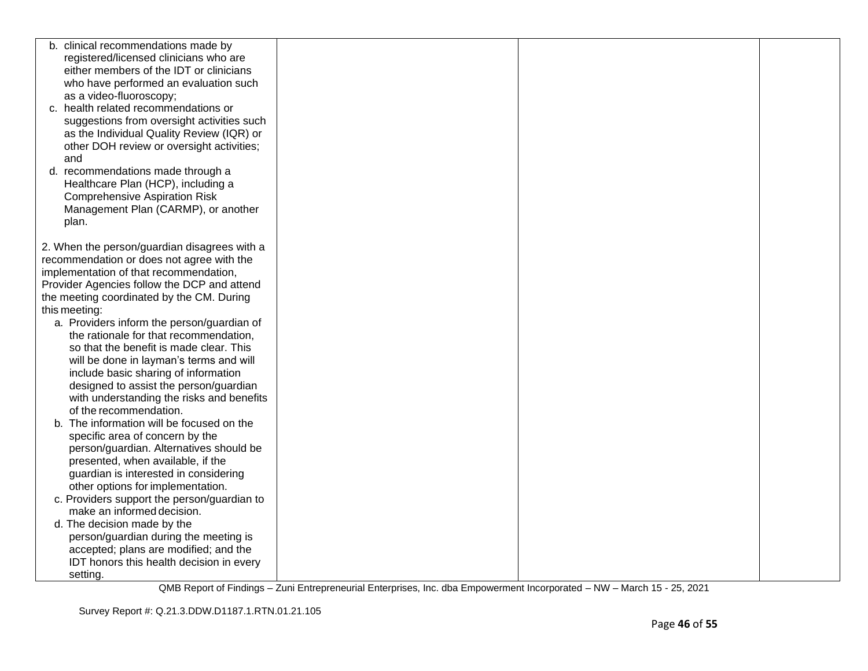| b. clinical recommendations made by          |  |  |
|----------------------------------------------|--|--|
| registered/licensed clinicians who are       |  |  |
| either members of the IDT or clinicians      |  |  |
| who have performed an evaluation such        |  |  |
| as a video-fluoroscopy;                      |  |  |
| c. health related recommendations or         |  |  |
| suggestions from oversight activities such   |  |  |
| as the Individual Quality Review (IQR) or    |  |  |
| other DOH review or oversight activities;    |  |  |
| and                                          |  |  |
| d. recommendations made through a            |  |  |
| Healthcare Plan (HCP), including a           |  |  |
| <b>Comprehensive Aspiration Risk</b>         |  |  |
| Management Plan (CARMP), or another          |  |  |
| plan.                                        |  |  |
|                                              |  |  |
| 2. When the person/guardian disagrees with a |  |  |
| recommendation or does not agree with the    |  |  |
| implementation of that recommendation,       |  |  |
| Provider Agencies follow the DCP and attend  |  |  |
| the meeting coordinated by the CM. During    |  |  |
| this meeting:                                |  |  |
| a. Providers inform the person/guardian of   |  |  |
| the rationale for that recommendation,       |  |  |
| so that the benefit is made clear. This      |  |  |
| will be done in layman's terms and will      |  |  |
| include basic sharing of information         |  |  |
| designed to assist the person/guardian       |  |  |
| with understanding the risks and benefits    |  |  |
| of the recommendation.                       |  |  |
| The information will be focused on the<br>b. |  |  |
| specific area of concern by the              |  |  |
| person/guardian. Alternatives should be      |  |  |
| presented, when available, if the            |  |  |
| guardian is interested in considering        |  |  |
| other options for implementation.            |  |  |
| c. Providers support the person/guardian to  |  |  |
| make an informed decision.                   |  |  |
| d. The decision made by the                  |  |  |
| person/guardian during the meeting is        |  |  |
| accepted; plans are modified; and the        |  |  |
| IDT honors this health decision in every     |  |  |
| setting.                                     |  |  |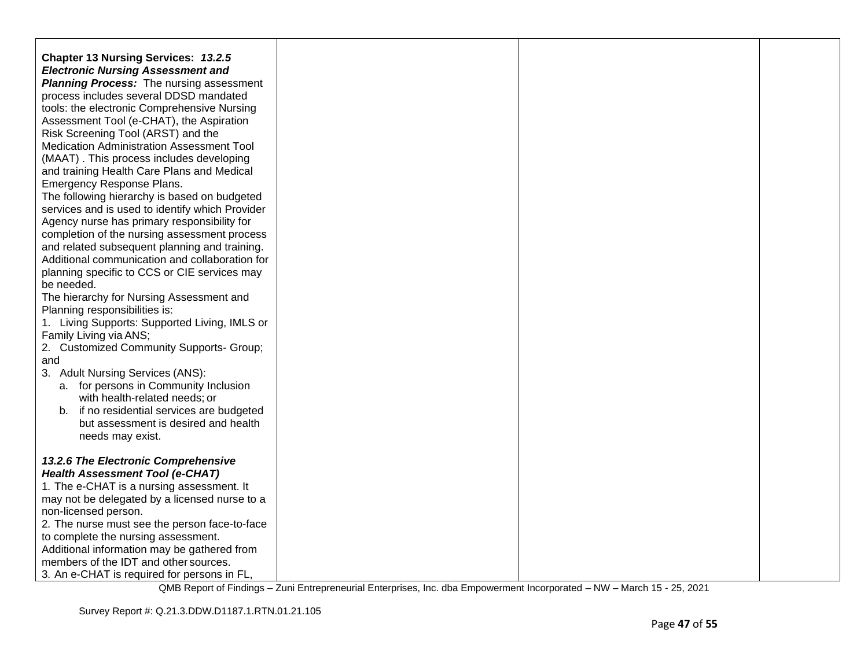| Chapter 13 Nursing Services: 13.2.5                                                    |  |  |
|----------------------------------------------------------------------------------------|--|--|
| <b>Electronic Nursing Assessment and</b>                                               |  |  |
| <b>Planning Process:</b> The nursing assessment                                        |  |  |
| process includes several DDSD mandated                                                 |  |  |
| tools: the electronic Comprehensive Nursing                                            |  |  |
| Assessment Tool (e-CHAT), the Aspiration                                               |  |  |
| Risk Screening Tool (ARST) and the                                                     |  |  |
| Medication Administration Assessment Tool                                              |  |  |
| (MAAT). This process includes developing<br>and training Health Care Plans and Medical |  |  |
| Emergency Response Plans.                                                              |  |  |
| The following hierarchy is based on budgeted                                           |  |  |
| services and is used to identify which Provider                                        |  |  |
| Agency nurse has primary responsibility for                                            |  |  |
| completion of the nursing assessment process                                           |  |  |
| and related subsequent planning and training.                                          |  |  |
| Additional communication and collaboration for                                         |  |  |
| planning specific to CCS or CIE services may                                           |  |  |
| be needed.                                                                             |  |  |
| The hierarchy for Nursing Assessment and                                               |  |  |
| Planning responsibilities is:                                                          |  |  |
| 1. Living Supports: Supported Living, IMLS or                                          |  |  |
| Family Living via ANS;<br>2. Customized Community Supports- Group;                     |  |  |
| and                                                                                    |  |  |
| 3. Adult Nursing Services (ANS):                                                       |  |  |
| a. for persons in Community Inclusion                                                  |  |  |
| with health-related needs; or                                                          |  |  |
| b. if no residential services are budgeted                                             |  |  |
| but assessment is desired and health                                                   |  |  |
| needs may exist.                                                                       |  |  |
|                                                                                        |  |  |
| 13.2.6 The Electronic Comprehensive                                                    |  |  |
| <b>Health Assessment Tool (e-CHAT)</b>                                                 |  |  |
| 1. The e-CHAT is a nursing assessment. It                                              |  |  |
| may not be delegated by a licensed nurse to a<br>non-licensed person.                  |  |  |
| 2. The nurse must see the person face-to-face                                          |  |  |
| to complete the nursing assessment.                                                    |  |  |
| Additional information may be gathered from                                            |  |  |
| members of the IDT and other sources.                                                  |  |  |
| 3. An e-CHAT is required for persons in FL,                                            |  |  |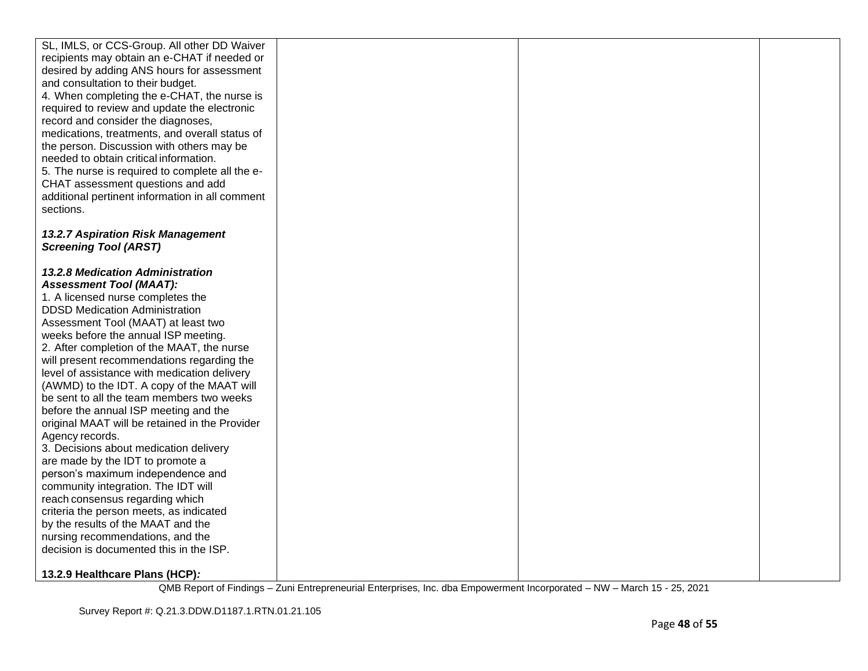| SL, IMLS, or CCS-Group. All other DD Waiver     |  |  |
|-------------------------------------------------|--|--|
| recipients may obtain an e-CHAT if needed or    |  |  |
| desired by adding ANS hours for assessment      |  |  |
| and consultation to their budget.               |  |  |
| 4. When completing the e-CHAT, the nurse is     |  |  |
| required to review and update the electronic    |  |  |
| record and consider the diagnoses,              |  |  |
| medications, treatments, and overall status of  |  |  |
| the person. Discussion with others may be       |  |  |
| needed to obtain critical information.          |  |  |
| 5. The nurse is required to complete all the e- |  |  |
|                                                 |  |  |
| CHAT assessment questions and add               |  |  |
| additional pertinent information in all comment |  |  |
| sections.                                       |  |  |
|                                                 |  |  |
| 13.2.7 Aspiration Risk Management               |  |  |
| <b>Screening Tool (ARST)</b>                    |  |  |
|                                                 |  |  |
| 13.2.8 Medication Administration                |  |  |
| <b>Assessment Tool (MAAT):</b>                  |  |  |
| 1. A licensed nurse completes the               |  |  |
| <b>DDSD Medication Administration</b>           |  |  |
| Assessment Tool (MAAT) at least two             |  |  |
| weeks before the annual ISP meeting.            |  |  |
| 2. After completion of the MAAT, the nurse      |  |  |
| will present recommendations regarding the      |  |  |
| level of assistance with medication delivery    |  |  |
| (AWMD) to the IDT. A copy of the MAAT will      |  |  |
| be sent to all the team members two weeks       |  |  |
| before the annual ISP meeting and the           |  |  |
| original MAAT will be retained in the Provider  |  |  |
| Agency records.                                 |  |  |
| 3. Decisions about medication delivery          |  |  |
| are made by the IDT to promote a                |  |  |
| person's maximum independence and               |  |  |
| community integration. The IDT will             |  |  |
| reach consensus regarding which                 |  |  |
| criteria the person meets, as indicated         |  |  |
| by the results of the MAAT and the              |  |  |
| nursing recommendations, and the                |  |  |
| decision is documented this in the ISP.         |  |  |
|                                                 |  |  |
| 13.2.9 Healthcare Plans (HCP):                  |  |  |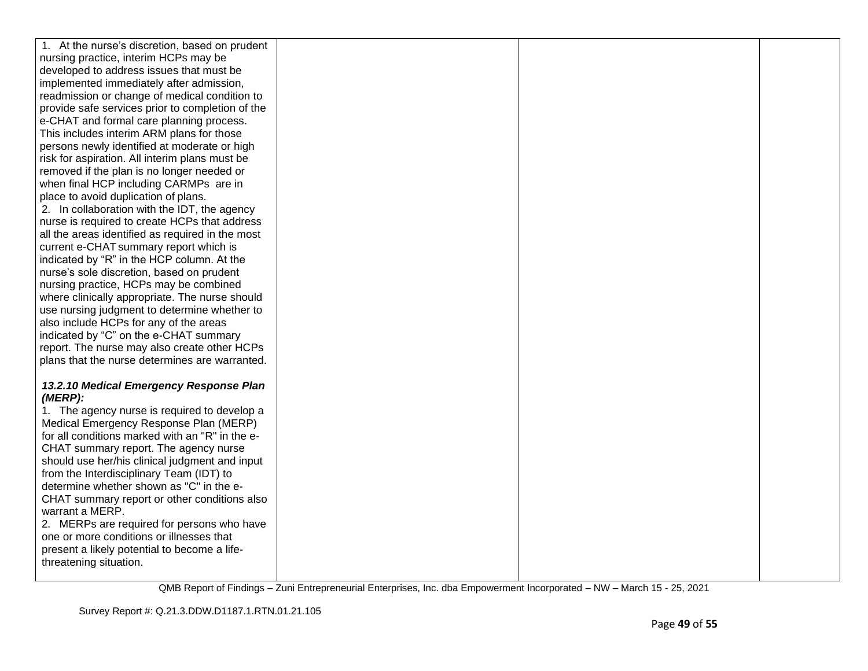| 1. At the nurse's discretion, based on prudent                                       |  |  |
|--------------------------------------------------------------------------------------|--|--|
| nursing practice, interim HCPs may be                                                |  |  |
| developed to address issues that must be                                             |  |  |
| implemented immediately after admission,                                             |  |  |
| readmission or change of medical condition to                                        |  |  |
| provide safe services prior to completion of the                                     |  |  |
| e-CHAT and formal care planning process.                                             |  |  |
| This includes interim ARM plans for those                                            |  |  |
| persons newly identified at moderate or high                                         |  |  |
| risk for aspiration. All interim plans must be                                       |  |  |
| removed if the plan is no longer needed or                                           |  |  |
| when final HCP including CARMPs are in                                               |  |  |
| place to avoid duplication of plans.                                                 |  |  |
| 2. In collaboration with the IDT, the agency                                         |  |  |
| nurse is required to create HCPs that address                                        |  |  |
| all the areas identified as required in the most                                     |  |  |
| current e-CHAT summary report which is                                               |  |  |
| indicated by "R" in the HCP column. At the                                           |  |  |
| nurse's sole discretion, based on prudent                                            |  |  |
| nursing practice, HCPs may be combined                                               |  |  |
| where clinically appropriate. The nurse should                                       |  |  |
| use nursing judgment to determine whether to                                         |  |  |
| also include HCPs for any of the areas                                               |  |  |
| indicated by "C" on the e-CHAT summary                                               |  |  |
| report. The nurse may also create other HCPs                                         |  |  |
| plans that the nurse determines are warranted.                                       |  |  |
|                                                                                      |  |  |
| 13.2.10 Medical Emergency Response Plan                                              |  |  |
| $(MERP)$ :                                                                           |  |  |
| 1. The agency nurse is required to develop a                                         |  |  |
| Medical Emergency Response Plan (MERP)                                               |  |  |
| for all conditions marked with an "R" in the e-                                      |  |  |
| CHAT summary report. The agency nurse                                                |  |  |
| should use her/his clinical judgment and input                                       |  |  |
| from the Interdisciplinary Team (IDT) to<br>determine whether shown as "C" in the e- |  |  |
|                                                                                      |  |  |
| CHAT summary report or other conditions also<br>warrant a MERP.                      |  |  |
| 2. MERPs are required for persons who have                                           |  |  |
| one or more conditions or illnesses that                                             |  |  |
| present a likely potential to become a life-                                         |  |  |
| threatening situation.                                                               |  |  |
|                                                                                      |  |  |
|                                                                                      |  |  |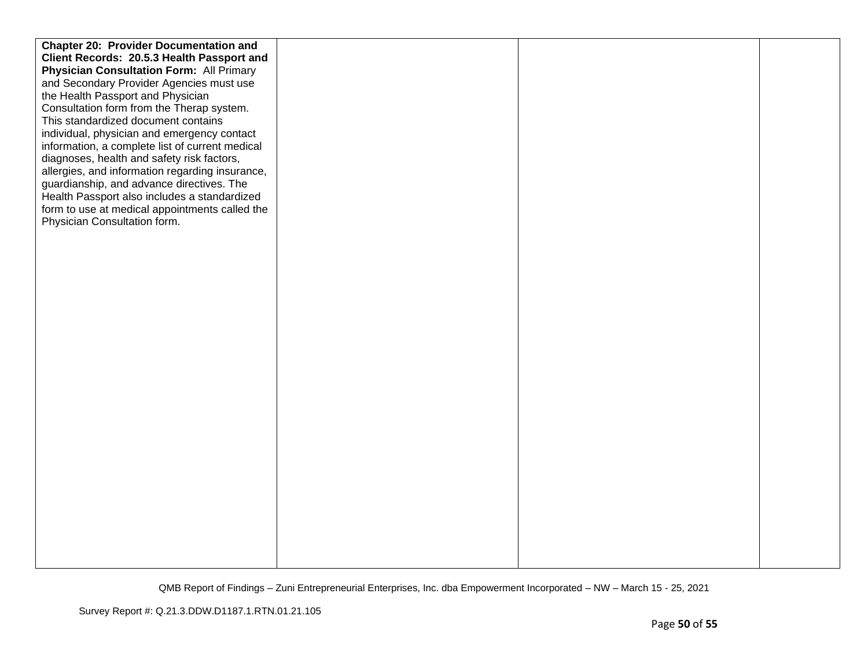| <b>Chapter 20: Provider Documentation and</b>   |  |  |
|-------------------------------------------------|--|--|
| Client Records: 20.5.3 Health Passport and      |  |  |
| <b>Physician Consultation Form: All Primary</b> |  |  |
| and Secondary Provider Agencies must use        |  |  |
| the Health Passport and Physician               |  |  |
| Consultation form from the Therap system.       |  |  |
| This standardized document contains             |  |  |
| individual, physician and emergency contact     |  |  |
| information, a complete list of current medical |  |  |
| diagnoses, health and safety risk factors,      |  |  |
| allergies, and information regarding insurance, |  |  |
| guardianship, and advance directives. The       |  |  |
| Health Passport also includes a standardized    |  |  |
| form to use at medical appointments called the  |  |  |
| Physician Consultation form.                    |  |  |
|                                                 |  |  |
|                                                 |  |  |
|                                                 |  |  |
|                                                 |  |  |
|                                                 |  |  |
|                                                 |  |  |
|                                                 |  |  |
|                                                 |  |  |
|                                                 |  |  |
|                                                 |  |  |
|                                                 |  |  |
|                                                 |  |  |
|                                                 |  |  |
|                                                 |  |  |
|                                                 |  |  |
|                                                 |  |  |
|                                                 |  |  |
|                                                 |  |  |
|                                                 |  |  |
|                                                 |  |  |
|                                                 |  |  |
|                                                 |  |  |
|                                                 |  |  |
|                                                 |  |  |
|                                                 |  |  |
|                                                 |  |  |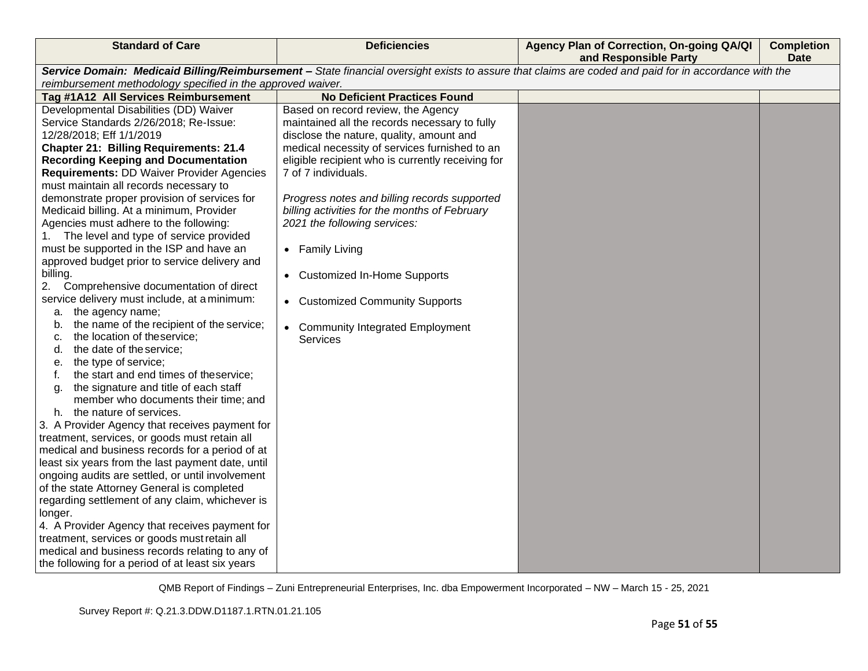| <b>Standard of Care</b>                                     | <b>Deficiencies</b>                               | Agency Plan of Correction, On-going QA/QI<br>and Responsible Party                                                                                    | <b>Completion</b><br><b>Date</b> |
|-------------------------------------------------------------|---------------------------------------------------|-------------------------------------------------------------------------------------------------------------------------------------------------------|----------------------------------|
|                                                             |                                                   | Service Domain: Medicaid Billing/Reimbursement - State financial oversight exists to assure that claims are coded and paid for in accordance with the |                                  |
| reimbursement methodology specified in the approved waiver. |                                                   |                                                                                                                                                       |                                  |
| Tag #1A12 All Services Reimbursement                        | <b>No Deficient Practices Found</b>               |                                                                                                                                                       |                                  |
| Developmental Disabilities (DD) Waiver                      | Based on record review, the Agency                |                                                                                                                                                       |                                  |
| Service Standards 2/26/2018; Re-Issue:                      | maintained all the records necessary to fully     |                                                                                                                                                       |                                  |
| 12/28/2018; Eff 1/1/2019                                    | disclose the nature, quality, amount and          |                                                                                                                                                       |                                  |
| <b>Chapter 21: Billing Requirements: 21.4</b>               | medical necessity of services furnished to an     |                                                                                                                                                       |                                  |
| <b>Recording Keeping and Documentation</b>                  | eligible recipient who is currently receiving for |                                                                                                                                                       |                                  |
| Requirements: DD Waiver Provider Agencies                   | 7 of 7 individuals.                               |                                                                                                                                                       |                                  |
| must maintain all records necessary to                      |                                                   |                                                                                                                                                       |                                  |
| demonstrate proper provision of services for                | Progress notes and billing records supported      |                                                                                                                                                       |                                  |
| Medicaid billing. At a minimum, Provider                    | billing activities for the months of February     |                                                                                                                                                       |                                  |
| Agencies must adhere to the following:                      | 2021 the following services:                      |                                                                                                                                                       |                                  |
| 1. The level and type of service provided                   |                                                   |                                                                                                                                                       |                                  |
| must be supported in the ISP and have an                    | • Family Living                                   |                                                                                                                                                       |                                  |
| approved budget prior to service delivery and               |                                                   |                                                                                                                                                       |                                  |
| billing.<br>Comprehensive documentation of direct<br>2.     | • Customized In-Home Supports                     |                                                                                                                                                       |                                  |
| service delivery must include, at a minimum:                |                                                   |                                                                                                                                                       |                                  |
| a. the agency name;                                         | • Customized Community Supports                   |                                                                                                                                                       |                                  |
| the name of the recipient of the service;<br>b.             |                                                   |                                                                                                                                                       |                                  |
| the location of theservice;<br>c.                           | <b>Community Integrated Employment</b>            |                                                                                                                                                       |                                  |
| the date of the service;<br>d.                              | <b>Services</b>                                   |                                                                                                                                                       |                                  |
| the type of service;<br>е.                                  |                                                   |                                                                                                                                                       |                                  |
| the start and end times of theservice;<br>f.                |                                                   |                                                                                                                                                       |                                  |
| the signature and title of each staff<br>g.                 |                                                   |                                                                                                                                                       |                                  |
| member who documents their time; and                        |                                                   |                                                                                                                                                       |                                  |
| the nature of services.<br>h.                               |                                                   |                                                                                                                                                       |                                  |
| 3. A Provider Agency that receives payment for              |                                                   |                                                                                                                                                       |                                  |
| treatment, services, or goods must retain all               |                                                   |                                                                                                                                                       |                                  |
| medical and business records for a period of at             |                                                   |                                                                                                                                                       |                                  |
| least six years from the last payment date, until           |                                                   |                                                                                                                                                       |                                  |
| ongoing audits are settled, or until involvement            |                                                   |                                                                                                                                                       |                                  |
| of the state Attorney General is completed                  |                                                   |                                                                                                                                                       |                                  |
| regarding settlement of any claim, whichever is             |                                                   |                                                                                                                                                       |                                  |
| longer.                                                     |                                                   |                                                                                                                                                       |                                  |
| 4. A Provider Agency that receives payment for              |                                                   |                                                                                                                                                       |                                  |
| treatment, services or goods must retain all                |                                                   |                                                                                                                                                       |                                  |
| medical and business records relating to any of             |                                                   |                                                                                                                                                       |                                  |
| the following for a period of at least six years            |                                                   |                                                                                                                                                       |                                  |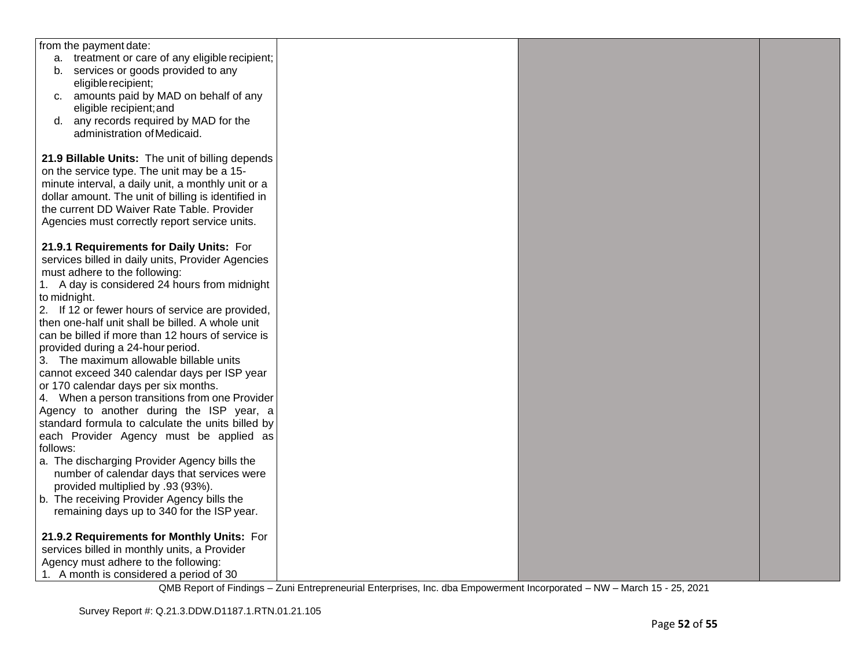| from the payment date:                              |  |  |
|-----------------------------------------------------|--|--|
| a. treatment or care of any eligible recipient;     |  |  |
| b. services or goods provided to any                |  |  |
| eligible recipient;                                 |  |  |
| c. amounts paid by MAD on behalf of any             |  |  |
| eligible recipient; and                             |  |  |
| any records required by MAD for the<br>d.           |  |  |
| administration of Medicaid.                         |  |  |
|                                                     |  |  |
| 21.9 Billable Units: The unit of billing depends    |  |  |
| on the service type. The unit may be a 15-          |  |  |
| minute interval, a daily unit, a monthly unit or a  |  |  |
| dollar amount. The unit of billing is identified in |  |  |
| the current DD Waiver Rate Table. Provider          |  |  |
| Agencies must correctly report service units.       |  |  |
|                                                     |  |  |
| 21.9.1 Requirements for Daily Units: For            |  |  |
| services billed in daily units, Provider Agencies   |  |  |
| must adhere to the following:                       |  |  |
| 1. A day is considered 24 hours from midnight       |  |  |
| to midnight.                                        |  |  |
| 2. If 12 or fewer hours of service are provided,    |  |  |
| then one-half unit shall be billed. A whole unit    |  |  |
| can be billed if more than 12 hours of service is   |  |  |
| provided during a 24-hour period.                   |  |  |
| 3. The maximum allowable billable units             |  |  |
| cannot exceed 340 calendar days per ISP year        |  |  |
| or 170 calendar days per six months.                |  |  |
| 4. When a person transitions from one Provider      |  |  |
| Agency to another during the ISP year, a            |  |  |
| standard formula to calculate the units billed by   |  |  |
| each Provider Agency must be applied as             |  |  |
| follows:                                            |  |  |
| a. The discharging Provider Agency bills the        |  |  |
| number of calendar days that services were          |  |  |
| provided multiplied by .93 (93%).                   |  |  |
| b. The receiving Provider Agency bills the          |  |  |
| remaining days up to 340 for the ISP year.          |  |  |
|                                                     |  |  |
| 21.9.2 Requirements for Monthly Units: For          |  |  |
| services billed in monthly units, a Provider        |  |  |
| Agency must adhere to the following:                |  |  |
| 1. A month is considered a period of 30             |  |  |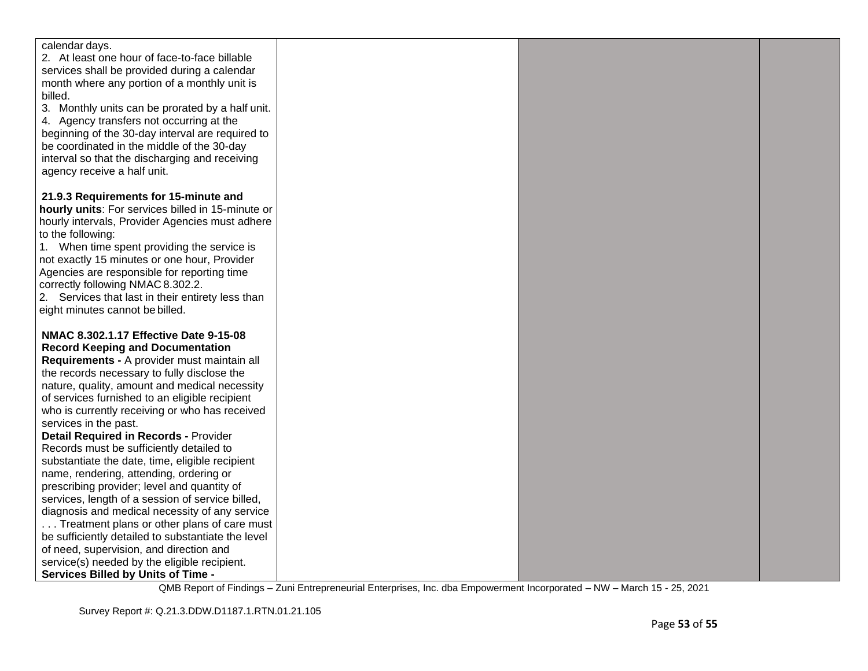| calendar days.                                     |  |  |
|----------------------------------------------------|--|--|
| 2. At least one hour of face-to-face billable      |  |  |
| services shall be provided during a calendar       |  |  |
| month where any portion of a monthly unit is       |  |  |
| billed.                                            |  |  |
| 3. Monthly units can be prorated by a half unit.   |  |  |
| 4. Agency transfers not occurring at the           |  |  |
| beginning of the 30-day interval are required to   |  |  |
| be coordinated in the middle of the 30-day         |  |  |
| interval so that the discharging and receiving     |  |  |
| agency receive a half unit.                        |  |  |
|                                                    |  |  |
| 21.9.3 Requirements for 15-minute and              |  |  |
| hourly units: For services billed in 15-minute or  |  |  |
| hourly intervals, Provider Agencies must adhere    |  |  |
| to the following:                                  |  |  |
| 1. When time spent providing the service is        |  |  |
| not exactly 15 minutes or one hour, Provider       |  |  |
| Agencies are responsible for reporting time        |  |  |
| correctly following NMAC 8.302.2.                  |  |  |
| 2. Services that last in their entirety less than  |  |  |
| eight minutes cannot be billed.                    |  |  |
|                                                    |  |  |
| NMAC 8.302.1.17 Effective Date 9-15-08             |  |  |
| <b>Record Keeping and Documentation</b>            |  |  |
| Requirements - A provider must maintain all        |  |  |
| the records necessary to fully disclose the        |  |  |
| nature, quality, amount and medical necessity      |  |  |
| of services furnished to an eligible recipient     |  |  |
| who is currently receiving or who has received     |  |  |
| services in the past.                              |  |  |
| <b>Detail Required in Records - Provider</b>       |  |  |
| Records must be sufficiently detailed to           |  |  |
| substantiate the date, time, eligible recipient    |  |  |
| name, rendering, attending, ordering or            |  |  |
| prescribing provider; level and quantity of        |  |  |
| services, length of a session of service billed,   |  |  |
| diagnosis and medical necessity of any service     |  |  |
| Treatment plans or other plans of care must        |  |  |
| be sufficiently detailed to substantiate the level |  |  |
| of need, supervision, and direction and            |  |  |
| service(s) needed by the eligible recipient.       |  |  |
| Services Billed by Units of Time -                 |  |  |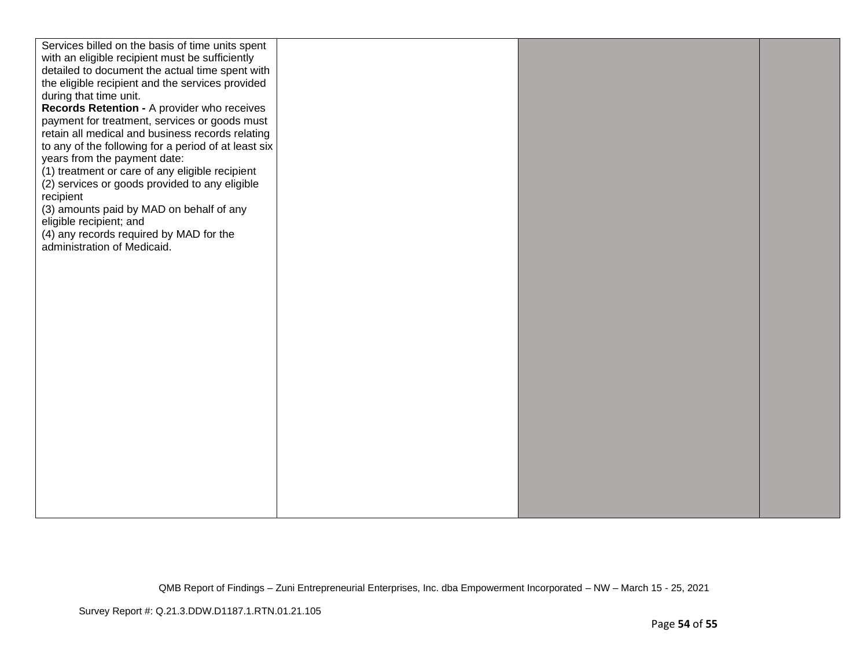| Services billed on the basis of time units spent<br>with an eligible recipient must be sufficiently<br>detailed to document the actual time spent with<br>the eligible recipient and the services provided<br>during that time unit.<br>Records Retention - A provider who receives<br>payment for treatment, services or goods must<br>retain all medical and business records relating<br>to any of the following for a period of at least six<br>years from the payment date:<br>(1) treatment or care of any eligible recipient<br>(2) services or goods provided to any eligible<br>recipient<br>(3) amounts paid by MAD on behalf of any |  |  |
|------------------------------------------------------------------------------------------------------------------------------------------------------------------------------------------------------------------------------------------------------------------------------------------------------------------------------------------------------------------------------------------------------------------------------------------------------------------------------------------------------------------------------------------------------------------------------------------------------------------------------------------------|--|--|
| eligible recipient; and<br>(4) any records required by MAD for the<br>administration of Medicaid.                                                                                                                                                                                                                                                                                                                                                                                                                                                                                                                                              |  |  |
|                                                                                                                                                                                                                                                                                                                                                                                                                                                                                                                                                                                                                                                |  |  |